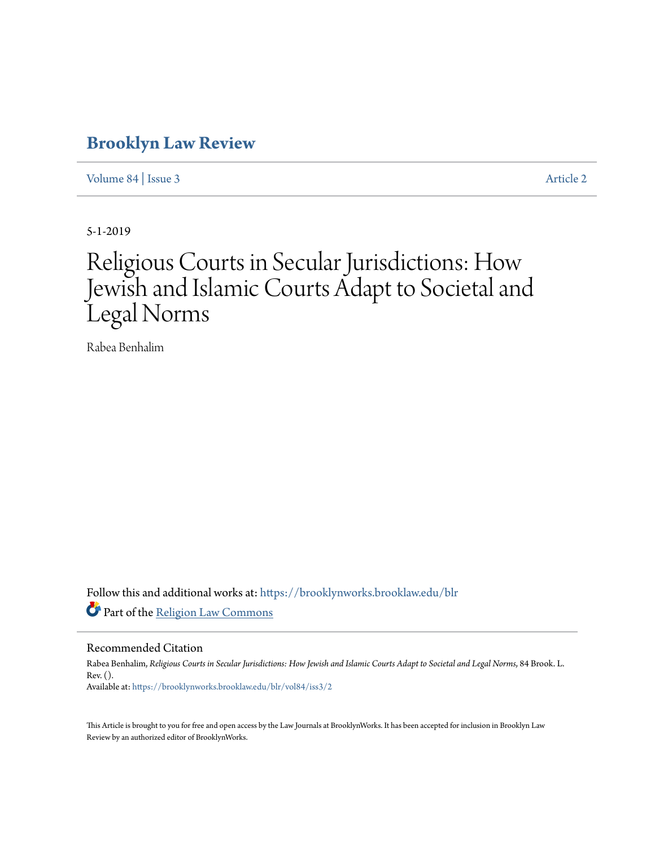## **[Brooklyn Law Review](https://brooklynworks.brooklaw.edu/blr?utm_source=brooklynworks.brooklaw.edu%2Fblr%2Fvol84%2Fiss3%2F2&utm_medium=PDF&utm_campaign=PDFCoverPages)**

[Volume 84](https://brooklynworks.brooklaw.edu/blr/vol84?utm_source=brooklynworks.brooklaw.edu%2Fblr%2Fvol84%2Fiss3%2F2&utm_medium=PDF&utm_campaign=PDFCoverPages) | [Issue 3](https://brooklynworks.brooklaw.edu/blr/vol84/iss3?utm_source=brooklynworks.brooklaw.edu%2Fblr%2Fvol84%2Fiss3%2F2&utm_medium=PDF&utm_campaign=PDFCoverPages) [Article 2](https://brooklynworks.brooklaw.edu/blr/vol84/iss3/2?utm_source=brooklynworks.brooklaw.edu%2Fblr%2Fvol84%2Fiss3%2F2&utm_medium=PDF&utm_campaign=PDFCoverPages)

5-1-2019

# Religious Courts in Secular Jurisdictions: How Jewish and Islamic Courts Adapt to Societal and Legal Norms

Rabea Benhalim

Follow this and additional works at: [https://brooklynworks.brooklaw.edu/blr](https://brooklynworks.brooklaw.edu/blr?utm_source=brooklynworks.brooklaw.edu%2Fblr%2Fvol84%2Fiss3%2F2&utm_medium=PDF&utm_campaign=PDFCoverPages) Part of the [Religion Law Commons](http://network.bepress.com/hgg/discipline/872?utm_source=brooklynworks.brooklaw.edu%2Fblr%2Fvol84%2Fiss3%2F2&utm_medium=PDF&utm_campaign=PDFCoverPages)

Recommended Citation

Rabea Benhalim, *Religious Courts in Secular Jurisdictions: How Jewish and Islamic Courts Adapt to Societal and Legal Norms*, 84 Brook. L. Rev. (). Available at: [https://brooklynworks.brooklaw.edu/blr/vol84/iss3/2](https://brooklynworks.brooklaw.edu/blr/vol84/iss3/2?utm_source=brooklynworks.brooklaw.edu%2Fblr%2Fvol84%2Fiss3%2F2&utm_medium=PDF&utm_campaign=PDFCoverPages)

This Article is brought to you for free and open access by the Law Journals at BrooklynWorks. It has been accepted for inclusion in Brooklyn Law Review by an authorized editor of BrooklynWorks.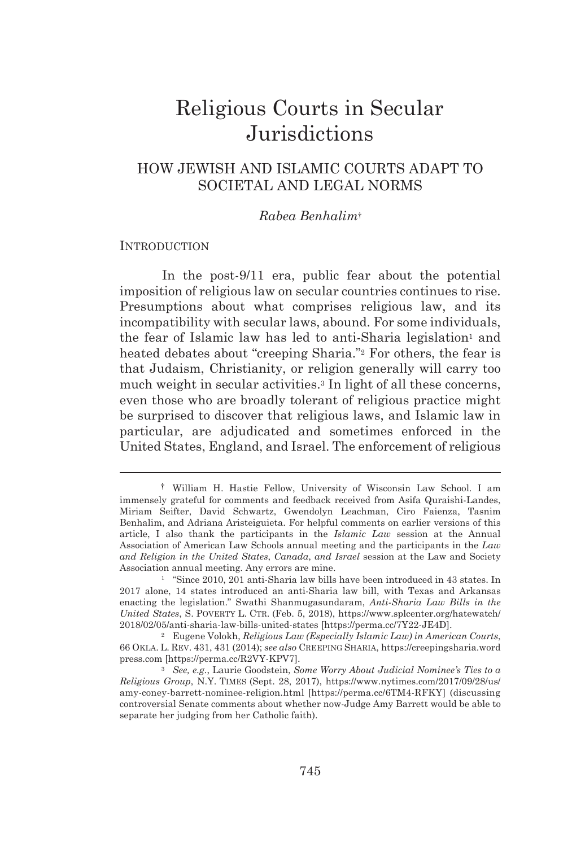## Religious Courts in Secular **Jurisdictions**

## HOW JEWISH AND ISLAMIC COURTS ADAPT TO SOCIETAL AND LEGAL NORMS

#### *Rabea Benhalim*†

#### **INTRODUCTION**

In the post-9/11 era, public fear about the potential imposition of religious law on secular countries continues to rise. Presumptions about what comprises religious law, and its incompatibility with secular laws, abound. For some individuals, the fear of Islamic law has led to anti-Sharia legislation<sup>1</sup> and heated debates about "creeping Sharia."<sup>2</sup> For others, the fear is that Judaism, Christianity, or religion generally will carry too much weight in secular activities.3 In light of all these concerns, even those who are broadly tolerant of religious practice might be surprised to discover that religious laws, and Islamic law in particular, are adjudicated and sometimes enforced in the United States, England, and Israel. The enforcement of religious

 <sup>†</sup> William H. Hastie Fellow, University of Wisconsin Law School. I am immensely grateful for comments and feedback received from Asifa Quraishi-Landes, Miriam Seifter, David Schwartz, Gwendolyn Leachman, Ciro Faienza, Tasnim Benhalim, and Adriana Aristeiguieta. For helpful comments on earlier versions of this article, I also thank the participants in the *Islamic Law* session at the Annual Association of American Law Schools annual meeting and the participants in the *Law and Religion in the United States*, *Canada*, *and Israel* session at the Law and Society Association annual meeting. Any errors are mine. 1 "Since 2010, 201 anti-Sharia law bills have been introduced in 43 states. In

<sup>2017</sup> alone, 14 states introduced an anti-Sharia law bill, with Texas and Arkansas enacting the legislation." Swathi Shanmugasundaram, *Anti-Sharia Law Bills in the United States*, S. POVERTY L. CTR. (Feb. 5, 2018), https://www.splcenter.org/hatewatch/ 2018/02/05/anti-sharia-law-bills-united-states [https://perma.cc/7Y22-JE4D]. 2 Eugene Volokh, *Religious Law (Especially Islamic Law) in American Courts*,

<sup>66</sup> OKLA. L. REV. 431, 431 (2014); *see also* CREEPING SHARIA, https://creepingsharia.word press.com [https://perma.cc/R2VY-KPV7]. 3 *See, e.g.*, Laurie Goodstein, *Some Worry About Judicial Nominee's Ties to a* 

*Religious Group*, N.Y. TIMES (Sept. 28, 2017), https://www.nytimes.com/2017/09/28/us/ amy-coney-barrett-nominee-religion.html [https://perma.cc/6TM4-RFKY] (discussing controversial Senate comments about whether now-Judge Amy Barrett would be able to separate her judging from her Catholic faith).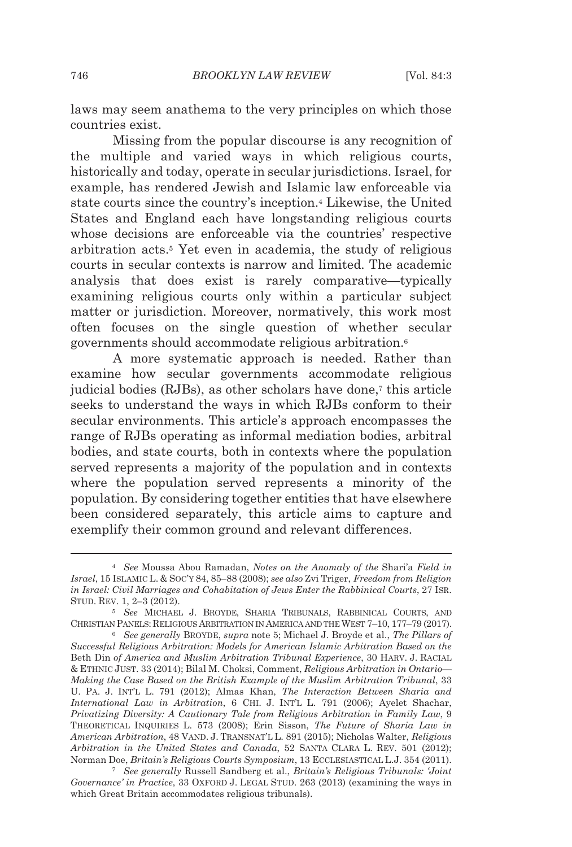laws may seem anathema to the very principles on which those countries exist.

Missing from the popular discourse is any recognition of the multiple and varied ways in which religious courts, historically and today, operate in secular jurisdictions. Israel, for example, has rendered Jewish and Islamic law enforceable via state courts since the country's inception.4 Likewise, the United States and England each have longstanding religious courts whose decisions are enforceable via the countries' respective arbitration acts.5 Yet even in academia, the study of religious courts in secular contexts is narrow and limited. The academic analysis that does exist is rarely comparative—typically examining religious courts only within a particular subject matter or jurisdiction. Moreover, normatively, this work most often focuses on the single question of whether secular governments should accommodate religious arbitration.6

A more systematic approach is needed. Rather than examine how secular governments accommodate religious judicial bodies (RJBs), as other scholars have done,7 this article seeks to understand the ways in which RJBs conform to their secular environments. This article's approach encompasses the range of RJBs operating as informal mediation bodies, arbitral bodies, and state courts, both in contexts where the population served represents a majority of the population and in contexts where the population served represents a minority of the population. By considering together entities that have elsewhere been considered separately, this article aims to capture and exemplify their common ground and relevant differences.

<sup>4</sup> *See* Moussa Abou Ramadan, *Notes on the Anomaly of the* Shari'a *Field in Israel*, 15 ISLAMIC L. & SOC'Y 84, 85–88 (2008); *see also* Zvi Triger, *Freedom from Religion in Israel: Civil Marriages and Cohabitation of Jews Enter the Rabbinical Courts*, 27 ISR. STUD. REV. 1, 2–3 (2012).

<sup>5</sup> *See* MICHAEL J. BROYDE, SHARIA TRIBUNALS, RABBINICAL COURTS, AND CHRISTIAN PANELS: RELIGIOUS ARBITRATION IN AMERICA AND THE WEST 7–10, 177–79 (2017). 6 *See generally* BROYDE, *supra* note 5; Michael J. Broyde et al., *The Pillars of* 

*Successful Religious Arbitration: Models for American Islamic Arbitration Based on the*  Beth Din *of America and Muslim Arbitration Tribunal Experience*, 30 HARV. J. RACIAL & ETHNIC JUST. 33 (2014); Bilal M. Choksi, Comment, *Religious Arbitration in Ontario— Making the Case Based on the British Example of the Muslim Arbitration Tribunal*, 33 U. PA. J. INT'L L. 791 (2012); Almas Khan, *The Interaction Between Sharia and International Law in Arbitration*, 6 CHI. J. INT'L L. 791 (2006); Ayelet Shachar, *Privatizing Diversity: A Cautionary Tale from Religious Arbitration in Family Law*, 9 THEORETICAL INQUIRIES L. 573 (2008); Erin Sisson, *The Future of Sharia Law in American Arbitration*, 48 VAND. J. TRANSNAT'L L. 891 (2015); Nicholas Walter, *Religious Arbitration in the United States and Canada*, 52 SANTA CLARA L. REV. 501 (2012); Norman Doe, *Britain's Religious Courts Symposium*, 13 ECCLESIASTICAL L.J. 354 (2011). 7 *See generally* Russell Sandberg et al., *Britain's Religious Tribunals: 'Joint* 

*Governance' in Practice*, 33 OXFORD J. LEGAL STUD. 263 (2013) (examining the ways in which Great Britain accommodates religious tribunals).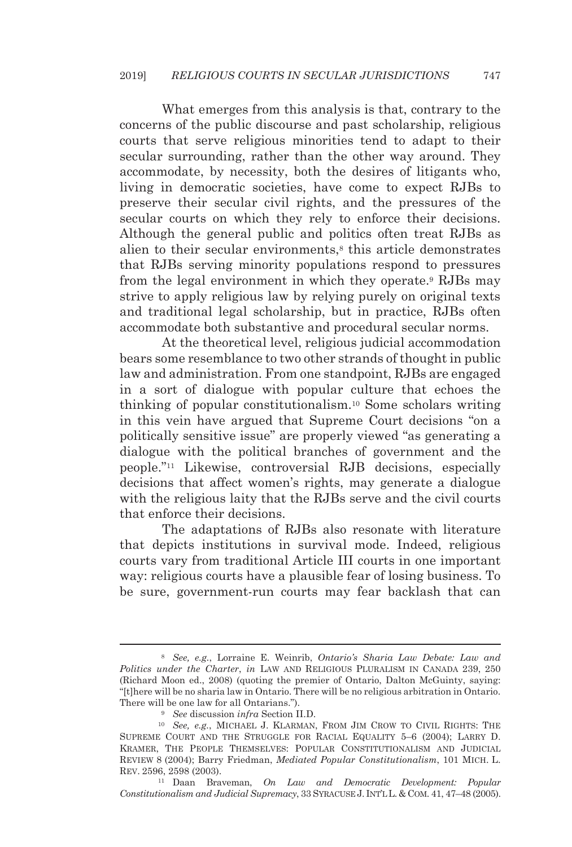What emerges from this analysis is that, contrary to the concerns of the public discourse and past scholarship, religious courts that serve religious minorities tend to adapt to their secular surrounding, rather than the other way around. They accommodate, by necessity, both the desires of litigants who, living in democratic societies, have come to expect RJBs to preserve their secular civil rights, and the pressures of the secular courts on which they rely to enforce their decisions. Although the general public and politics often treat RJBs as alien to their secular environments,<sup>8</sup> this article demonstrates that RJBs serving minority populations respond to pressures from the legal environment in which they operate.9 RJBs may strive to apply religious law by relying purely on original texts and traditional legal scholarship, but in practice, RJBs often accommodate both substantive and procedural secular norms.

At the theoretical level, religious judicial accommodation bears some resemblance to two other strands of thought in public law and administration. From one standpoint, RJBs are engaged in a sort of dialogue with popular culture that echoes the thinking of popular constitutionalism.10 Some scholars writing in this vein have argued that Supreme Court decisions "on a politically sensitive issue" are properly viewed "as generating a dialogue with the political branches of government and the people."11 Likewise, controversial RJB decisions, especially decisions that affect women's rights, may generate a dialogue with the religious laity that the RJBs serve and the civil courts that enforce their decisions.

The adaptations of RJBs also resonate with literature that depicts institutions in survival mode. Indeed, religious courts vary from traditional Article III courts in one important way: religious courts have a plausible fear of losing business. To be sure, government-run courts may fear backlash that can

<sup>8</sup> *See, e.g.*, Lorraine E. Weinrib, *Ontario's Sharia Law Debate: Law and Politics under the Charter*, *in* LAW AND RELIGIOUS PLURALISM IN CANADA 239, 250 (Richard Moon ed., 2008) (quoting the premier of Ontario, Dalton McGuinty, saying: "[t]here will be no sharia law in Ontario. There will be no religious arbitration in Ontario. There will be one law for all Ontarians.").<br><sup>9</sup> See discussion *infra* Section II.D.<br><sup>10</sup> See, e.g., MICHAEL J. KLARMAN, FROM JIM CROW TO CIVIL RIGHTS: THE

SUPREME COURT AND THE STRUGGLE FOR RACIAL EQUALITY 5–6 (2004); LARRY D. KRAMER, THE PEOPLE THEMSELVES: POPULAR CONSTITUTIONALISM AND JUDICIAL REVIEW 8 (2004); Barry Friedman, *Mediated Popular Constitutionalism*, 101 MICH. L. REV. 2596, 2598 (2003). 11 Daan Braveman, *On Law and Democratic Development: Popular* 

*Constitutionalism and Judicial Supremacy*, 33 SYRACUSE J. INT'L L. & COM. 41, 47–48 (2005).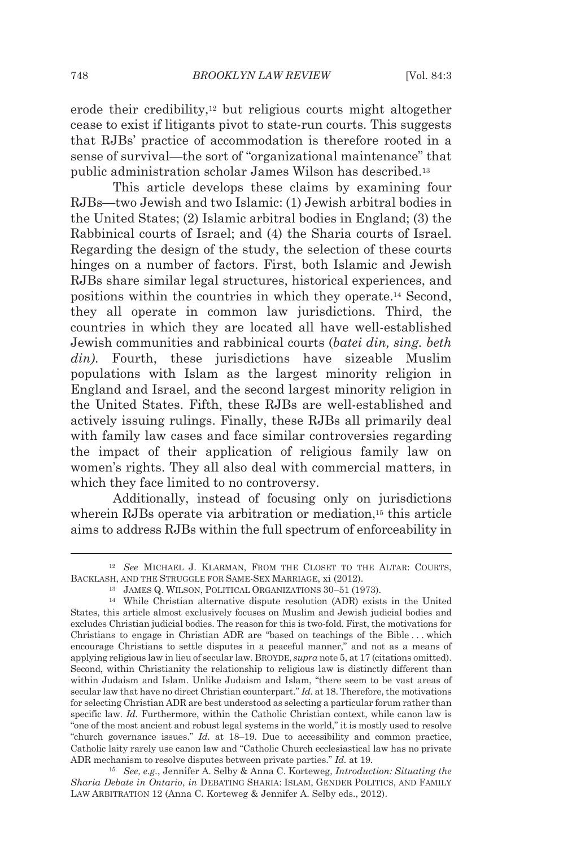erode their credibility,12 but religious courts might altogether cease to exist if litigants pivot to state-run courts. This suggests that RJBs' practice of accommodation is therefore rooted in a sense of survival—the sort of "organizational maintenance" that public administration scholar James Wilson has described.13

This article develops these claims by examining four RJBs—two Jewish and two Islamic: (1) Jewish arbitral bodies in the United States; (2) Islamic arbitral bodies in England; (3) the Rabbinical courts of Israel; and (4) the Sharia courts of Israel. Regarding the design of the study, the selection of these courts hinges on a number of factors. First, both Islamic and Jewish RJBs share similar legal structures, historical experiences, and positions within the countries in which they operate.14 Second, they all operate in common law jurisdictions. Third, the countries in which they are located all have well-established Jewish communities and rabbinical courts (*batei din, sing. beth din)*. Fourth, these jurisdictions have sizeable Muslim populations with Islam as the largest minority religion in England and Israel, and the second largest minority religion in the United States. Fifth, these RJBs are well-established and actively issuing rulings. Finally, these RJBs all primarily deal with family law cases and face similar controversies regarding the impact of their application of religious family law on women's rights. They all also deal with commercial matters, in which they face limited to no controversy.

Additionally, instead of focusing only on jurisdictions wherein RJBs operate via arbitration or mediation,<sup>15</sup> this article aims to address RJBs within the full spectrum of enforceability in

*Sharia Debate in Ontario*, *in* DEBATING SHARIA: ISLAM, GENDER POLITICS, AND FAMILY LAW ARBITRATION 12 (Anna C. Korteweg & Jennifer A. Selby eds., 2012).

<sup>12</sup> *See* MICHAEL J. KLARMAN, FROM THE CLOSET TO THE ALTAR: COURTS, BACKLASH, AND THE STRUGGLE FOR SAME-SEX MARRIAGE, xi (2012).<br><sup>13</sup> JAMES Q. WILSON, POLITICAL ORGANIZATIONS 30–51 (1973).<br><sup>14</sup> While Christian alternative dispute resolution (ADR) exists in the United

States, this article almost exclusively focuses on Muslim and Jewish judicial bodies and excludes Christian judicial bodies. The reason for this is two-fold. First, the motivations for Christians to engage in Christian ADR are "based on teachings of the Bible . . . which encourage Christians to settle disputes in a peaceful manner," and not as a means of applying religious law in lieu of secular law. BROYDE, *supra* note 5, at 17 (citations omitted). Second, within Christianity the relationship to religious law is distinctly different than within Judaism and Islam. Unlike Judaism and Islam, "there seem to be vast areas of secular law that have no direct Christian counterpart." *Id.* at 18. Therefore, the motivations for selecting Christian ADR are best understood as selecting a particular forum rather than specific law. *Id.* Furthermore, within the Catholic Christian context, while canon law is "one of the most ancient and robust legal systems in the world," it is mostly used to resolve "church governance issues." *Id.* at 18–19. Due to accessibility and common practice, Catholic laity rarely use canon law and "Catholic Church ecclesiastical law has no private ADR mechanism to resolve disputes between private parties." *Id.* at 19. 15 *See, e.g.*, Jennifer A. Selby & Anna C. Korteweg, *Introduction: Situating the*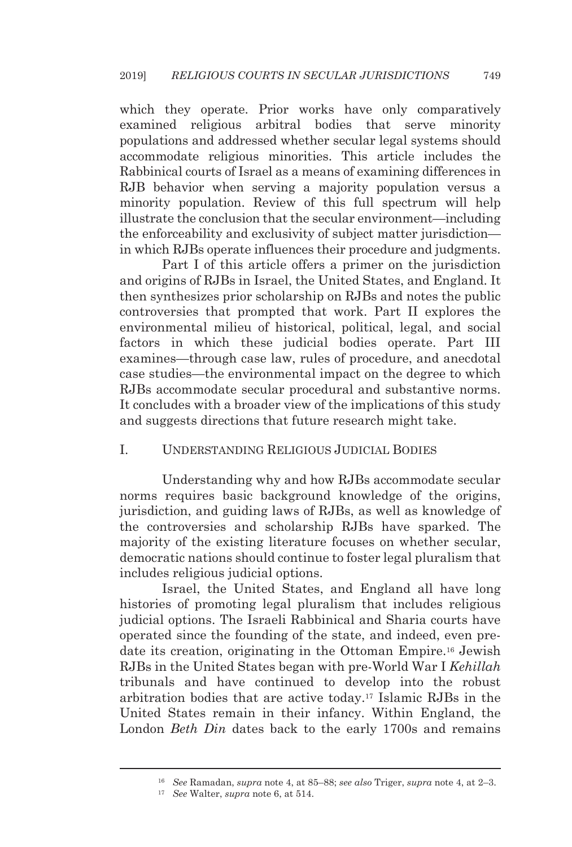which they operate. Prior works have only comparatively examined religious arbitral bodies that serve minority populations and addressed whether secular legal systems should accommodate religious minorities. This article includes the Rabbinical courts of Israel as a means of examining differences in RJB behavior when serving a majority population versus a minority population. Review of this full spectrum will help illustrate the conclusion that the secular environment—including the enforceability and exclusivity of subject matter jurisdiction in which RJBs operate influences their procedure and judgments.

Part I of this article offers a primer on the jurisdiction and origins of RJBs in Israel, the United States, and England. It then synthesizes prior scholarship on RJBs and notes the public controversies that prompted that work. Part II explores the environmental milieu of historical, political, legal, and social factors in which these judicial bodies operate. Part III examines—through case law, rules of procedure, and anecdotal case studies—the environmental impact on the degree to which RJBs accommodate secular procedural and substantive norms. It concludes with a broader view of the implications of this study and suggests directions that future research might take.

#### I. UNDERSTANDING RELIGIOUS JUDICIAL BODIES

Understanding why and how RJBs accommodate secular norms requires basic background knowledge of the origins, jurisdiction, and guiding laws of RJBs, as well as knowledge of the controversies and scholarship RJBs have sparked. The majority of the existing literature focuses on whether secular, democratic nations should continue to foster legal pluralism that includes religious judicial options.

Israel, the United States, and England all have long histories of promoting legal pluralism that includes religious judicial options. The Israeli Rabbinical and Sharia courts have operated since the founding of the state, and indeed, even predate its creation, originating in the Ottoman Empire.16 Jewish RJBs in the United States began with pre-World War I *Kehillah* tribunals and have continued to develop into the robust arbitration bodies that are active today.17 Islamic RJBs in the United States remain in their infancy. Within England, the London *Beth Din* dates back to the early 1700s and remains

<sup>16</sup> *See* Ramadan, *supra* note 4, at 85–88; *see also* Triger, *supra* note 4, at 2–3. 17 *See* Walter, *supra* note 6, at 514.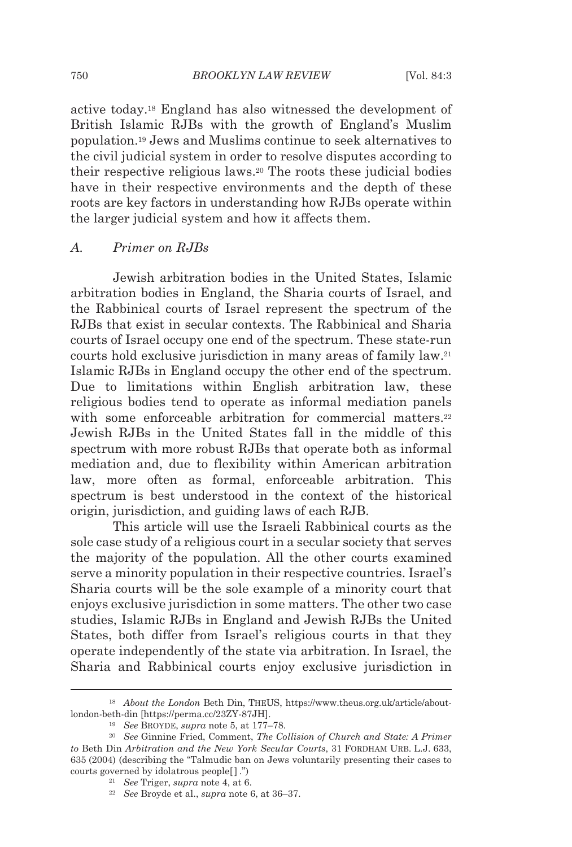active today.18 England has also witnessed the development of British Islamic RJBs with the growth of England's Muslim population.19 Jews and Muslims continue to seek alternatives to the civil judicial system in order to resolve disputes according to their respective religious laws.20 The roots these judicial bodies have in their respective environments and the depth of these roots are key factors in understanding how RJBs operate within the larger judicial system and how it affects them.

#### *A. Primer on RJBs*

Jewish arbitration bodies in the United States, Islamic arbitration bodies in England, the Sharia courts of Israel, and the Rabbinical courts of Israel represent the spectrum of the RJBs that exist in secular contexts. The Rabbinical and Sharia courts of Israel occupy one end of the spectrum. These state-run courts hold exclusive jurisdiction in many areas of family law.21 Islamic RJBs in England occupy the other end of the spectrum. Due to limitations within English arbitration law, these religious bodies tend to operate as informal mediation panels with some enforceable arbitration for commercial matters.<sup>22</sup> Jewish RJBs in the United States fall in the middle of this spectrum with more robust RJBs that operate both as informal mediation and, due to flexibility within American arbitration law, more often as formal, enforceable arbitration. This spectrum is best understood in the context of the historical origin, jurisdiction, and guiding laws of each RJB.

This article will use the Israeli Rabbinical courts as the sole case study of a religious court in a secular society that serves the majority of the population. All the other courts examined serve a minority population in their respective countries. Israel's Sharia courts will be the sole example of a minority court that enjoys exclusive jurisdiction in some matters. The other two case studies, Islamic RJBs in England and Jewish RJBs the United States, both differ from Israel's religious courts in that they operate independently of the state via arbitration. In Israel, the Sharia and Rabbinical courts enjoy exclusive jurisdiction in

<sup>18</sup> *About the London* Beth Din, THEUS, https://www.theus.org.uk/article/aboutlondon-beth-din [https://perma.cc/23ZY-87JH]. 19 *See* BROYDE, *supra* note 5, at 177–78. 20 *See* Ginnine Fried, Comment, *The Collision of Church and State: A Primer* 

*to* Beth Din *Arbitration and the New York Secular Courts*, 31 FORDHAM URB. L.J. 633, 635 (2004) (describing the "Talmudic ban on Jews voluntarily presenting their cases to courts governed by idolatrous people[ ] .") 21 *See* Triger, *supra* note 4, at 6. 22 *See* Broyde et al., *supra* note 6, at 36–37.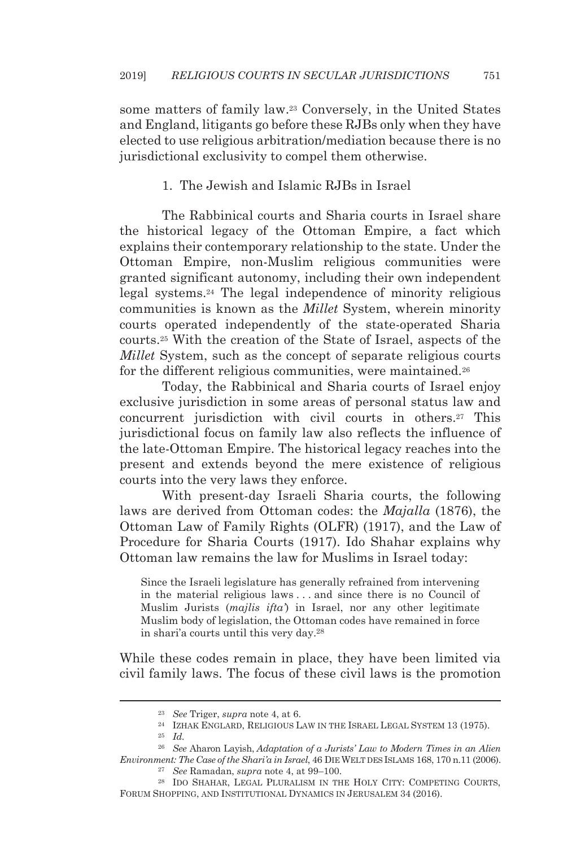some matters of family law.23 Conversely, in the United States and England, litigants go before these RJBs only when they have elected to use religious arbitration/mediation because there is no jurisdictional exclusivity to compel them otherwise.

### 1. The Jewish and Islamic RJBs in Israel

The Rabbinical courts and Sharia courts in Israel share the historical legacy of the Ottoman Empire, a fact which explains their contemporary relationship to the state. Under the Ottoman Empire, non-Muslim religious communities were granted significant autonomy, including their own independent legal systems.24 The legal independence of minority religious communities is known as the *Millet* System, wherein minority courts operated independently of the state-operated Sharia courts.25 With the creation of the State of Israel, aspects of the *Millet* System, such as the concept of separate religious courts for the different religious communities, were maintained.<sup>26</sup>

Today, the Rabbinical and Sharia courts of Israel enjoy exclusive jurisdiction in some areas of personal status law and concurrent jurisdiction with civil courts in others.27 This jurisdictional focus on family law also reflects the influence of the late-Ottoman Empire. The historical legacy reaches into the present and extends beyond the mere existence of religious courts into the very laws they enforce.

With present-day Israeli Sharia courts, the following laws are derived from Ottoman codes: the *Majalla* (1876), the Ottoman Law of Family Rights (OLFR) (1917), and the Law of Procedure for Sharia Courts (1917). Ido Shahar explains why Ottoman law remains the law for Muslims in Israel today:

Since the Israeli legislature has generally refrained from intervening in the material religious laws . . . and since there is no Council of Muslim Jurists (*majlis ifta'*) in Israel, nor any other legitimate Muslim body of legislation, the Ottoman codes have remained in force in shari'a courts until this very day.28

While these codes remain in place, they have been limited via civil family laws. The focus of these civil laws is the promotion

<sup>&</sup>lt;sup>23</sup> See Triger, *supra* note 4, at 6.<br><sup>24</sup> IZHAK ENGLARD, RELIGIOUS LAW IN THE ISRAEL LEGAL SYSTEM 13 (1975).<br><sup>25</sup> Id.

<sup>26</sup> *See* Aharon Layish, *Adaptation of a Jurists' Law to Modern Times in an Alien Environment: The Case of the Shari'a in Israel*, 46 DIE WELT DES ISLAMS 168, 170 n.11 (2006). 27 *See* Ramadan, *supra* note 4, at 99–100.

<sup>28</sup> IDO SHAHAR, LEGAL PLURALISM IN THE HOLY CITY: COMPETING COURTS, FORUM SHOPPING, AND INSTITUTIONAL DYNAMICS IN JERUSALEM 34 (2016).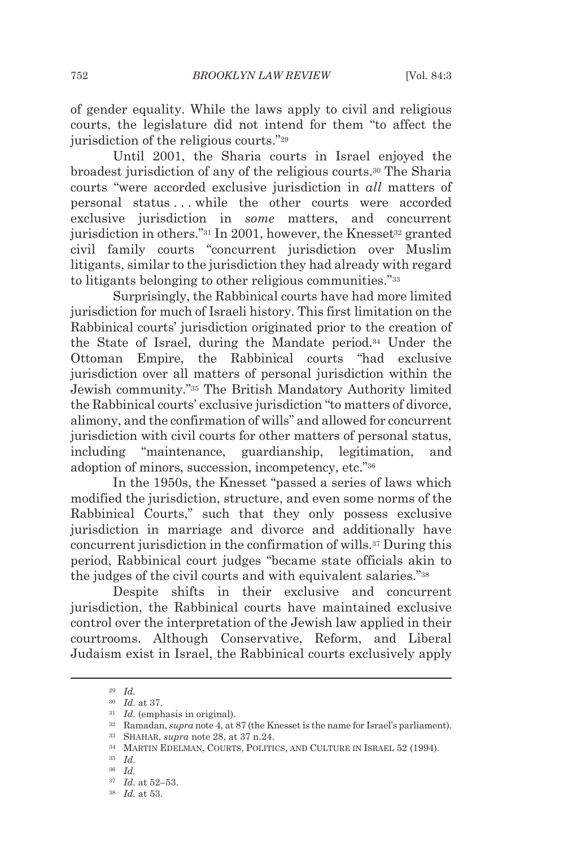of gender equality. While the laws apply to civil and religious courts, the legislature did not intend for them "to affect the jurisdiction of the religious courts."29

Until 2001, the Sharia courts in Israel enjoyed the broadest jurisdiction of any of the religious courts.30 The Sharia courts "were accorded exclusive jurisdiction in *all* matters of personal status . . . while the other courts were accorded exclusive jurisdiction in *some* matters, and concurrent jurisdiction in others." $31$  In 2001, however, the Knesset $32$  granted civil family courts "concurrent jurisdiction over Muslim litigants, similar to the jurisdiction they had already with regard to litigants belonging to other religious communities."33

Surprisingly, the Rabbinical courts have had more limited jurisdiction for much of Israeli history. This first limitation on the Rabbinical courts' jurisdiction originated prior to the creation of the State of Israel, during the Mandate period.34 Under the Ottoman Empire, the Rabbinical courts "had exclusive jurisdiction over all matters of personal jurisdiction within the Jewish community."35 The British Mandatory Authority limited the Rabbinical courts' exclusive jurisdiction "to matters of divorce, alimony, and the confirmation of wills" and allowed for concurrent jurisdiction with civil courts for other matters of personal status, including "maintenance, guardianship, legitimation, and adoption of minors, succession, incompetency, etc."36

In the 1950s, the Knesset "passed a series of laws which modified the jurisdiction, structure, and even some norms of the Rabbinical Courts," such that they only possess exclusive jurisdiction in marriage and divorce and additionally have concurrent jurisdiction in the confirmation of wills.37 During this period, Rabbinical court judges "became state officials akin to the judges of the civil courts and with equivalent salaries."38

Despite shifts in their exclusive and concurrent jurisdiction, the Rabbinical courts have maintained exclusive control over the interpretation of the Jewish law applied in their courtrooms. Although Conservative, Reform, and Liberal Judaism exist in Israel, the Rabbinical courts exclusively apply

<sup>29</sup> *Id.*

 $^{30}$   $\,$   $Id.$  at 37.  $^{31}$   $\,$   $Id.$  (emphasis in original).  $^{31}$   $\,$   $Id.$  (emphasis in original).  $^{32}$  Ramadan,  $supra$  note 4, at 87 (the Knesset is the name for Israel's parliament). SHAHAR,  $supra$  note 28, at 37 n

<sup>36</sup> *Id.*

<sup>37</sup> *Id.* at 52–53. 38 *Id.* at 53.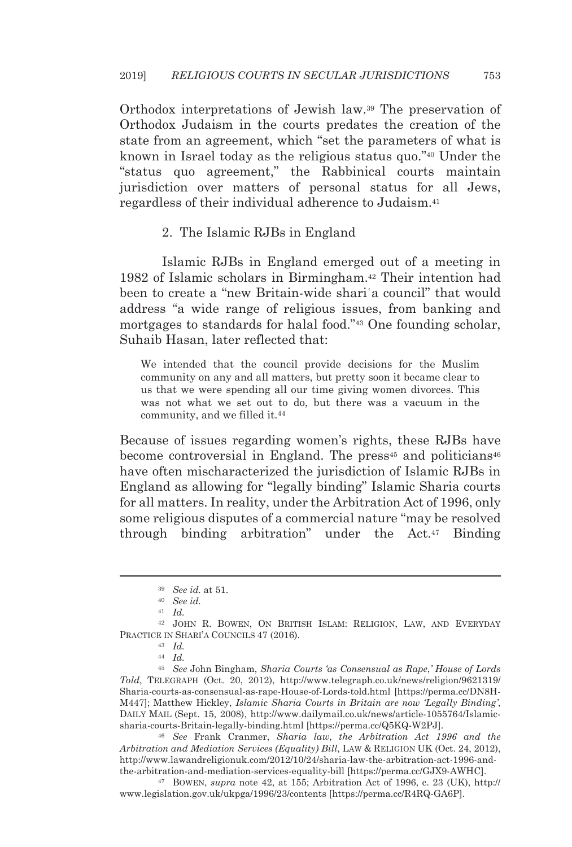Orthodox interpretations of Jewish law.39 The preservation of Orthodox Judaism in the courts predates the creation of the state from an agreement, which "set the parameters of what is known in Israel today as the religious status quo."40 Under the "status quo agreement," the Rabbinical courts maintain jurisdiction over matters of personal status for all Jews, regardless of their individual adherence to Judaism.41

#### 2. The Islamic RJBs in England

Islamic RJBs in England emerged out of a meeting in 1982 of Islamic scholars in Birmingham.42 Their intention had been to create a "new Britain-wide shariʿa council" that would address "a wide range of religious issues, from banking and mortgages to standards for halal food."43 One founding scholar, Suhaib Hasan, later reflected that:

We intended that the council provide decisions for the Muslim community on any and all matters, but pretty soon it became clear to us that we were spending all our time giving women divorces. This was not what we set out to do, but there was a vacuum in the community, and we filled it.44

Because of issues regarding women's rights, these RJBs have become controversial in England. The press<sup>45</sup> and politicians<sup>46</sup> have often mischaracterized the jurisdiction of Islamic RJBs in England as allowing for "legally binding" Islamic Sharia courts for all matters. In reality, under the Arbitration Act of 1996, only some religious disputes of a commercial nature "may be resolved through binding arbitration" under the Act.47 Binding

<sup>45</sup> *See* John Bingham, *Sharia Courts 'as Consensual as Rape*,*' House of Lords Told*, TELEGRAPH (Oct. 20, 2012), http://www.telegraph.co.uk/news/religion/9621319/ Sharia-courts-as-consensual-as-rape-House-of-Lords-told.html [https://perma.cc/DN8H-M447]; Matthew Hickley, *Islamic Sharia Courts in Britain are now 'Legally Binding'*, DAILY MAIL (Sept. 15, 2008), http://www.dailymail.co.uk/news/article-1055764/Islamicsharia-courts-Britain-legally-binding.html [https://perma.cc/Q5KQ-W2PJ]. 46 *See* Frank Cranmer, *Sharia law*, *the Arbitration Act 1996 and the* 

*Arbitration and Mediation Services (Equality) Bill*, LAW & RELIGION UK (Oct. 24, 2012), http://www.lawandreligionuk.com/2012/10/24/sharia-law-the-arbitration-act-1996-andthe-arbitration-and-mediation-services-equality-bill [https://perma.cc/GJX9-AWHC]. 47 BOWEN, *supra* note 42, at 155; Arbitration Act of 1996, c. 23 (UK), http://

www.legislation.gov.uk/ukpga/1996/23/contents [https://perma.cc/R4RQ-GA6P].

<sup>39</sup> *See id.* at 51.

<sup>40</sup> *See id.*

<sup>41</sup> *Id.*

<sup>42</sup> JOHN R. BOWEN, ON BRITISH ISLAM: RELIGION, LAW, AND EVERYDAY PRACTICE IN SHARI'A COUNCILS 47 (2016).<br><sup>43</sup> *Id.* 

<sup>44</sup> *Id.*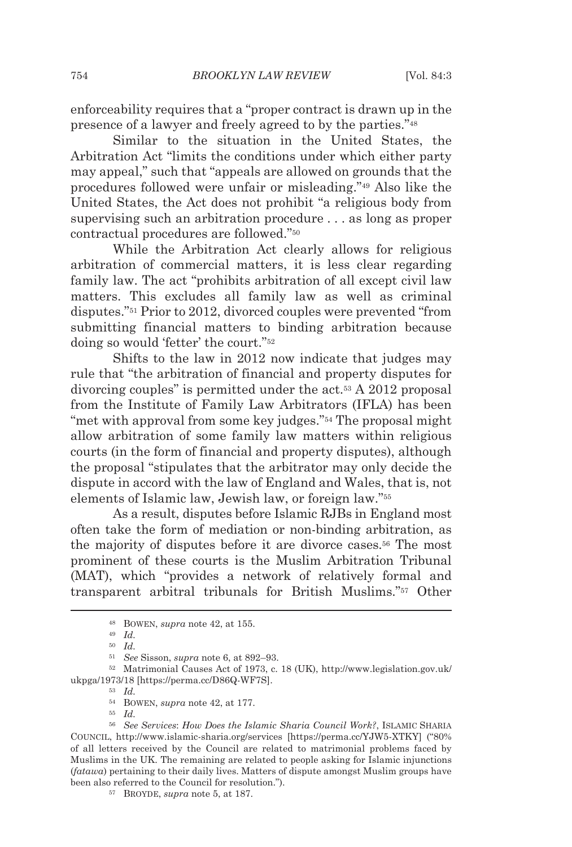enforceability requires that a "proper contract is drawn up in the presence of a lawyer and freely agreed to by the parties."48

Similar to the situation in the United States, the Arbitration Act "limits the conditions under which either party may appeal," such that "appeals are allowed on grounds that the procedures followed were unfair or misleading."49 Also like the United States, the Act does not prohibit "a religious body from supervising such an arbitration procedure . . . as long as proper contractual procedures are followed."50

While the Arbitration Act clearly allows for religious arbitration of commercial matters, it is less clear regarding family law. The act "prohibits arbitration of all except civil law matters. This excludes all family law as well as criminal disputes."51 Prior to 2012, divorced couples were prevented "from submitting financial matters to binding arbitration because doing so would 'fetter' the court."52

Shifts to the law in 2012 now indicate that judges may rule that "the arbitration of financial and property disputes for divorcing couples" is permitted under the act.53 A 2012 proposal from the Institute of Family Law Arbitrators (IFLA) has been "met with approval from some key judges."54 The proposal might allow arbitration of some family law matters within religious courts (in the form of financial and property disputes), although the proposal "stipulates that the arbitrator may only decide the dispute in accord with the law of England and Wales, that is, not elements of Islamic law, Jewish law, or foreign law."55

As a result, disputes before Islamic RJBs in England most often take the form of mediation or non-binding arbitration, as the majority of disputes before it are divorce cases.56 The most prominent of these courts is the Muslim Arbitration Tribunal (MAT), which "provides a network of relatively formal and transparent arbitral tribunals for British Muslims."57 Other

<sup>51</sup> *See* Sisson, *supra* note 6, at 892–93. 52 Matrimonial Causes Act of 1973, c. 18 (UK), http://www.legislation.gov.uk/ ukpga/1973/18 [https://perma.cc/D86Q-WF7S]. 53 *Id.*

<sup>48</sup> BOWEN, *supra* note 42, at 155. 49 *Id.*

<sup>50</sup> *Id.*

<sup>54</sup> BOWEN, *supra* note 42, at 177. 55 *Id.*

<sup>56</sup> *See Services*: *How Does the Islamic Sharia Council Work?*, ISLAMIC SHARIA COUNCIL, http://www.islamic-sharia.org/services [https://perma.cc/YJW5-XTKY] ("80% of all letters received by the Council are related to matrimonial problems faced by Muslims in the UK. The remaining are related to people asking for Islamic injunctions (*fatawa*) pertaining to their daily lives. Matters of dispute amongst Muslim groups have been also referred to the Council for resolution."). 57 BROYDE, *supra* note 5, at 187.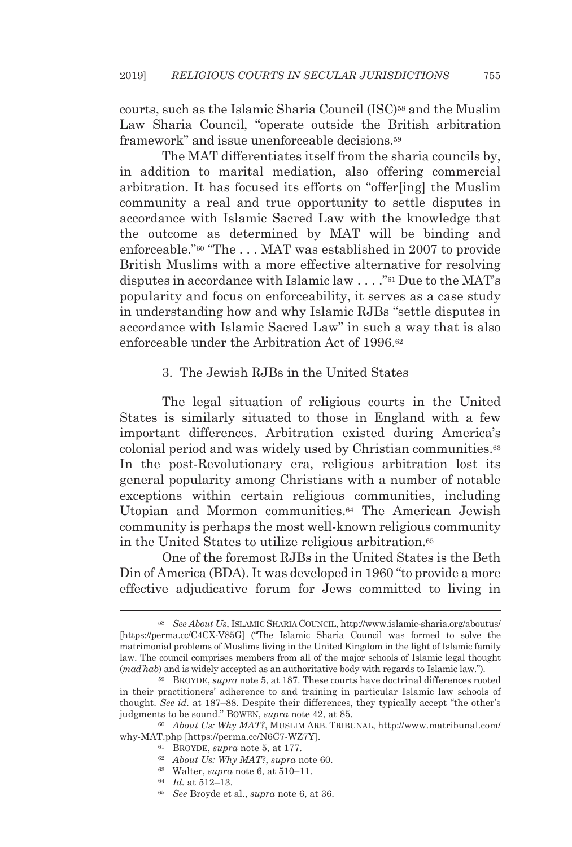courts, such as the Islamic Sharia Council (ISC)58 and the Muslim Law Sharia Council, "operate outside the British arbitration framework" and issue unenforceable decisions.59

The MAT differentiates itself from the sharia councils by, in addition to marital mediation, also offering commercial arbitration. It has focused its efforts on "offer[ing] the Muslim community a real and true opportunity to settle disputes in accordance with Islamic Sacred Law with the knowledge that the outcome as determined by MAT will be binding and enforceable."60 "The . . . MAT was established in 2007 to provide British Muslims with a more effective alternative for resolving disputes in accordance with Islamic law . . . ."61 Due to the MAT's popularity and focus on enforceability, it serves as a case study in understanding how and why Islamic RJBs "settle disputes in accordance with Islamic Sacred Law" in such a way that is also enforceable under the Arbitration Act of 1996.62

#### 3. The Jewish RJBs in the United States

The legal situation of religious courts in the United States is similarly situated to those in England with a few important differences. Arbitration existed during America's colonial period and was widely used by Christian communities.63 In the post-Revolutionary era, religious arbitration lost its general popularity among Christians with a number of notable exceptions within certain religious communities, including Utopian and Mormon communities.64 The American Jewish community is perhaps the most well-known religious community in the United States to utilize religious arbitration.65

One of the foremost RJBs in the United States is the Beth Din of America (BDA). It was developed in 1960 "to provide a more effective adjudicative forum for Jews committed to living in

<sup>58</sup> *See About Us*, ISLAMIC SHARIA COUNCIL, http://www.islamic-sharia.org/aboutus/ [https://perma.cc/C4CX-V85G] ("The Islamic Sharia Council was formed to solve the matrimonial problems of Muslims living in the United Kingdom in the light of Islamic family law. The council comprises members from all of the major schools of Islamic legal thought (*mad'hab*) and is widely accepted as an authoritative body with regards to Islamic law.").

<sup>59</sup> BROYDE, *supra* note 5, at 187. These courts have doctrinal differences rooted in their practitioners' adherence to and training in particular Islamic law schools of thought. *See id.* at 187–88. Despite their differences, they typically accept "the other's judgments to be sound." BOWEN, *supra* note 42, at 85.<br><sup>60</sup> About Us: Why MAT?, MUSLIM ARB. TRIBUNAL, http://www.matribunal.com/

why-MAT.php [https://perma.cc/N6C7-WZ7Y].<br>
<sup>61</sup> BROYDE, *supra* note 5, at 177.<br>
<sup>62</sup> About Us: Why MAT?, *supra* note 60.<br>
<sup>63</sup> Walter, *supra* note 6, at 510–11.<br>
<sup>64</sup> Id. at 512–13.<br>
<sup>65</sup> See Broyde et al., *supra* not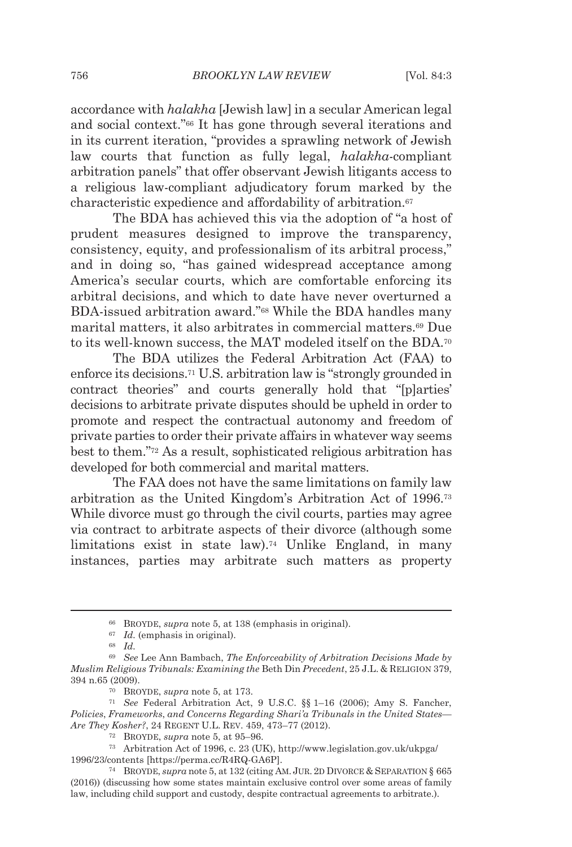accordance with *halakha* [Jewish law] in a secular American legal and social context."66 It has gone through several iterations and in its current iteration, "provides a sprawling network of Jewish law courts that function as fully legal, *halakha*-compliant arbitration panels" that offer observant Jewish litigants access to a religious law-compliant adjudicatory forum marked by the characteristic expedience and affordability of arbitration.<sup>67</sup>

The BDA has achieved this via the adoption of "a host of prudent measures designed to improve the transparency, consistency, equity, and professionalism of its arbitral process," and in doing so, "has gained widespread acceptance among America's secular courts, which are comfortable enforcing its arbitral decisions, and which to date have never overturned a BDA-issued arbitration award."68 While the BDA handles many marital matters, it also arbitrates in commercial matters.69 Due to its well-known success, the MAT modeled itself on the BDA.70

The BDA utilizes the Federal Arbitration Act (FAA) to enforce its decisions.71 U.S. arbitration law is "strongly grounded in contract theories" and courts generally hold that "[p]arties' decisions to arbitrate private disputes should be upheld in order to promote and respect the contractual autonomy and freedom of private parties to order their private affairs in whatever way seems best to them."72 As a result, sophisticated religious arbitration has developed for both commercial and marital matters.

The FAA does not have the same limitations on family law arbitration as the United Kingdom's Arbitration Act of 1996.73 While divorce must go through the civil courts, parties may agree via contract to arbitrate aspects of their divorce (although some limitations exist in state law).<sup>74</sup> Unlike England, in many instances, parties may arbitrate such matters as property

<sup>66</sup> BROYDE, *supra* note 5, at 138 (emphasis in original). 67 *Id.* (emphasis in original). 68 *Id.*

<sup>69</sup> *See* Lee Ann Bambach, *The Enforceability of Arbitration Decisions Made by Muslim Religious Tribunals: Examining the* Beth Din *Precedent*, 25 J.L. & RELIGION 379, 394 n.65 (2009). 70 BROYDE, *supra* note 5, at 173. 71 *See* Federal Arbitration Act, 9 U.S.C. §§ 1–16 (2006); Amy S. Fancher,

*Policies*, *Frameworks*, *and Concerns Regarding Shari'a Tribunals in the United States— Are They Kosher?*, 24 REGENT U.L. REV. 459, 473–77 (2012).<br><sup>72</sup> BROYDE, *supra* note 5, at 95–96.<br><sup>73</sup> Arbitration Act of 1996, c. 23 (UK), http://www.legislation.gov.uk/ukpga/

<sup>1996/23/</sup>contents [https://perma.cc/R4RQ-GA6P]. 74 BROYDE, *supra* note 5, at 132 (citing AM. JUR. 2D DIVORCE & SEPARATION § 665

<sup>(2016)) (</sup>discussing how some states maintain exclusive control over some areas of family law, including child support and custody, despite contractual agreements to arbitrate.).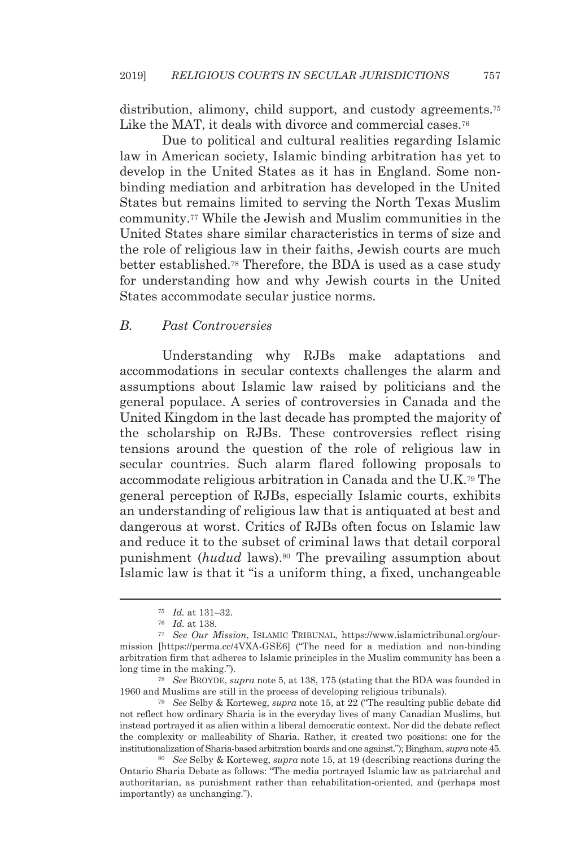distribution, alimony, child support, and custody agreements.<sup>75</sup> Like the MAT, it deals with divorce and commercial cases.<sup>76</sup>

Due to political and cultural realities regarding Islamic law in American society, Islamic binding arbitration has yet to develop in the United States as it has in England. Some nonbinding mediation and arbitration has developed in the United States but remains limited to serving the North Texas Muslim community.77 While the Jewish and Muslim communities in the United States share similar characteristics in terms of size and the role of religious law in their faiths, Jewish courts are much better established.78 Therefore, the BDA is used as a case study for understanding how and why Jewish courts in the United States accommodate secular justice norms.

#### *B. Past Controversies*

Understanding why RJBs make adaptations and accommodations in secular contexts challenges the alarm and assumptions about Islamic law raised by politicians and the general populace. A series of controversies in Canada and the United Kingdom in the last decade has prompted the majority of the scholarship on RJBs. These controversies reflect rising tensions around the question of the role of religious law in secular countries. Such alarm flared following proposals to accommodate religious arbitration in Canada and the U.K.79 The general perception of RJBs, especially Islamic courts, exhibits an understanding of religious law that is antiquated at best and dangerous at worst. Critics of RJBs often focus on Islamic law and reduce it to the subset of criminal laws that detail corporal punishment (*hudud* laws).80 The prevailing assumption about Islamic law is that it "is a uniform thing, a fixed, unchangeable

1960 and Muslims are still in the process of developing religious tribunals). 79 *See* Selby & Korteweg, *supra* note 15, at 22 ("The resulting public debate did

not reflect how ordinary Sharia is in the everyday lives of many Canadian Muslims, but instead portrayed it as alien within a liberal democratic context. Nor did the debate reflect the complexity or malleability of Sharia. Rather, it created two positions: one for the institutionalization of Sharia-based arbitration boards and one against."); Bingham, *supra* note 45. <sup>80</sup> See Selby & Korteweg, *supra* note 15, at 19 (describing reactions during the

Ontario Sharia Debate as follows: "The media portrayed Islamic law as patriarchal and authoritarian, as punishment rather than rehabilitation-oriented, and (perhaps most importantly) as unchanging.").

<sup>75</sup> *Id.* at 131–32. 76 *Id.* at 138. 77 *See Our Mission*, ISLAMIC TRIBUNAL, https://www.islamictribunal.org/ourmission [https://perma.cc/4VXA-GSE6] ("The need for a mediation and non-binding arbitration firm that adheres to Islamic principles in the Muslim community has been a long time in the making."). 78 *See* BROYDE, *supra* note 5, at 138, 175 (stating that the BDA was founded in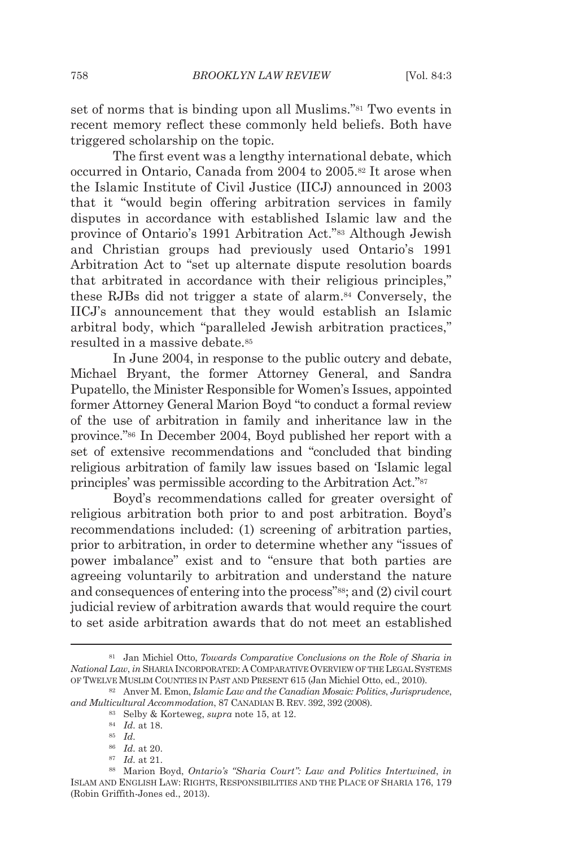set of norms that is binding upon all Muslims."81 Two events in recent memory reflect these commonly held beliefs. Both have triggered scholarship on the topic.

The first event was a lengthy international debate, which occurred in Ontario, Canada from 2004 to 2005.82 It arose when the Islamic Institute of Civil Justice (IICJ) announced in 2003 that it "would begin offering arbitration services in family disputes in accordance with established Islamic law and the province of Ontario's 1991 Arbitration Act."83 Although Jewish and Christian groups had previously used Ontario's 1991 Arbitration Act to "set up alternate dispute resolution boards that arbitrated in accordance with their religious principles," these RJBs did not trigger a state of alarm.84 Conversely, the IICJ's announcement that they would establish an Islamic arbitral body, which "paralleled Jewish arbitration practices," resulted in a massive debate.85

In June 2004, in response to the public outcry and debate, Michael Bryant, the former Attorney General, and Sandra Pupatello, the Minister Responsible for Women's Issues, appointed former Attorney General Marion Boyd "to conduct a formal review of the use of arbitration in family and inheritance law in the province."86 In December 2004, Boyd published her report with a set of extensive recommendations and "concluded that binding religious arbitration of family law issues based on 'Islamic legal principles' was permissible according to the Arbitration Act."87

Boyd's recommendations called for greater oversight of religious arbitration both prior to and post arbitration. Boyd's recommendations included: (1) screening of arbitration parties, prior to arbitration, in order to determine whether any "issues of power imbalance" exist and to "ensure that both parties are agreeing voluntarily to arbitration and understand the nature and consequences of entering into the process"<sup>88</sup>; and (2) civil court judicial review of arbitration awards that would require the court to set aside arbitration awards that do not meet an established

<sup>81</sup> Jan Michiel Otto, *Towards Comparative Conclusions on the Role of Sharia in National Law*, *in* SHARIA INCORPORATED: A COMPARATIVE OVERVIEW OF THE LEGAL SYSTEMS OF TWELVE MUSLIM COUNTIES IN PAST AND PRESENT 615 (Jan Michiel Otto, ed., 2010). 82 Anver M. Emon, *Islamic Law and the Canadian Mosaic: Politics*, *Jurisprudence*,

*and Multicultural Accommodation*, 87 CANADIAN B. REV. 392, 392 (2008). <sup>83</sup> Selby & Korteweg, *supra* note 15, at 12. <sup>84</sup> *Id.* at 18. <sup>85</sup> *Id.* 

<sup>86</sup> *Id.* at 20. 87 *Id.* at 21. 88 Marion Boyd, *Ontario's "Sharia Court": Law and Politics Intertwined*, *in* ISLAM AND ENGLISH LAW: RIGHTS, RESPONSIBILITIES AND THE PLACE OF SHARIA 176, 179 (Robin Griffith-Jones ed., 2013).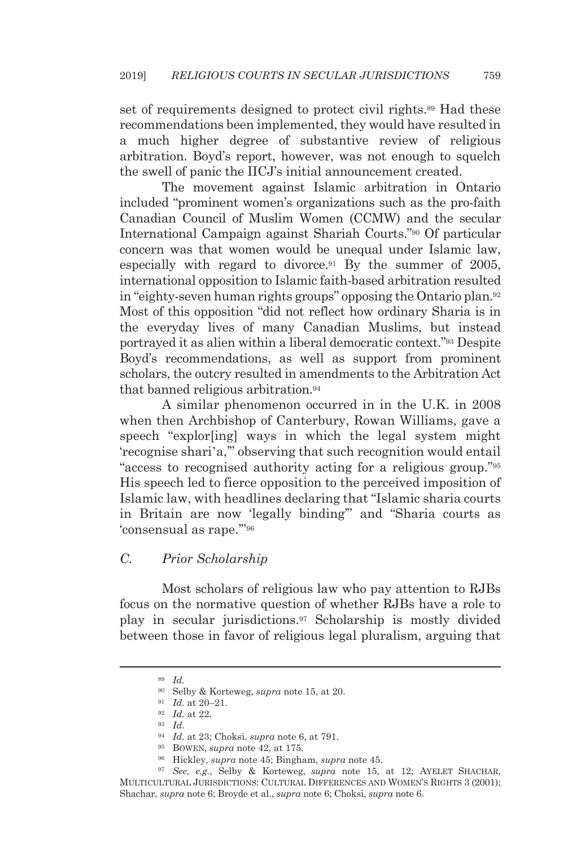set of requirements designed to protect civil rights.<sup>89</sup> Had these recommendations been implemented, they would have resulted in a much higher degree of substantive review of religious arbitration. Boyd's report, however, was not enough to squelch the swell of panic the IICJ's initial announcement created.

The movement against Islamic arbitration in Ontario included "prominent women's organizations such as the pro-faith Canadian Council of Muslim Women (CCMW) and the secular International Campaign against Shariah Courts."90 Of particular concern was that women would be unequal under Islamic law, especially with regard to divorce.91 By the summer of 2005, international opposition to Islamic faith-based arbitration resulted in "eighty-seven human rights groups" opposing the Ontario plan.92 Most of this opposition "did not reflect how ordinary Sharia is in the everyday lives of many Canadian Muslims, but instead portrayed it as alien within a liberal democratic context."93 Despite Boyd's recommendations, as well as support from prominent scholars, the outcry resulted in amendments to the Arbitration Act that banned religious arbitration.94

A similar phenomenon occurred in in the U.K. in 2008 when then Archbishop of Canterbury, Rowan Williams, gave a speech "explor[ing] ways in which the legal system might 'recognise shari'a,'" observing that such recognition would entail "access to recognised authority acting for a religious group."95 His speech led to fierce opposition to the perceived imposition of Islamic law, with headlines declaring that "Islamic sharia courts in Britain are now 'legally binding'" and "Sharia courts as 'consensual as rape.'"96

#### *C. Prior Scholarship*

Most scholars of religious law who pay attention to RJBs focus on the normative question of whether RJBs have a role to play in secular jurisdictions.97 Scholarship is mostly divided between those in favor of religious legal pluralism, arguing that

<sup>94</sup> *Id.* at 23; Choksi, *supra* note 6, at 791.<br>
<sup>95</sup> BOWEN, *supra* note 42, at 175.<br>
<sup>96</sup> Hickley, *supra* note 45; Bingham, *supra* note 45.<br>
<sup>97</sup> *See*, *e.g.*, Selby & Korteweg, *supra* note 15, at 12: AYELET SHACH MULTICULTURAL JURISDICTIONS: CULTURAL DIFFERENCES AND WOMEN'S RIGHTS 3 (2001); Shachar, *supra* note 6; Broyde et al., *supra* note 6; Choksi, *supra* note 6.

<sup>89</sup> *Id.*

<sup>90</sup> Selby & Korteweg, *supra* note 15, at 20. 91 *Id.* at 20–21. 92 *Id.* at 22. 93 *Id.*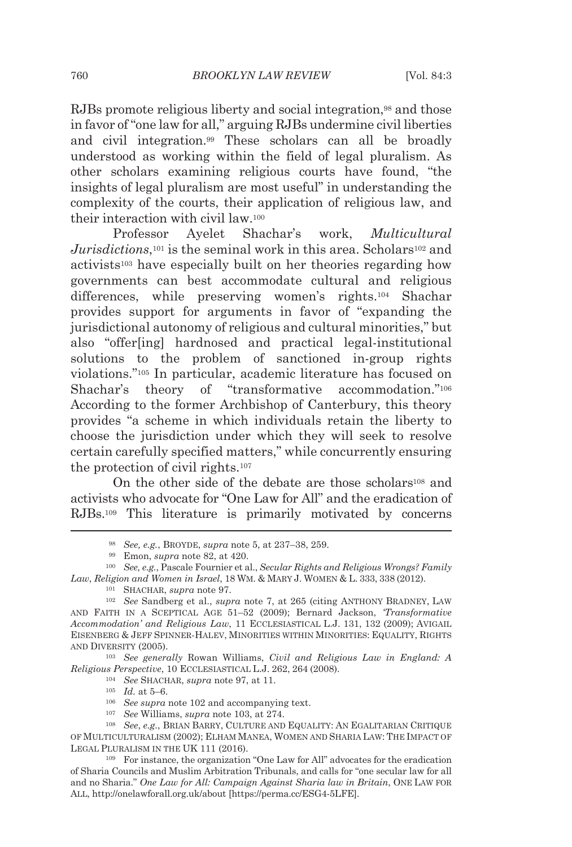RJBs promote religious liberty and social integration,<sup>98</sup> and those in favor of "one law for all," arguing RJBs undermine civil liberties and civil integration.99 These scholars can all be broadly understood as working within the field of legal pluralism. As other scholars examining religious courts have found, "the insights of legal pluralism are most useful" in understanding the complexity of the courts, their application of religious law, and their interaction with civil law.100

Professor Ayelet Shachar's work, *Multicultural Jurisdictions*,<sup>101</sup> is the seminal work in this area. Scholars<sup>102</sup> and activists103 have especially built on her theories regarding how governments can best accommodate cultural and religious differences, while preserving women's rights.104 Shachar provides support for arguments in favor of "expanding the jurisdictional autonomy of religious and cultural minorities," but also "offer[ing] hardnosed and practical legal-institutional solutions to the problem of sanctioned in-group rights violations."105 In particular, academic literature has focused on Shachar's theory of "transformative accommodation."106 According to the former Archbishop of Canterbury, this theory provides "a scheme in which individuals retain the liberty to choose the jurisdiction under which they will seek to resolve certain carefully specified matters," while concurrently ensuring the protection of civil rights.107

On the other side of the debate are those scholars<sup>108</sup> and activists who advocate for "One Law for All" and the eradication of RJBs.109 This literature is primarily motivated by concerns

Religious Perspective, 10 ECCLESIASTICAL L.J. 262, 264 (2008).<br>
<sup>104</sup> See SHACHAR, *supra* note 97, at 11.<br>
<sup>105</sup> Id. at 5–6.<br>
<sup>105</sup> See supra note 102 and accompanying text.<br>
<sup>107</sup> See Williams, *supra* note 103, at 274.

- 
- 

<sup>&</sup>lt;sup>98</sup> *See, e.g.*, BROYDE, *supra* note 5, at 237–38, 259.<br><sup>99</sup> Emon, *supra* note 82, at 420.<br><sup>100</sup> *See, e.g.*, Pascale Fournier et al., *Secular Rights and Religious Wrongs? Family Law, Religion and Women in Israel,* 18 WM. & MARY J. WOMEN & L. 333, 338 (2012).<br><sup>101</sup> SHACHAR, *supra* note 97.<br><sup>102</sup> *See* Sandberg et al., *supra* note 7, at 265 (citing ANTHONY BRADNEY, LAW

AND FAITH IN A SCEPTICAL AGE 51–52 (2009); Bernard Jackson, *'Transformative Accommodation' and Religious Law*, 11 ECCLESIASTICAL L.J. 131, 132 (2009); AVIGAIL EISENBERG & JEFF SPINNER-HALEV, MINORITIES WITHIN MINORITIES: EQUALITY, RIGHTS AND DIVERSITY (2005). 103 *See generally* Rowan Williams, *Civil and Religious Law in England: A* 

OF MULTICULTURALISM (2002); ELHAM MANEA, WOMEN AND SHARIA LAW: THE IMPACT OF LEGAL PLURALISM IN THE UK 111 (2016).<br><sup>109</sup> For instance, the organization "One Law for All" advocates for the eradication

of Sharia Councils and Muslim Arbitration Tribunals, and calls for "one secular law for all and no Sharia." *One Law for All: Campaign Against Sharia law in Britain*, ONE LAW FOR ALL, http://onelawforall.org.uk/about [https://perma.cc/ESG4-5LFE].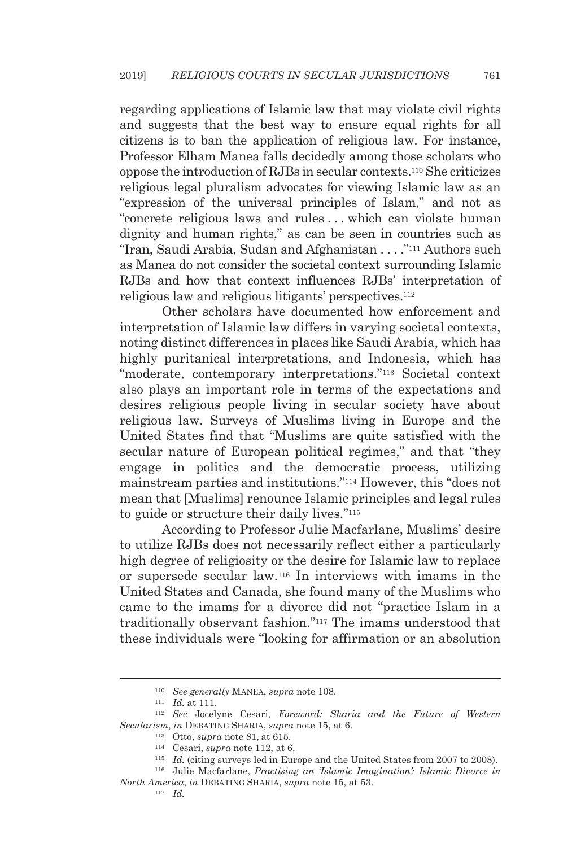regarding applications of Islamic law that may violate civil rights and suggests that the best way to ensure equal rights for all citizens is to ban the application of religious law. For instance, Professor Elham Manea falls decidedly among those scholars who oppose the introduction of RJBs in secular contexts.110 She criticizes religious legal pluralism advocates for viewing Islamic law as an "expression of the universal principles of Islam," and not as "concrete religious laws and rules . . . which can violate human dignity and human rights," as can be seen in countries such as "Iran, Saudi Arabia, Sudan and Afghanistan . . . ."111 Authors such as Manea do not consider the societal context surrounding Islamic RJBs and how that context influences RJBs' interpretation of religious law and religious litigants' perspectives.112

Other scholars have documented how enforcement and interpretation of Islamic law differs in varying societal contexts, noting distinct differences in places like Saudi Arabia, which has highly puritanical interpretations, and Indonesia, which has "moderate, contemporary interpretations."113 Societal context also plays an important role in terms of the expectations and desires religious people living in secular society have about religious law. Surveys of Muslims living in Europe and the United States find that "Muslims are quite satisfied with the secular nature of European political regimes," and that "they engage in politics and the democratic process, utilizing mainstream parties and institutions."114 However, this "does not mean that [Muslims] renounce Islamic principles and legal rules to guide or structure their daily lives."115

According to Professor Julie Macfarlane, Muslims' desire to utilize RJBs does not necessarily reflect either a particularly high degree of religiosity or the desire for Islamic law to replace or supersede secular law.116 In interviews with imams in the United States and Canada, she found many of the Muslims who came to the imams for a divorce did not "practice Islam in a traditionally observant fashion."117 The imams understood that these individuals were "looking for affirmation or an absolution

<sup>110</sup> *See generally* MANEA, *supra* note 108. 111 *Id.* at 111. 112 *See* Jocelyne Cesari, *Foreword: Sharia and the Future of Western*  Secularism, in DEBATING SHARIA, supra note 15, at 6.<br>
<sup>113</sup> Otto, supra note 81, at 615.<br>
<sup>114</sup> Cesari, *supra* note 112, at 6.<br>
<sup>114</sup> Cesari, *supra* note 112, at 6.<br>
<sup>115</sup> Id. (citing surveys led in Europe and the United

*North America, in DEBATING SHARIA, supra* note 15, at 53.<br> $\frac{117}{117}$ *Id.*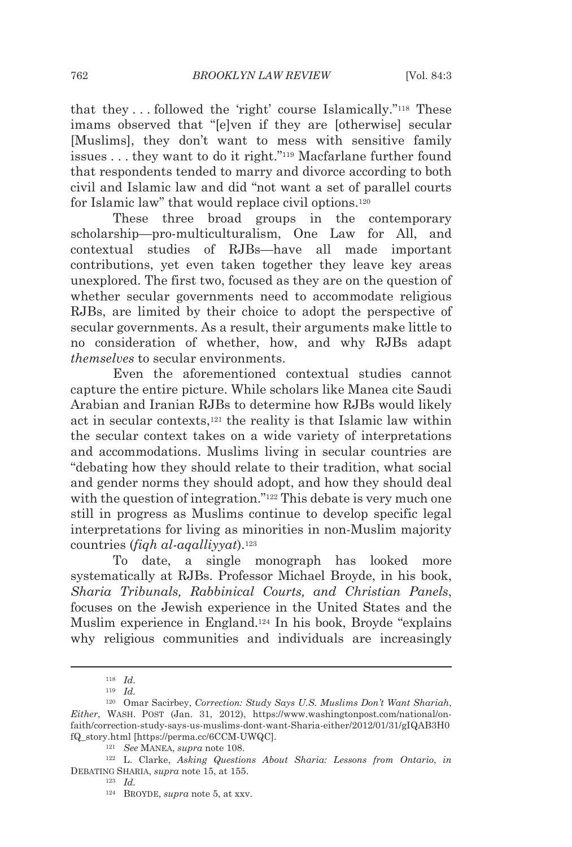that they . . . followed the 'right' course Islamically."118 These imams observed that "[e]ven if they are [otherwise] secular [Muslims], they don't want to mess with sensitive family issues . . . they want to do it right."119 Macfarlane further found that respondents tended to marry and divorce according to both civil and Islamic law and did "not want a set of parallel courts for Islamic law" that would replace civil options.120

These three broad groups in the contemporary scholarship—pro-multiculturalism, One Law for All, and contextual studies of RJBs—have all made important contributions, yet even taken together they leave key areas unexplored. The first two, focused as they are on the question of whether secular governments need to accommodate religious RJBs, are limited by their choice to adopt the perspective of secular governments. As a result, their arguments make little to no consideration of whether, how, and why RJBs adapt *themselves* to secular environments.

Even the aforementioned contextual studies cannot capture the entire picture. While scholars like Manea cite Saudi Arabian and Iranian RJBs to determine how RJBs would likely act in secular contexts,121 the reality is that Islamic law within the secular context takes on a wide variety of interpretations and accommodations. Muslims living in secular countries are "debating how they should relate to their tradition, what social and gender norms they should adopt, and how they should deal with the question of integration."<sup>122</sup> This debate is very much one still in progress as Muslims continue to develop specific legal interpretations for living as minorities in non-Muslim majority countries (*fiqh al-aqalliyyat*).123

To date, a single monograph has looked more systematically at RJBs. Professor Michael Broyde, in his book, *Sharia Tribunals, Rabbinical Courts, and Christian Panels*, focuses on the Jewish experience in the United States and the Muslim experience in England.124 In his book, Broyde "explains why religious communities and individuals are increasingly

<sup>118</sup> *Id.*

<sup>119</sup> *Id.*

<sup>120</sup> Omar Sacirbey, *Correction: Study Says U.S. Muslims Don't Want Shariah*, *Either*, WASH. POST (Jan. 31, 2012), https://www.washingtonpost.com/national/onfaith/correction-study-says-us-muslims-dont-want-Sharia-either/2012/01/31/gIQAB3H0 fQ\_story.html [https://perma.cc/6CCM-UWQC]. 121 *See* MANEA, *supra* note 108. 122 L. Clarke, *Asking Questions About Sharia: Lessons from Ontario*, *in*

DEBATING SHARIA, *supra* note 15, at 155.<br><sup>123</sup> *Id.* 

<sup>124</sup> BROYDE, *supra* note 5, at xxv.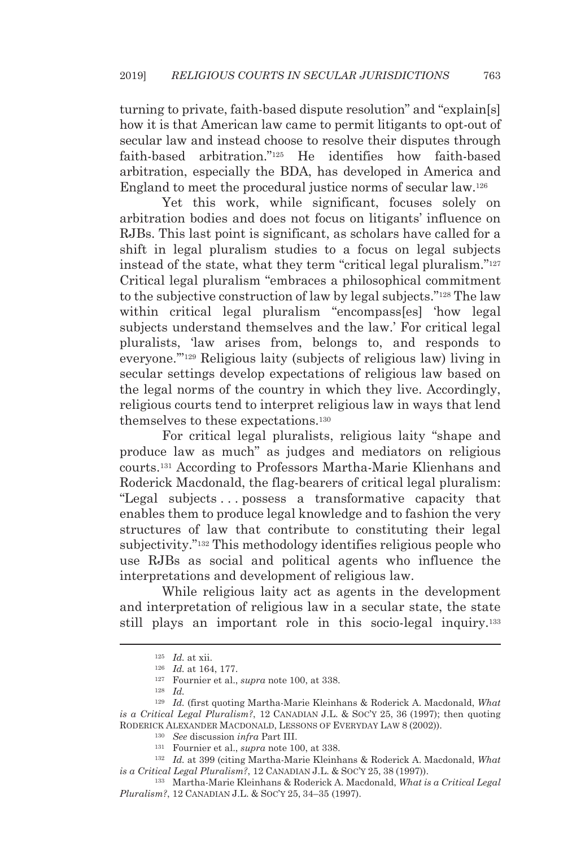turning to private, faith-based dispute resolution" and "explain[s] how it is that American law came to permit litigants to opt-out of secular law and instead choose to resolve their disputes through faith-based arbitration."125 He identifies how faith-based arbitration, especially the BDA, has developed in America and England to meet the procedural justice norms of secular law.126

Yet this work, while significant, focuses solely on arbitration bodies and does not focus on litigants' influence on RJBs. This last point is significant, as scholars have called for a shift in legal pluralism studies to a focus on legal subjects instead of the state, what they term "critical legal pluralism."127 Critical legal pluralism "embraces a philosophical commitment to the subjective construction of law by legal subjects."128 The law within critical legal pluralism "encompass[es] 'how legal subjects understand themselves and the law.' For critical legal pluralists, 'law arises from, belongs to, and responds to everyone.'"129 Religious laity (subjects of religious law) living in secular settings develop expectations of religious law based on the legal norms of the country in which they live. Accordingly, religious courts tend to interpret religious law in ways that lend themselves to these expectations.130

For critical legal pluralists, religious laity "shape and produce law as much" as judges and mediators on religious courts.131 According to Professors Martha-Marie Klienhans and Roderick Macdonald, the flag-bearers of critical legal pluralism: "Legal subjects . . . possess a transformative capacity that enables them to produce legal knowledge and to fashion the very structures of law that contribute to constituting their legal subjectivity."132 This methodology identifies religious people who use RJBs as social and political agents who influence the interpretations and development of religious law.

While religious laity act as agents in the development and interpretation of religious law in a secular state, the state still plays an important role in this socio-legal inquiry.133

<sup>125</sup> *Id.* at xii. 126 *Id.* at 164, 177. 127 Fournier et al., *supra* note 100, at 338. 128 *Id.*

<sup>129</sup> *Id.* (first quoting Martha-Marie Kleinhans & Roderick A. Macdonald, *What is a Critical Legal Pluralism?*, 12 CANADIAN J.L. & SOC'Y 25, 36 (1997); then quoting RODERICK ALEXANDER MACDONALD, LESSONS OF EVERYDAY LAW 8 (2002)).<br>
<sup>130</sup> See discussion *infra* Part III.<br>
<sup>131</sup> Fournier et al., *supra* note 100, at 338.<br>
<sup>132</sup> Id. at 399 (citing Martha-Marie Kleinhans & Roderick A. Mac

*is a Critical Legal Pluralism?*, 12 CANADIAN J.L. & SOC'Y 25, <sup>38</sup> (1997)). 133 Martha-Marie Kleinhans & Roderick A. Macdonald, *What is a Critical Legal* 

*Pluralism?*, 12 CANADIAN J.L. & SOC'Y 25, 34–35 (1997).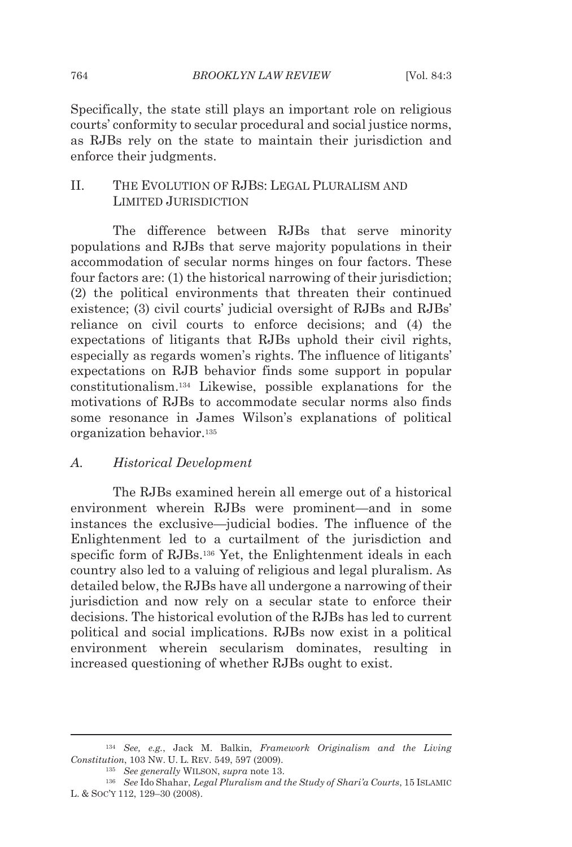Specifically, the state still plays an important role on religious courts' conformity to secular procedural and social justice norms, as RJBs rely on the state to maintain their jurisdiction and enforce their judgments.

### II. THE EVOLUTION OF RJBS: LEGAL PLURALISM AND LIMITED JURISDICTION

The difference between RJBs that serve minority populations and RJBs that serve majority populations in their accommodation of secular norms hinges on four factors. These four factors are: (1) the historical narrowing of their jurisdiction; (2) the political environments that threaten their continued existence; (3) civil courts' judicial oversight of RJBs and RJBs' reliance on civil courts to enforce decisions; and (4) the expectations of litigants that RJBs uphold their civil rights, especially as regards women's rights. The influence of litigants' expectations on RJB behavior finds some support in popular constitutionalism.134 Likewise, possible explanations for the motivations of RJBs to accommodate secular norms also finds some resonance in James Wilson's explanations of political organization behavior.135

#### *A. Historical Development*

The RJBs examined herein all emerge out of a historical environment wherein RJBs were prominent—and in some instances the exclusive—judicial bodies. The influence of the Enlightenment led to a curtailment of the jurisdiction and specific form of RJBs.136 Yet, the Enlightenment ideals in each country also led to a valuing of religious and legal pluralism. As detailed below, the RJBs have all undergone a narrowing of their jurisdiction and now rely on a secular state to enforce their decisions. The historical evolution of the RJBs has led to current political and social implications. RJBs now exist in a political environment wherein secularism dominates, resulting in increased questioning of whether RJBs ought to exist.

<sup>134</sup> *See, e.g.*, Jack M. Balkin, *Framework Originalism and the Living Constitution*, 103 NW. U. L. REV. 549, 597 (2009). 135 *See generally* WILSON, *supra* note 13. 136 *See* Ido Shahar, *Legal Pluralism and the Study of Shari'a Courts*, 15 ISLAMIC

L. & SOC'Y 112, 129–30 (2008).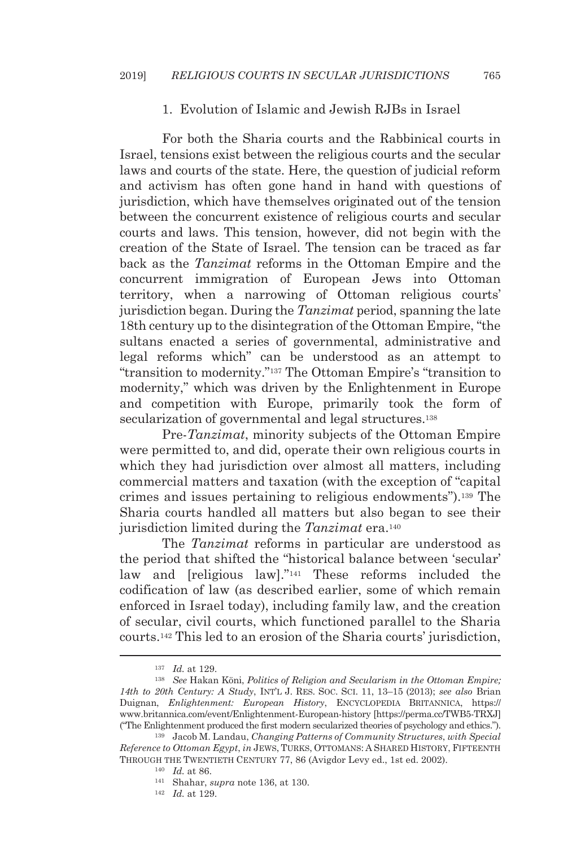#### 1. Evolution of Islamic and Jewish RJBs in Israel

For both the Sharia courts and the Rabbinical courts in Israel, tensions exist between the religious courts and the secular laws and courts of the state. Here, the question of judicial reform and activism has often gone hand in hand with questions of jurisdiction, which have themselves originated out of the tension between the concurrent existence of religious courts and secular courts and laws. This tension, however, did not begin with the creation of the State of Israel. The tension can be traced as far back as the *Tanzimat* reforms in the Ottoman Empire and the concurrent immigration of European Jews into Ottoman territory, when a narrowing of Ottoman religious courts' jurisdiction began. During the *Tanzimat* period, spanning the late 18th century up to the disintegration of the Ottoman Empire, "the sultans enacted a series of governmental, administrative and legal reforms which" can be understood as an attempt to "transition to modernity."137 The Ottoman Empire's "transition to modernity," which was driven by the Enlightenment in Europe and competition with Europe, primarily took the form of secularization of governmental and legal structures.<sup>138</sup>

Pre-*Tanzimat*, minority subjects of the Ottoman Empire were permitted to, and did, operate their own religious courts in which they had jurisdiction over almost all matters, including commercial matters and taxation (with the exception of "capital crimes and issues pertaining to religious endowments").139 The Sharia courts handled all matters but also began to see their jurisdiction limited during the *Tanzimat* era.<sup>140</sup>

The *Tanzimat* reforms in particular are understood as the period that shifted the "historical balance between 'secular' law and [religious law]."141 These reforms included the codification of law (as described earlier, some of which remain enforced in Israel today), including family law, and the creation of secular, civil courts, which functioned parallel to the Sharia courts.142 This led to an erosion of the Sharia courts' jurisdiction,

<sup>&</sup>lt;sup>137</sup> Id. at 129.<br><sup>138</sup> See Hakan Köni, *Politics of Religion and Secularism in the Ottoman Empire; 14th to 20th Century: A Study*, INT'L J. RES. SOC. SCI. 11, 13–15 (2013); *see also* Brian Duignan, *Enlightenment: European History*, ENCYCLOPEDIA BRITANNICA, https:// www.britannica.com/event/Enlightenment-European-history [https://perma.cc/TWB5-TRXJ] ("The Enlightenment produced the first modern secularized theories of psychology and ethics."). 139 Jacob M. Landau, *Changing Patterns of Community Structures*, *with Special* 

*Reference to Ottoman Egypt*, *in* JEWS, TURKS, OTTOMANS: A SHARED HISTORY, FIFTEENTH THROUGH THE TWENTIETH CENTURY 77, 86 (Avigdor Levy ed., 1st ed. 2002).<br><sup>140</sup> *Id.* at 86.<br><sup>141</sup> Shahar, *supra* note 136, at 130.<br><sup>142</sup> *Id.* at 129.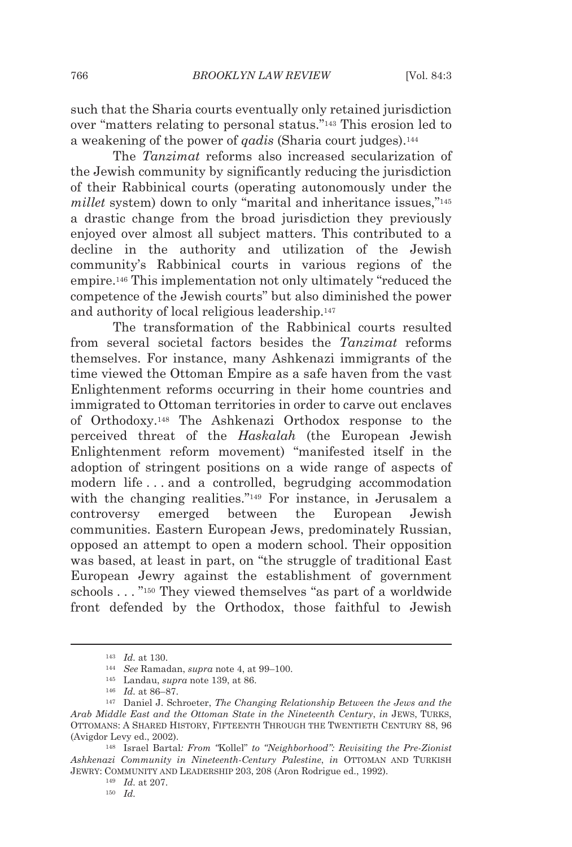such that the Sharia courts eventually only retained jurisdiction over "matters relating to personal status."143 This erosion led to a weakening of the power of *qadis* (Sharia court judges).144

The *Tanzimat* reforms also increased secularization of the Jewish community by significantly reducing the jurisdiction of their Rabbinical courts (operating autonomously under the *millet* system) down to only "marital and inheritance issues,"145 a drastic change from the broad jurisdiction they previously enjoyed over almost all subject matters. This contributed to a decline in the authority and utilization of the Jewish community's Rabbinical courts in various regions of the empire.146 This implementation not only ultimately "reduced the competence of the Jewish courts" but also diminished the power and authority of local religious leadership.147

The transformation of the Rabbinical courts resulted from several societal factors besides the *Tanzimat* reforms themselves. For instance, many Ashkenazi immigrants of the time viewed the Ottoman Empire as a safe haven from the vast Enlightenment reforms occurring in their home countries and immigrated to Ottoman territories in order to carve out enclaves of Orthodoxy.148 The Ashkenazi Orthodox response to the perceived threat of the *Haskalah* (the European Jewish Enlightenment reform movement) "manifested itself in the adoption of stringent positions on a wide range of aspects of modern life . . . and a controlled, begrudging accommodation with the changing realities."149 For instance, in Jerusalem a controversy emerged between the European Jewish communities. Eastern European Jews, predominately Russian, opposed an attempt to open a modern school. Their opposition was based, at least in part, on "the struggle of traditional East European Jewry against the establishment of government schools . . . "150 They viewed themselves "as part of a worldwide front defended by the Orthodox, those faithful to Jewish

<sup>143</sup> *Id.* at 130. 144 *See* Ramadan, *supra* note 4, at 99–100. 145 Landau, *supra* note 139, at 86.

<sup>146</sup> *Id.* at 86–87. 147 Daniel J. Schroeter, *The Changing Relationship Between the Jews and the Arab Middle East and the Ottoman State in the Nineteenth Century*, *in* JEWS, TURKS, OTTOMANS: A SHARED HISTORY, FIFTEENTH THROUGH THE TWENTIETH CENTURY 88, 96 (Avigdor Levy ed., 2002). 148 Israel Bartal*: From "*Kollel" *to "Neighborhood": Revisiting the Pre-Zionist* 

*Ashkenazi Community in Nineteenth-Century Palestine*, *in* OTTOMAN AND TURKISH JEWRY: COMMUNITY AND LEADERSHIP 203, 208 (Aron Rodrigue ed., 1992). 149 *Id.* at 207. 150 *Id.*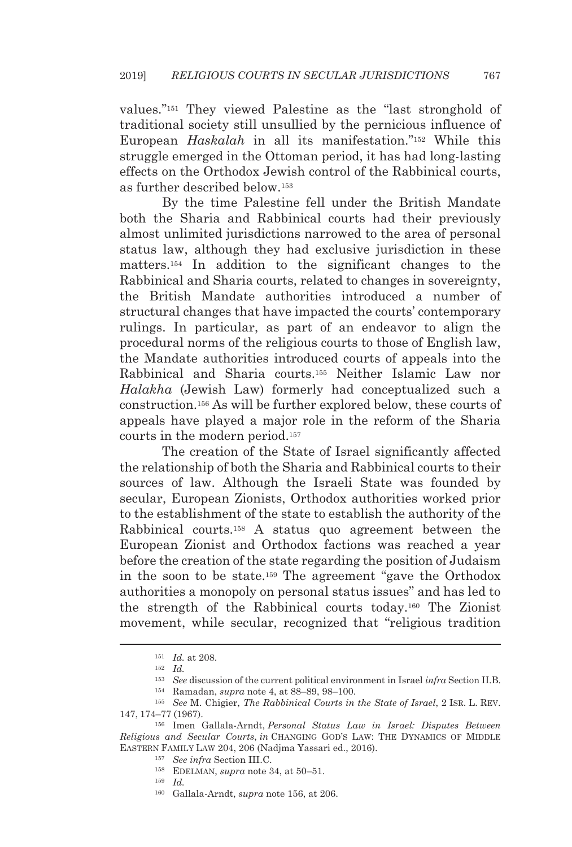values."151 They viewed Palestine as the "last stronghold of traditional society still unsullied by the pernicious influence of European *Haskalah* in all its manifestation."152 While this struggle emerged in the Ottoman period, it has had long-lasting effects on the Orthodox Jewish control of the Rabbinical courts, as further described below.153

By the time Palestine fell under the British Mandate both the Sharia and Rabbinical courts had their previously almost unlimited jurisdictions narrowed to the area of personal status law, although they had exclusive jurisdiction in these matters.154 In addition to the significant changes to the Rabbinical and Sharia courts, related to changes in sovereignty, the British Mandate authorities introduced a number of structural changes that have impacted the courts' contemporary rulings. In particular, as part of an endeavor to align the procedural norms of the religious courts to those of English law, the Mandate authorities introduced courts of appeals into the Rabbinical and Sharia courts.155 Neither Islamic Law nor *Halakha* (Jewish Law) formerly had conceptualized such a construction.156 As will be further explored below, these courts of appeals have played a major role in the reform of the Sharia courts in the modern period.157

The creation of the State of Israel significantly affected the relationship of both the Sharia and Rabbinical courts to their sources of law. Although the Israeli State was founded by secular, European Zionists, Orthodox authorities worked prior to the establishment of the state to establish the authority of the Rabbinical courts.158 A status quo agreement between the European Zionist and Orthodox factions was reached a year before the creation of the state regarding the position of Judaism in the soon to be state.159 The agreement "gave the Orthodox authorities a monopoly on personal status issues" and has led to the strength of the Rabbinical courts today.160 The Zionist movement, while secular, recognized that "religious tradition

160 Gallala-Arndt, *supra* note 156, at 206.

<sup>&</sup>lt;sup>151</sup> *Id.* at 208.<br><sup>152</sup> *Id.*<br><sup>152</sup> *Id.*<br><sup>153</sup> See discussion of the current political environment in Israel infra Section II.B.<br><sup>154</sup> Ramadan, *supra* note 4, at 88–89, 98–100.<br><sup>155</sup> See M. Chigier, *The Rabbinical C* 

<sup>147,</sup> 174–77 (1967). 156 Imen Gallala-Arndt, *Personal Status Law in Israel: Disputes Between* 

*Religious and Secular Courts*, *in* CHANGING GOD'S LAW: THE DYNAMICS OF MIDDLE EASTERN FAMILY LAW 204, 206 (Nadjma Yassari ed., 2016). 157 *See infra* Section III.C. 158 EDELMAN, *supra* note 34, at 50–51. 159 *Id.*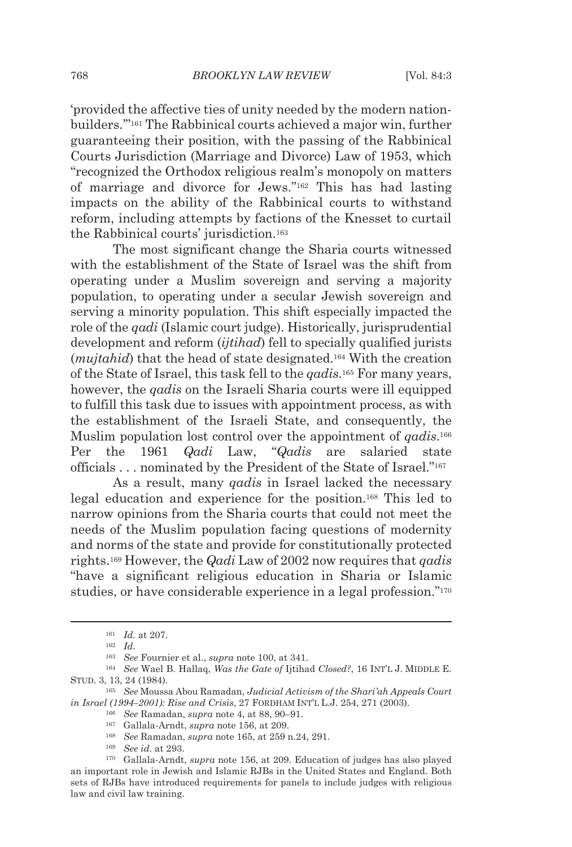'provided the affective ties of unity needed by the modern nationbuilders.'"161 The Rabbinical courts achieved a major win, further guaranteeing their position, with the passing of the Rabbinical Courts Jurisdiction (Marriage and Divorce) Law of 1953, which "recognized the Orthodox religious realm's monopoly on matters of marriage and divorce for Jews."162 This has had lasting impacts on the ability of the Rabbinical courts to withstand reform, including attempts by factions of the Knesset to curtail the Rabbinical courts' jurisdiction.163

The most significant change the Sharia courts witnessed with the establishment of the State of Israel was the shift from operating under a Muslim sovereign and serving a majority population, to operating under a secular Jewish sovereign and serving a minority population. This shift especially impacted the role of the *qadi* (Islamic court judge). Historically, jurisprudential development and reform (*ijtihad*) fell to specially qualified jurists (*mujtahid*) that the head of state designated.164 With the creation of the State of Israel, this task fell to the *qadis*.165 For many years, however, the *qadis* on the Israeli Sharia courts were ill equipped to fulfill this task due to issues with appointment process, as with the establishment of the Israeli State, and consequently, the Muslim population lost control over the appointment of *qadis*.166 Per the 1961 *Qadi* Law, "*Qadis* are salaried state officials . . . nominated by the President of the State of Israel."167

As a result, many *qadis* in Israel lacked the necessary legal education and experience for the position.168 This led to narrow opinions from the Sharia courts that could not meet the needs of the Muslim population facing questions of modernity and norms of the state and provide for constitutionally protected rights.169 However, the *Qadi* Law of 2002 now requires that *qadis* "have a significant religious education in Sharia or Islamic studies, or have considerable experience in a legal profession."<sup>170</sup>

<sup>161</sup> *Id.* at 207. 162 *Id.*

<sup>163</sup> *See* Fournier et al., *supra* note 100, at 341. 164 *See* Wael B. Hallaq, *Was the Gate of* Ijtihad *Closed?*, 16 INT'L J. MIDDLE E. STUD. 3, 13, 24 (1984). 165 *See* Moussa Abou Ramadan, *Judicial Activism of the Shari'ah Appeals Court* 

in Israel (1994–2001): Rise and Crisis, 27 FORDHAM INT'L L.J. 254, 271 (2003).<br><sup>166</sup> See Ramadan, supra note 4, at 88, 90–91.<br><sup>167</sup> Gallala-Arndt, supra note 156, at 209.<br><sup>168</sup> See Ramadan, supra note 165, at 259 n.24, 29

an important role in Jewish and Islamic RJBs in the United States and England. Both sets of RJBs have introduced requirements for panels to include judges with religious law and civil law training.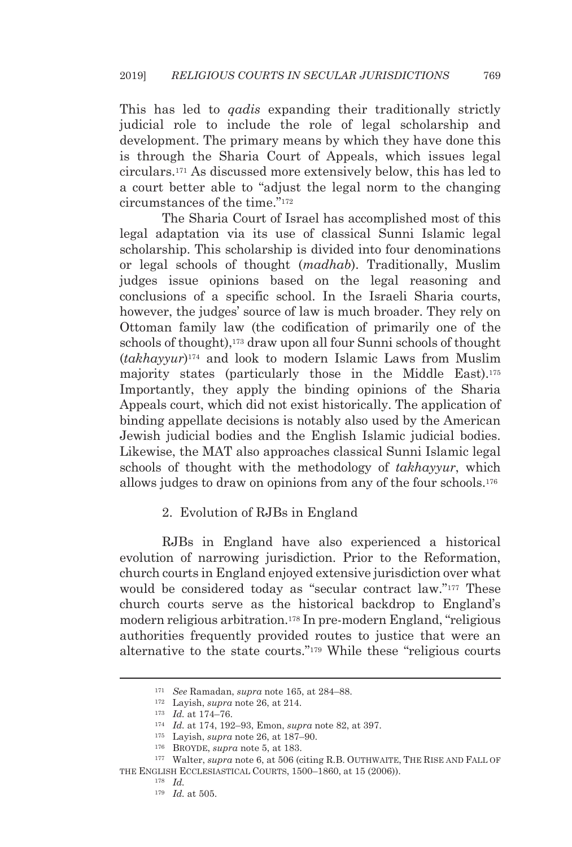This has led to *qadis* expanding their traditionally strictly judicial role to include the role of legal scholarship and development. The primary means by which they have done this is through the Sharia Court of Appeals, which issues legal circulars.171 As discussed more extensively below, this has led to a court better able to "adjust the legal norm to the changing circumstances of the time."172

The Sharia Court of Israel has accomplished most of this legal adaptation via its use of classical Sunni Islamic legal scholarship. This scholarship is divided into four denominations or legal schools of thought (*madhab*). Traditionally, Muslim judges issue opinions based on the legal reasoning and conclusions of a specific school. In the Israeli Sharia courts, however, the judges' source of law is much broader. They rely on Ottoman family law (the codification of primarily one of the schools of thought),<sup>173</sup> draw upon all four Sunni schools of thought (*takhayyur*)174 and look to modern Islamic Laws from Muslim majority states (particularly those in the Middle East).175 Importantly, they apply the binding opinions of the Sharia Appeals court, which did not exist historically. The application of binding appellate decisions is notably also used by the American Jewish judicial bodies and the English Islamic judicial bodies. Likewise, the MAT also approaches classical Sunni Islamic legal schools of thought with the methodology of *takhayyur*, which allows judges to draw on opinions from any of the four schools.176

#### 2. Evolution of RJBs in England

RJBs in England have also experienced a historical evolution of narrowing jurisdiction. Prior to the Reformation, church courts in England enjoyed extensive jurisdiction over what would be considered today as "secular contract law."<sup>177</sup> These church courts serve as the historical backdrop to England's modern religious arbitration.178 In pre-modern England, "religious authorities frequently provided routes to justice that were an alternative to the state courts."179 While these "religious courts

<sup>171</sup> *See* Ramadan, *supra* note 165, at 284–88.

<sup>&</sup>lt;sup>172</sup> Layish, *supra* note 26, at 214.<br>
<sup>173</sup> *Id.* at 174–76.<br>
<sup>174</sup> *Id.* at 174, 192–93, Emon, *supra* note 82, at 397.<br>
<sup>175</sup> Layish, *supra* note 26, at 187–90.<br>
<sup>176</sup> BROYDE, *supra* note 5, at 183.<br>
<sup>177</sup> Walter, THE ENGLISH ECCLESIASTICAL COURTS, 1500–1860, at 15 (2006)). 178 *Id.*

<sup>179</sup> *Id.* at 505.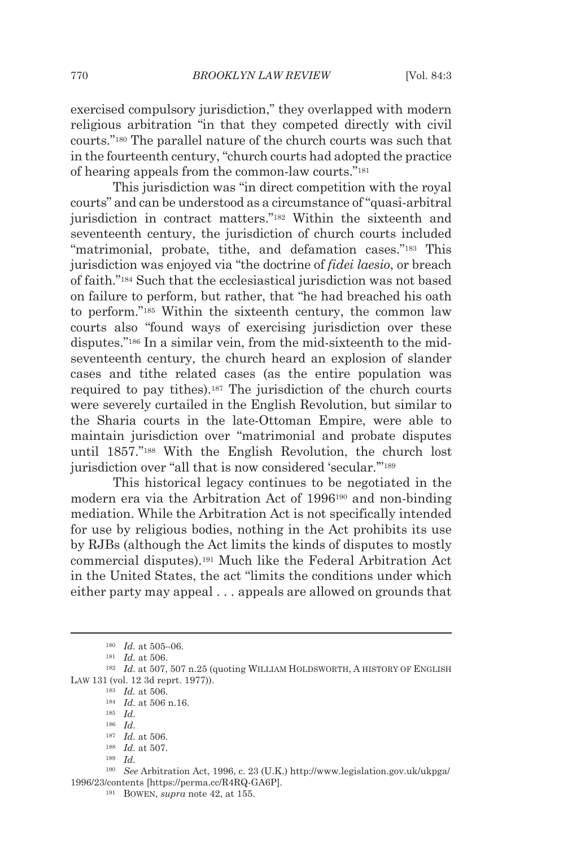exercised compulsory jurisdiction," they overlapped with modern religious arbitration "in that they competed directly with civil courts."180 The parallel nature of the church courts was such that in the fourteenth century, "church courts had adopted the practice of hearing appeals from the common-law courts."181

This jurisdiction was "in direct competition with the royal courts" and can be understood as a circumstance of "quasi-arbitral jurisdiction in contract matters."182 Within the sixteenth and seventeenth century, the jurisdiction of church courts included "matrimonial, probate, tithe, and defamation cases."<sup>183</sup> This jurisdiction was enjoyed via "the doctrine of *fidei laesio*, or breach of faith."184 Such that the ecclesiastical jurisdiction was not based on failure to perform, but rather, that "he had breached his oath to perform."185 Within the sixteenth century, the common law courts also "found ways of exercising jurisdiction over these disputes."186 In a similar vein, from the mid-sixteenth to the midseventeenth century, the church heard an explosion of slander cases and tithe related cases (as the entire population was required to pay tithes).187 The jurisdiction of the church courts were severely curtailed in the English Revolution, but similar to the Sharia courts in the late-Ottoman Empire, were able to maintain jurisdiction over "matrimonial and probate disputes until 1857."188 With the English Revolution, the church lost jurisdiction over "all that is now considered 'secular."<sup>189</sup>

This historical legacy continues to be negotiated in the modern era via the Arbitration Act of 1996190 and non-binding mediation. While the Arbitration Act is not specifically intended for use by religious bodies, nothing in the Act prohibits its use by RJBs (although the Act limits the kinds of disputes to mostly commercial disputes).191 Much like the Federal Arbitration Act in the United States, the act "limits the conditions under which either party may appeal . . . appeals are allowed on grounds that

<sup>&</sup>lt;sup>180</sup> Id. at 505–06.<br><sup>181</sup> Id. at 506.<br><sup>182</sup> Id. at 507, 507 n.25 (quoting WILLIAM HOLDSWORTH, A HISTORY OF ENGLISH LAW 131 (vol. 12 3d reprt. 1977)).

<sup>183</sup> *Id.* at 506. 184 *Id.* at 506 n.16. 185 *Id.*

<sup>186</sup> *Id.*

<sup>187</sup> *Id.* at 506. 188 *Id.* at 507. 189 *Id.*

<sup>190</sup> *See* Arbitration Act, 1996, c. 23 (U.K.) http://www.legislation.gov.uk/ukpga/ 1996/23/contents [https://perma.cc/R4RQ-GA6P]. 191 BOWEN, *supra* note 42, at 155.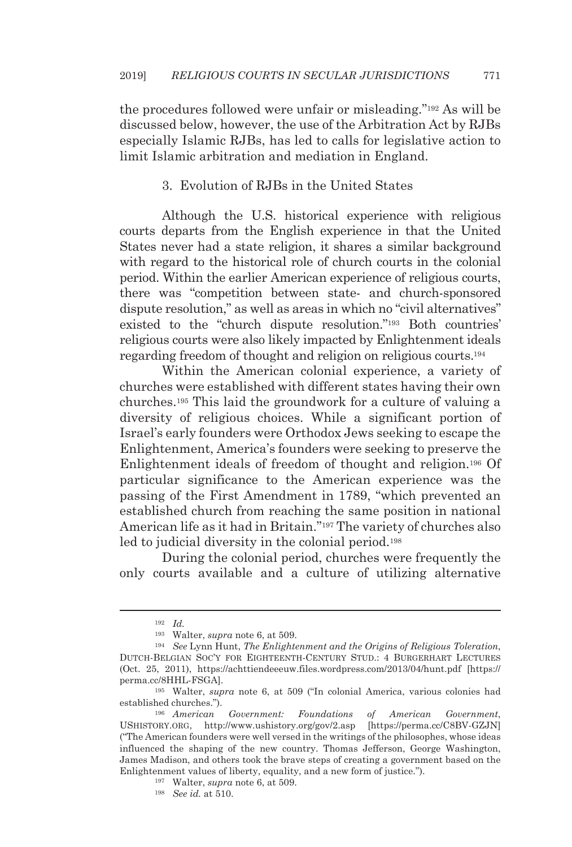the procedures followed were unfair or misleading."192 As will be discussed below, however, the use of the Arbitration Act by RJBs especially Islamic RJBs, has led to calls for legislative action to limit Islamic arbitration and mediation in England.

#### 3. Evolution of RJBs in the United States

Although the U.S. historical experience with religious courts departs from the English experience in that the United States never had a state religion, it shares a similar background with regard to the historical role of church courts in the colonial period. Within the earlier American experience of religious courts, there was "competition between state- and church-sponsored dispute resolution," as well as areas in which no "civil alternatives" existed to the "church dispute resolution."193 Both countries' religious courts were also likely impacted by Enlightenment ideals regarding freedom of thought and religion on religious courts.194

Within the American colonial experience, a variety of churches were established with different states having their own churches.195 This laid the groundwork for a culture of valuing a diversity of religious choices. While a significant portion of Israel's early founders were Orthodox Jews seeking to escape the Enlightenment, America's founders were seeking to preserve the Enlightenment ideals of freedom of thought and religion.196 Of particular significance to the American experience was the passing of the First Amendment in 1789, "which prevented an established church from reaching the same position in national American life as it had in Britain."197 The variety of churches also led to judicial diversity in the colonial period.<sup>198</sup>

During the colonial period, churches were frequently the only courts available and a culture of utilizing alternative

<sup>192</sup> *Id.*

<sup>193</sup> Walter, *supra* note 6, at 509. 194 *See* Lynn Hunt, *The Enlightenment and the Origins of Religious Toleration*, DUTCH-BELGIAN SOC'Y FOR EIGHTEENTH-CENTURY STUD.: 4 BURGERHART LECTURES (Oct. 25, 2011), https://achttiendeeeuw.files.wordpress.com/2013/04/hunt.pdf [https:// perma.cc/8HHL-FSGA]. 195 Walter, *supra* note 6, at 509 ("In colonial America, various colonies had

established churches.").

<sup>196</sup> *American Government: Foundations of American Government*, USHISTORY.ORG, http://www.ushistory.org/gov/2.asp [https://perma.cc/C8BV-GZJN] ("The American founders were well versed in the writings of the philosophes, whose ideas influenced the shaping of the new country. Thomas Jefferson, George Washington, James Madison, and others took the brave steps of creating a government based on the Enlightenment values of liberty, equality, and a new form of justice."). 197 Walter, *supra* note 6, at 509. 198 *See id.* at 510.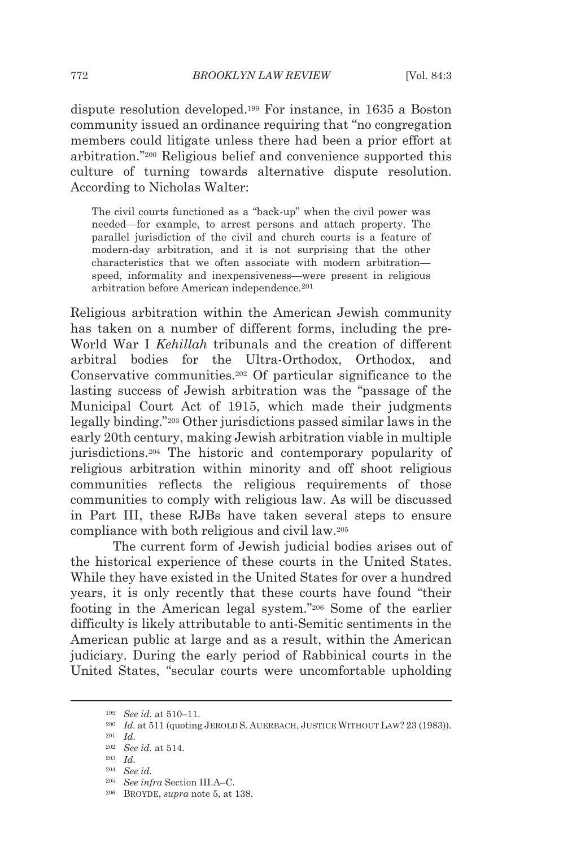dispute resolution developed.199 For instance, in 1635 a Boston community issued an ordinance requiring that "no congregation members could litigate unless there had been a prior effort at arbitration."200 Religious belief and convenience supported this culture of turning towards alternative dispute resolution. According to Nicholas Walter:

The civil courts functioned as a "back-up" when the civil power was needed—for example, to arrest persons and attach property. The parallel jurisdiction of the civil and church courts is a feature of modern-day arbitration, and it is not surprising that the other characteristics that we often associate with modern arbitration speed, informality and inexpensiveness—were present in religious arbitration before American independence.201

Religious arbitration within the American Jewish community has taken on a number of different forms, including the pre-World War I *Kehillah* tribunals and the creation of different arbitral bodies for the Ultra-Orthodox, Orthodox, and Conservative communities.202 Of particular significance to the lasting success of Jewish arbitration was the "passage of the Municipal Court Act of 1915, which made their judgments legally binding."203 Other jurisdictions passed similar laws in the early 20th century, making Jewish arbitration viable in multiple jurisdictions.204 The historic and contemporary popularity of religious arbitration within minority and off shoot religious communities reflects the religious requirements of those communities to comply with religious law. As will be discussed in Part III, these RJBs have taken several steps to ensure compliance with both religious and civil law.205

The current form of Jewish judicial bodies arises out of the historical experience of these courts in the United States. While they have existed in the United States for over a hundred years, it is only recently that these courts have found "their footing in the American legal system."206 Some of the earlier difficulty is likely attributable to anti-Semitic sentiments in the American public at large and as a result, within the American judiciary. During the early period of Rabbinical courts in the United States, "secular courts were uncomfortable upholding

<sup>&</sup>lt;sup>199</sup> See id. at 510–11.<br><sup>200</sup> Id. at 511 (quoting JEROLD S. AUERBACH, JUSTICE WITHOUT LAW? 23 (1983)).<br><sup>201</sup> Id.

<sup>202</sup> *See id.* at 514. 203 *Id.*

<sup>204</sup> *See id.*

<sup>205</sup> *See infra* Section III.A–C. 206 BROYDE, *supra* note 5, at 138.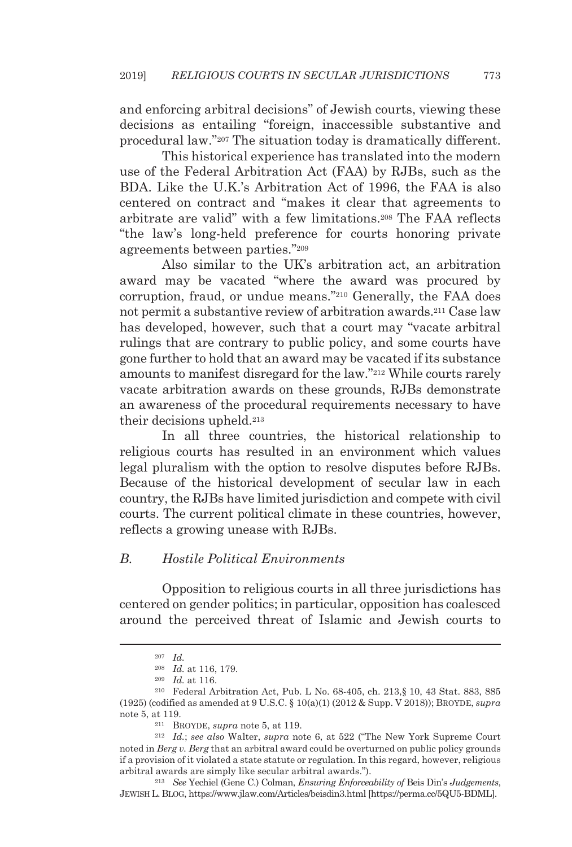and enforcing arbitral decisions" of Jewish courts, viewing these decisions as entailing "foreign, inaccessible substantive and procedural law."207 The situation today is dramatically different.

This historical experience has translated into the modern use of the Federal Arbitration Act (FAA) by RJBs, such as the BDA. Like the U.K.'s Arbitration Act of 1996, the FAA is also centered on contract and "makes it clear that agreements to arbitrate are valid" with a few limitations.208 The FAA reflects "the law's long-held preference for courts honoring private agreements between parties."209

Also similar to the UK's arbitration act, an arbitration award may be vacated "where the award was procured by corruption, fraud, or undue means."210 Generally, the FAA does not permit a substantive review of arbitration awards.211 Case law has developed, however, such that a court may "vacate arbitral rulings that are contrary to public policy, and some courts have gone further to hold that an award may be vacated if its substance amounts to manifest disregard for the law."212 While courts rarely vacate arbitration awards on these grounds, RJBs demonstrate an awareness of the procedural requirements necessary to have their decisions upheld.213

In all three countries, the historical relationship to religious courts has resulted in an environment which values legal pluralism with the option to resolve disputes before RJBs. Because of the historical development of secular law in each country, the RJBs have limited jurisdiction and compete with civil courts. The current political climate in these countries, however, reflects a growing unease with RJBs.

#### *B. Hostile Political Environments*

Opposition to religious courts in all three jurisdictions has centered on gender politics; in particular, opposition has coalesced around the perceived threat of Islamic and Jewish courts to

<sup>&</sup>lt;sup>207</sup> *Id.* <br><sup>208</sup> *Id.* at 116, 179.

<sup>208</sup> *Id.* at 116, 179. 209 *Id.* at 116. 210 Federal Arbitration Act, Pub. L No. 68-405, ch. 213,§ 10, 43 Stat. 883, 885 (1925) (codified as amended at 9 U.S.C. § 10(a)(1) (2012 & Supp. V 2018)); BROYDE, *supra* note 5, at 119.<br><sup>211</sup> BROYDE, *supra* note 5, at 119.<br><sup>212</sup> *Id.*; *see also* Walter, *supra* note 6, at 522 ("The New York Supreme Court

noted in *Berg v. Berg* that an arbitral award could be overturned on public policy grounds if a provision of it violated a state statute or regulation. In this regard, however, religious arbitral awards are simply like secular arbitral awards."). 213 *See* Yechiel (Gene C.) Colman, *Ensuring Enforceability of* Beis Din's *Judgements*,

JEWISH L. BLOG, https://www.jlaw.com/Articles/beisdin3.html [https://perma.cc/5QU5-BDML].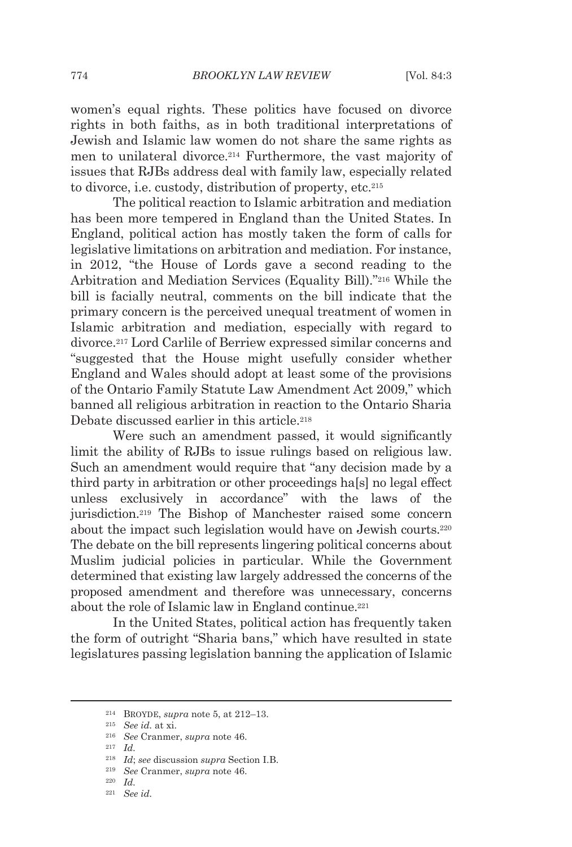women's equal rights. These politics have focused on divorce rights in both faiths, as in both traditional interpretations of Jewish and Islamic law women do not share the same rights as men to unilateral divorce.214 Furthermore, the vast majority of issues that RJBs address deal with family law, especially related to divorce, i.e. custody, distribution of property, etc.215

The political reaction to Islamic arbitration and mediation has been more tempered in England than the United States. In England, political action has mostly taken the form of calls for legislative limitations on arbitration and mediation. For instance, in 2012, "the House of Lords gave a second reading to the Arbitration and Mediation Services (Equality Bill)."216 While the bill is facially neutral, comments on the bill indicate that the primary concern is the perceived unequal treatment of women in Islamic arbitration and mediation, especially with regard to divorce.217 Lord Carlile of Berriew expressed similar concerns and "suggested that the House might usefully consider whether England and Wales should adopt at least some of the provisions of the Ontario Family Statute Law Amendment Act 2009," which banned all religious arbitration in reaction to the Ontario Sharia Debate discussed earlier in this article.218

Were such an amendment passed, it would significantly limit the ability of RJBs to issue rulings based on religious law. Such an amendment would require that "any decision made by a third party in arbitration or other proceedings ha[s] no legal effect unless exclusively in accordance" with the laws of the jurisdiction.219 The Bishop of Manchester raised some concern about the impact such legislation would have on Jewish courts.220 The debate on the bill represents lingering political concerns about Muslim judicial policies in particular. While the Government determined that existing law largely addressed the concerns of the proposed amendment and therefore was unnecessary, concerns about the role of Islamic law in England continue.<sup>221</sup>

In the United States, political action has frequently taken the form of outright "Sharia bans," which have resulted in state legislatures passing legislation banning the application of Islamic

<sup>214</sup> BROYDE, *supra* note 5, at 212–13. 215 *See id.* at xi. 216 *See* Cranmer, *supra* note 46. 217 *Id.*

<sup>218</sup> *Id*; *see* discussion *supra* Section I.B. 219 *See* Cranmer, *supra* note 46. 220 *Id.*

<sup>221</sup> *See id.*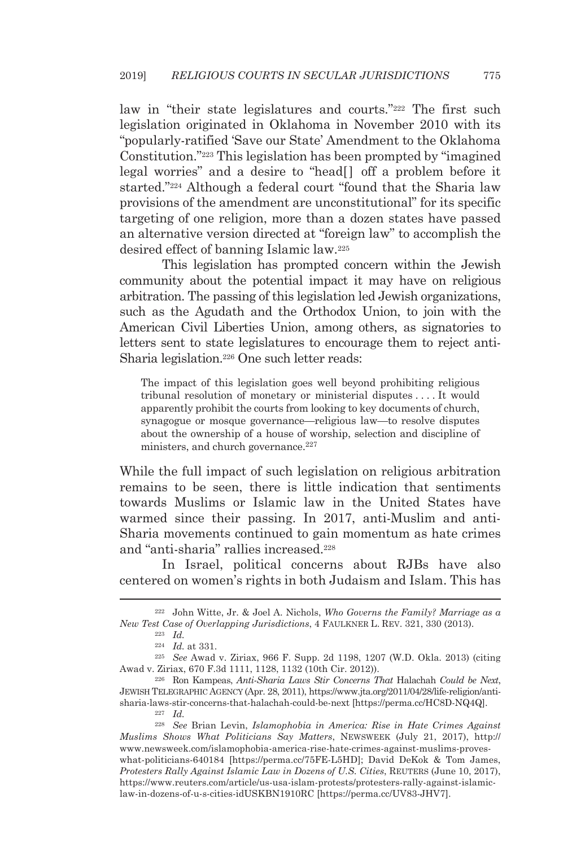law in "their state legislatures and courts."222 The first such legislation originated in Oklahoma in November 2010 with its "popularly-ratified 'Save our State' Amendment to the Oklahoma Constitution."223 This legislation has been prompted by "imagined legal worries" and a desire to "head[] off a problem before it started."224 Although a federal court "found that the Sharia law provisions of the amendment are unconstitutional" for its specific targeting of one religion, more than a dozen states have passed an alternative version directed at "foreign law" to accomplish the desired effect of banning Islamic law.225

This legislation has prompted concern within the Jewish community about the potential impact it may have on religious arbitration. The passing of this legislation led Jewish organizations, such as the Agudath and the Orthodox Union, to join with the American Civil Liberties Union, among others, as signatories to letters sent to state legislatures to encourage them to reject anti-Sharia legislation.226 One such letter reads:

The impact of this legislation goes well beyond prohibiting religious tribunal resolution of monetary or ministerial disputes . . . . It would apparently prohibit the courts from looking to key documents of church, synagogue or mosque governance—religious law—to resolve disputes about the ownership of a house of worship, selection and discipline of ministers, and church governance.<sup>227</sup>

While the full impact of such legislation on religious arbitration remains to be seen, there is little indication that sentiments towards Muslims or Islamic law in the United States have warmed since their passing. In 2017, anti-Muslim and anti-Sharia movements continued to gain momentum as hate crimes and "anti-sharia" rallies increased.228

In Israel, political concerns about RJBs have also centered on women's rights in both Judaism and Islam. This has

<sup>224</sup> *Id.* at 331. 225 *See* Awad v. Ziriax, 966 F. Supp. 2d 1198, 1207 (W.D. Okla. 2013) (citing Awad v. Ziriax, 670 F.3d 1111, 1128, 1132 (10th Cir. 2012)). 226 Ron Kampeas, *Anti-Sharia Laws Stir Concerns That* Halachah *Could be Next*,

JEWISH TELEGRAPHIC AGENCY (Apr. 28, 2011), https://www.jta.org/2011/04/28/life-religion/antisharia-laws-stir-concerns-that-halachah-could-be-next [https://perma.cc/HC8D-NQ4Q]. 227 *Id.*

<sup>222</sup> John Witte, Jr. & Joel A. Nichols, *Who Governs the Family? Marriage as a New Test Case of Overlapping Jurisdictions*, 4 FAULKNER L. REV. 321, 330 (2013). 223 *Id.*

<sup>228</sup> *See* Brian Levin, *Islamophobia in America: Rise in Hate Crimes Against Muslims Shows What Politicians Say Matters*, NEWSWEEK (July 21, 2017), http:// www.newsweek.com/islamophobia-america-rise-hate-crimes-against-muslims-proveswhat-politicians-640184 [https://perma.cc/75FE-L5HD]; David DeKok & Tom James, *Protesters Rally Against Islamic Law in Dozens of U.S. Cities*, REUTERS (June 10, 2017), https://www.reuters.com/article/us-usa-islam-protests/protesters-rally-against-islamiclaw-in-dozens-of-u-s-cities-idUSKBN1910RC [https://perma.cc/UV83-JHV7].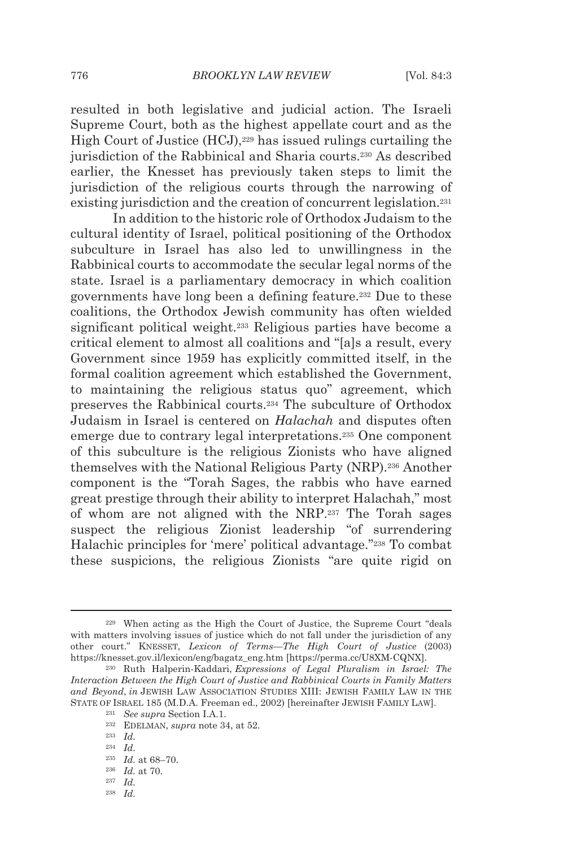resulted in both legislative and judicial action. The Israeli Supreme Court, both as the highest appellate court and as the High Court of Justice (HCJ),<sup>229</sup> has issued rulings curtailing the jurisdiction of the Rabbinical and Sharia courts.230 As described earlier, the Knesset has previously taken steps to limit the jurisdiction of the religious courts through the narrowing of existing jurisdiction and the creation of concurrent legislation.231

In addition to the historic role of Orthodox Judaism to the cultural identity of Israel, political positioning of the Orthodox subculture in Israel has also led to unwillingness in the Rabbinical courts to accommodate the secular legal norms of the state. Israel is a parliamentary democracy in which coalition governments have long been a defining feature.232 Due to these coalitions, the Orthodox Jewish community has often wielded significant political weight.233 Religious parties have become a critical element to almost all coalitions and "[a]s a result, every Government since 1959 has explicitly committed itself, in the formal coalition agreement which established the Government, to maintaining the religious status quo" agreement, which preserves the Rabbinical courts.234 The subculture of Orthodox Judaism in Israel is centered on *Halachah* and disputes often emerge due to contrary legal interpretations.235 One component of this subculture is the religious Zionists who have aligned themselves with the National Religious Party (NRP).236 Another component is the "Torah Sages, the rabbis who have earned great prestige through their ability to interpret Halachah," most of whom are not aligned with the NRP.237 The Torah sages suspect the religious Zionist leadership "of surrendering Halachic principles for 'mere' political advantage."238 To combat these suspicions, the religious Zionists "are quite rigid on

<sup>229</sup> When acting as the High the Court of Justice, the Supreme Court "deals with matters involving issues of justice which do not fall under the jurisdiction of any other court." KNESSET, *Lexicon of Terms—The High Court of Justice* (2003) https://knesset.gov.il/lexicon/eng/bagatz\_eng.htm [https://perma.cc/U8XM-CQNX]. 230 Ruth Halperin-Kaddari, *Expressions of Legal Pluralism in Israel: The* 

*Interaction Between the High Court of Justice and Rabbinical Courts in Family Matters and Beyond*, *in* JEWISH LAW ASSOCIATION STUDIES XIII: JEWISH FAMILY LAW IN THE STATE OF ISRAEL 185 (M.D.A. Freeman ed., 2002) [hereinafter JEWISH FAMILY LAW].<br><sup>231</sup> *See supra* Section I.A.1.<br><sup>232</sup> EDELMAN, *supra* note 34, at 52.<br><sup>233</sup> *Id.* 

<sup>234</sup> *Id.*

<sup>235</sup> *Id.* at 68–70. 236 *Id.* at 70. 237 *Id.*

<sup>238</sup> *Id.*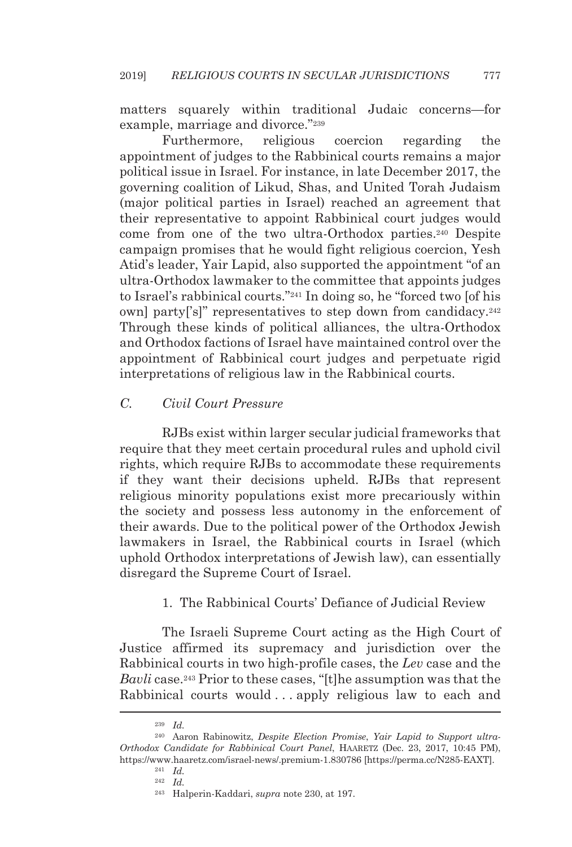matters squarely within traditional Judaic concerns—for example, marriage and divorce."239

Furthermore, religious coercion regarding the appointment of judges to the Rabbinical courts remains a major political issue in Israel. For instance, in late December 2017, the governing coalition of Likud, Shas, and United Torah Judaism (major political parties in Israel) reached an agreement that their representative to appoint Rabbinical court judges would come from one of the two ultra-Orthodox parties.240 Despite campaign promises that he would fight religious coercion, Yesh Atid's leader, Yair Lapid, also supported the appointment "of an ultra-Orthodox lawmaker to the committee that appoints judges to Israel's rabbinical courts."241 In doing so, he "forced two [of his own] party['s]" representatives to step down from candidacy.242 Through these kinds of political alliances, the ultra-Orthodox and Orthodox factions of Israel have maintained control over the appointment of Rabbinical court judges and perpetuate rigid interpretations of religious law in the Rabbinical courts.

### *C. Civil Court Pressure*

RJBs exist within larger secular judicial frameworks that require that they meet certain procedural rules and uphold civil rights, which require RJBs to accommodate these requirements if they want their decisions upheld. RJBs that represent religious minority populations exist more precariously within the society and possess less autonomy in the enforcement of their awards. Due to the political power of the Orthodox Jewish lawmakers in Israel, the Rabbinical courts in Israel (which uphold Orthodox interpretations of Jewish law), can essentially disregard the Supreme Court of Israel.

### 1. The Rabbinical Courts' Defiance of Judicial Review

The Israeli Supreme Court acting as the High Court of Justice affirmed its supremacy and jurisdiction over the Rabbinical courts in two high-profile cases, the *Lev* case and the *Bavli* case.243 Prior to these cases, "[t]he assumption was that the Rabbinical courts would . . . apply religious law to each and

<sup>239</sup> *Id.* 

<sup>240</sup> Aaron Rabinowitz, *Despite Election Promise*, *Yair Lapid to Support ultra-Orthodox Candidate for Rabbinical Court Panel*, HAARETZ (Dec. 23, 2017, 10:45 PM), https://www.haaretz.com/israel-news/.premium-1.830786 [https://perma.cc/N285-EAXT]. 241 *Id.*

<sup>242</sup> *Id.*

<sup>243</sup> Halperin-Kaddari, *supra* note 230, at 197.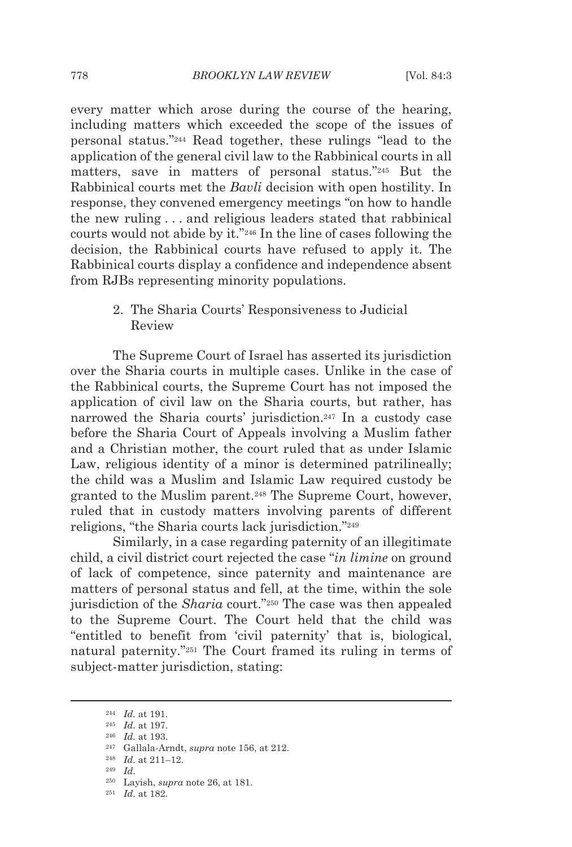every matter which arose during the course of the hearing, including matters which exceeded the scope of the issues of personal status."244 Read together, these rulings "lead to the application of the general civil law to the Rabbinical courts in all matters, save in matters of personal status."245 But the Rabbinical courts met the *Bavli* decision with open hostility. In response, they convened emergency meetings "on how to handle the new ruling . . . and religious leaders stated that rabbinical courts would not abide by it."246 In the line of cases following the decision, the Rabbinical courts have refused to apply it. The Rabbinical courts display a confidence and independence absent from RJBs representing minority populations.

> 2. The Sharia Courts' Responsiveness to Judicial Review

The Supreme Court of Israel has asserted its jurisdiction over the Sharia courts in multiple cases. Unlike in the case of the Rabbinical courts, the Supreme Court has not imposed the application of civil law on the Sharia courts, but rather, has narrowed the Sharia courts' jurisdiction.<sup>247</sup> In a custody case before the Sharia Court of Appeals involving a Muslim father and a Christian mother, the court ruled that as under Islamic Law, religious identity of a minor is determined patrilineally; the child was a Muslim and Islamic Law required custody be granted to the Muslim parent.248 The Supreme Court, however, ruled that in custody matters involving parents of different religions, "the Sharia courts lack jurisdiction."249

Similarly, in a case regarding paternity of an illegitimate child, a civil district court rejected the case "*in limine* on ground of lack of competence, since paternity and maintenance are matters of personal status and fell, at the time, within the sole jurisdiction of the *Sharia* court."250 The case was then appealed to the Supreme Court. The Court held that the child was "entitled to benefit from 'civil paternity' that is, biological, natural paternity."251 The Court framed its ruling in terms of subject-matter jurisdiction, stating:

<sup>244</sup> *Id.* at 191. 245 *Id.* at 197. 246 *Id.* at 193. 247 Gallala-Arndt, *supra* note 156, at 212. 248 *Id.* at 211–12. 249 *Id.*

<sup>250</sup> Layish, *supra* note 26, at 181. 251 *Id.* at 182.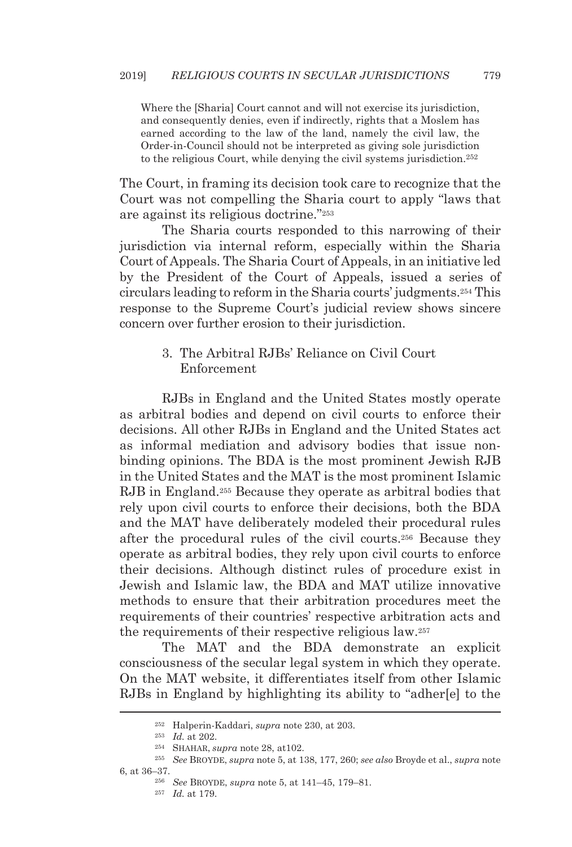Where the [Sharia] Court cannot and will not exercise its jurisdiction, and consequently denies, even if indirectly, rights that a Moslem has earned according to the law of the land, namely the civil law, the Order-in-Council should not be interpreted as giving sole jurisdiction to the religious Court, while denying the civil systems jurisdiction.252

The Court, in framing its decision took care to recognize that the Court was not compelling the Sharia court to apply "laws that are against its religious doctrine."253

The Sharia courts responded to this narrowing of their jurisdiction via internal reform, especially within the Sharia Court of Appeals. The Sharia Court of Appeals, in an initiative led by the President of the Court of Appeals, issued a series of circulars leading to reform in the Sharia courts' judgments.254 This response to the Supreme Court's judicial review shows sincere concern over further erosion to their jurisdiction.

## 3. The Arbitral RJBs' Reliance on Civil Court Enforcement

RJBs in England and the United States mostly operate as arbitral bodies and depend on civil courts to enforce their decisions. All other RJBs in England and the United States act as informal mediation and advisory bodies that issue nonbinding opinions. The BDA is the most prominent Jewish RJB in the United States and the MAT is the most prominent Islamic RJB in England.255 Because they operate as arbitral bodies that rely upon civil courts to enforce their decisions, both the BDA and the MAT have deliberately modeled their procedural rules after the procedural rules of the civil courts.256 Because they operate as arbitral bodies, they rely upon civil courts to enforce their decisions. Although distinct rules of procedure exist in Jewish and Islamic law, the BDA and MAT utilize innovative methods to ensure that their arbitration procedures meet the requirements of their countries' respective arbitration acts and the requirements of their respective religious law.257

The MAT and the BDA demonstrate an explicit consciousness of the secular legal system in which they operate. On the MAT website, it differentiates itself from other Islamic RJBs in England by highlighting its ability to "adher[e] to the

<sup>&</sup>lt;sup>252</sup> Halperin-Kaddari, *supra* note 230, at 203.<br><sup>253</sup> Id. at 202.<br><sup>254</sup> SHAHAR, *supra* note 28, at 102.<br><sup>255</sup> See BROYDE, *supra* note 5, at 138, 177, 260; *see also* Broyde et al., *supra* note 6, at 36–37. 256 *See* BROYDE, *supra* note 5, at 141–45, 179–81. 257 *Id.* at 179.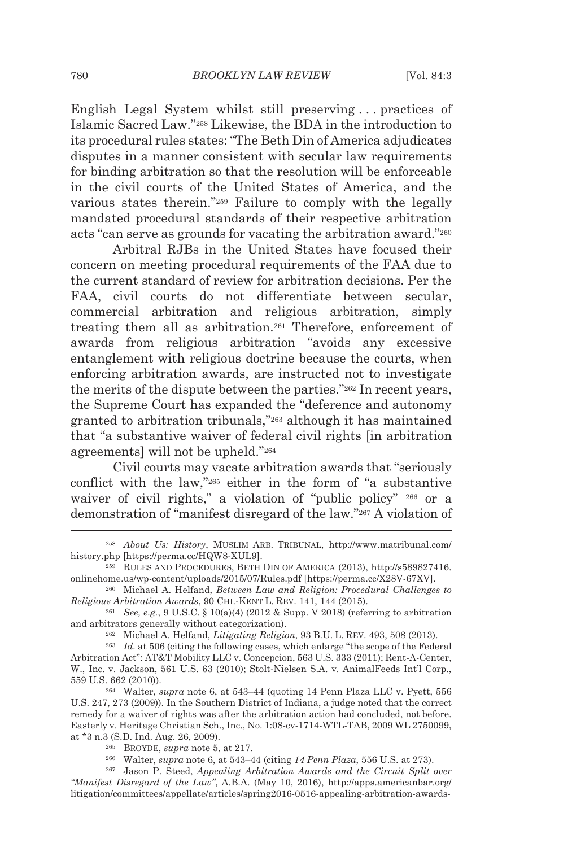English Legal System whilst still preserving . . . practices of Islamic Sacred Law."258 Likewise, the BDA in the introduction to its procedural rules states: "The Beth Din of America adjudicates disputes in a manner consistent with secular law requirements for binding arbitration so that the resolution will be enforceable in the civil courts of the United States of America, and the various states therein."259 Failure to comply with the legally mandated procedural standards of their respective arbitration acts "can serve as grounds for vacating the arbitration award."260

Arbitral RJBs in the United States have focused their concern on meeting procedural requirements of the FAA due to the current standard of review for arbitration decisions. Per the FAA, civil courts do not differentiate between secular, commercial arbitration and religious arbitration, simply treating them all as arbitration.261 Therefore, enforcement of awards from religious arbitration "avoids any excessive entanglement with religious doctrine because the courts, when enforcing arbitration awards, are instructed not to investigate the merits of the dispute between the parties."262 In recent years, the Supreme Court has expanded the "deference and autonomy granted to arbitration tribunals,"263 although it has maintained that "a substantive waiver of federal civil rights [in arbitration agreements] will not be upheld."264

Civil courts may vacate arbitration awards that "seriously conflict with the law,"265 either in the form of "a substantive waiver of civil rights," a violation of "public policy" 266 or a demonstration of "manifest disregard of the law."267 A violation of

<sup>258</sup> *About Us: History*, MUSLIM ARB. TRIBUNAL, http://www.matribunal.com/ history.php [https://perma.cc/HQW8-XUL9]. 259 RULES AND PROCEDURES, BETH DIN OF AMERICA (2013), http://s589827416.

onlinehome.us/wp-content/uploads/2015/07/Rules.pdf [https://perma.cc/X28V-67XV]. 260 Michael A. Helfand, *Between Law and Religion: Procedural Challenges to* 

*Religious Arbitration Awards*, 90 CHI.-KENT L. REV. 141, 144 (2015).<br><sup>261</sup> *See, e.g.*, 9 U.S.C. § 10(a)(4) (2012 & Supp. V 2018) (referring to arbitration

and arbitrators generally without categorization).<br><sup>262</sup> Michael A. Helfand, *Litigating Religion*, 93 B.U. L. REV. 493, 508 (2013).<br><sup>263</sup> Id. at 506 (citing the following cases, which enlarge "the scope of the Federal

Arbitration Act": AT&T Mobility LLC v. Concepcion, 563 U.S. 333 (2011); Rent-A-Center, W., Inc. v. Jackson, 561 U.S. 63 (2010); Stolt-Nielsen S.A. v. AnimalFeeds Int'l Corp., 559 U.S. 662 (2010)). 264 Walter, *supra* note 6, at 543–44 (quoting 14 Penn Plaza LLC v. Pyett, 556

U.S. 247, 273 (2009)). In the Southern District of Indiana, a judge noted that the correct remedy for a waiver of rights was after the arbitration action had concluded, not before. Easterly v. Heritage Christian Sch., Inc., No. 1:08-cv-1714-WTL-TAB, 2009 WL 2750099, at \*3 n.3 (S.D. Ind. Aug. 26, 2009).<br><sup>265</sup> BROYDE, *supra* note 5, at 217.<br><sup>266</sup> Walter, *supra* note 6, at 543–44 (citing *14 Penn Plaza*, 556 U.S. at 273).<br><sup>267</sup> Jason P. Steed, *Appealing Arbitration Awards and the Cir* 

*<sup>&</sup>quot;Manifest Disregard of the Law"*, A.B.A. (May 10, 2016), http://apps.americanbar.org/ litigation/committees/appellate/articles/spring2016-0516-appealing-arbitration-awards-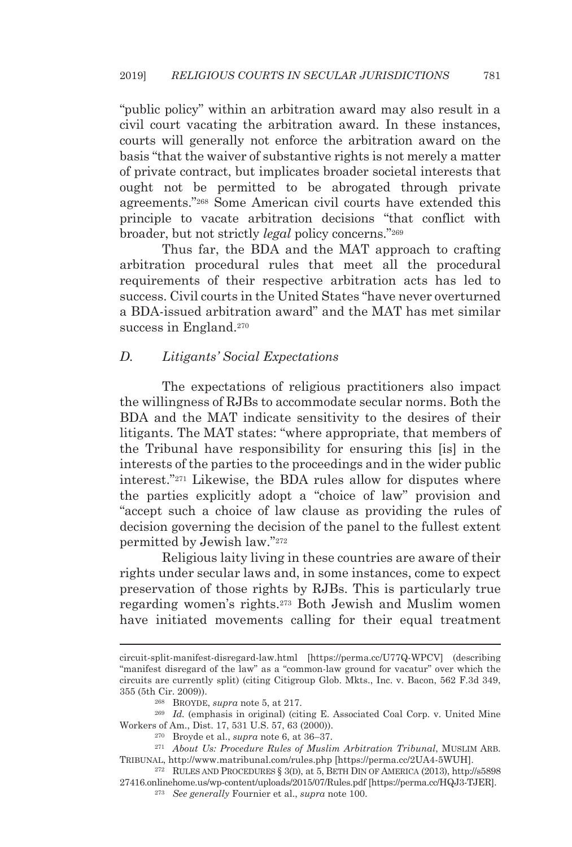"public policy" within an arbitration award may also result in a civil court vacating the arbitration award. In these instances, courts will generally not enforce the arbitration award on the basis "that the waiver of substantive rights is not merely a matter of private contract, but implicates broader societal interests that ought not be permitted to be abrogated through private agreements."268 Some American civil courts have extended this principle to vacate arbitration decisions "that conflict with broader, but not strictly *legal* policy concerns."269

Thus far, the BDA and the MAT approach to crafting arbitration procedural rules that meet all the procedural requirements of their respective arbitration acts has led to success. Civil courts in the United States "have never overturned a BDA-issued arbitration award" and the MAT has met similar success in England.<sup>270</sup>

#### *D. Litigants' Social Expectations*

The expectations of religious practitioners also impact the willingness of RJBs to accommodate secular norms. Both the BDA and the MAT indicate sensitivity to the desires of their litigants. The MAT states: "where appropriate, that members of the Tribunal have responsibility for ensuring this [is] in the interests of the parties to the proceedings and in the wider public interest."271 Likewise, the BDA rules allow for disputes where the parties explicitly adopt a "choice of law" provision and "accept such a choice of law clause as providing the rules of decision governing the decision of the panel to the fullest extent permitted by Jewish law."272

Religious laity living in these countries are aware of their rights under secular laws and, in some instances, come to expect preservation of those rights by RJBs. This is particularly true regarding women's rights.273 Both Jewish and Muslim women have initiated movements calling for their equal treatment

circuit-split-manifest-disregard-law.html [https://perma.cc/U77Q-WPCV] (describing "manifest disregard of the law" as a "common-law ground for vacatur" over which the circuits are currently split) (citing Citigroup Glob. Mkts., Inc. v. Bacon, 562 F.3d 349, 355 (5th Cir. 2009)). 268 BROYDE, *supra* note 5, at 217. 269 *Id.* (emphasis in original) (citing E. Associated Coal Corp. v. United Mine

Workers of Am., Dist. 17, 531 U.S. 57, 63 (2000)). 270 Broyde et al., *supra* note 6, at 36–37. 271 *About Us: Procedure Rules of Muslim Arbitration Tribunal*, MUSLIM ARB.

TRIBUNAL, http://www.matribunal.com/rules.php [https://perma.cc/2UA4-5WUH].

<sup>272</sup> RULES AND PROCEDURES § 3(D), at 5, BETH DIN OF AMERICA (2013), http://s5898 27416.onlinehome.us/wp-content/uploads/2015/07/Rules.pdf [https://perma.cc/HQJ3-TJER]. 273 *See generally* Fournier et al., *supra* note 100.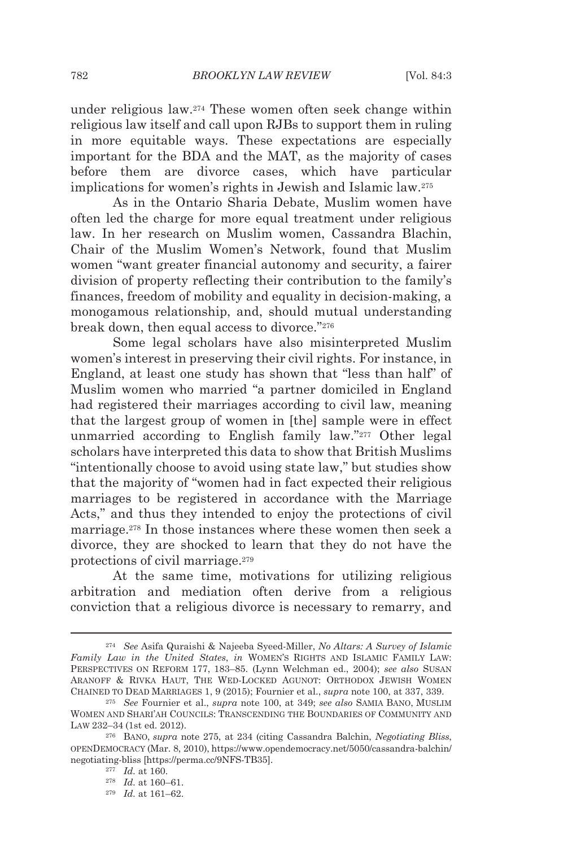under religious law.274 These women often seek change within religious law itself and call upon RJBs to support them in ruling in more equitable ways. These expectations are especially important for the BDA and the MAT, as the majority of cases before them are divorce cases, which have particular implications for women's rights in Jewish and Islamic law.275

As in the Ontario Sharia Debate, Muslim women have often led the charge for more equal treatment under religious law. In her research on Muslim women, Cassandra Blachin, Chair of the Muslim Women's Network, found that Muslim women "want greater financial autonomy and security, a fairer division of property reflecting their contribution to the family's finances, freedom of mobility and equality in decision-making, a monogamous relationship, and, should mutual understanding break down, then equal access to divorce."276

Some legal scholars have also misinterpreted Muslim women's interest in preserving their civil rights. For instance, in England, at least one study has shown that "less than half" of Muslim women who married "a partner domiciled in England had registered their marriages according to civil law, meaning that the largest group of women in [the] sample were in effect unmarried according to English family law."277 Other legal scholars have interpreted this data to show that British Muslims "intentionally choose to avoid using state law," but studies show that the majority of "women had in fact expected their religious marriages to be registered in accordance with the Marriage Acts," and thus they intended to enjoy the protections of civil marriage.278 In those instances where these women then seek a divorce, they are shocked to learn that they do not have the protections of civil marriage.279

At the same time, motivations for utilizing religious arbitration and mediation often derive from a religious conviction that a religious divorce is necessary to remarry, and

<sup>274</sup> *See* Asifa Quraishi & Najeeba Syeed-Miller, *No Altars: A Survey of Islamic Family Law in the United States*, *in* WOMEN'S RIGHTS AND ISLAMIC FAMILY LAW: PERSPECTIVES ON REFORM 177, 183–85. (Lynn Welchman ed., 2004); *see also* SUSAN ARANOFF & RIVKA HAUT, THE WED-LOCKED AGUNOT: ORTHODOX JEWISH WOMEN CHAINED TO DEAD MARRIAGES 1, 9 (2015); Fournier et al., *supra* note 100, at 337, 339. 275 *See* Fournier et al., *supra* note 100, at 349; *see also* SAMIA BANO, MUSLIM

WOMEN AND SHARI'AH COUNCILS: TRANSCENDING THE BOUNDARIES OF COMMUNITY AND LAW 232–34 (1st ed. 2012).

<sup>276</sup> BANO, *supra* note 275, at 234 (citing Cassandra Balchin, *Negotiating Bliss*, OPENDEMOCRACY (Mar. 8, 2010), https://www.opendemocracy.net/5050/cassandra-balchin/ negotiating-bliss [https://perma.cc/9NFS-TB35].<br><sup>277</sup> *Id.* at 160.<br><sup>278</sup> *Id.* at 160–61.<br><sup>279</sup> *Id.* at 161–62.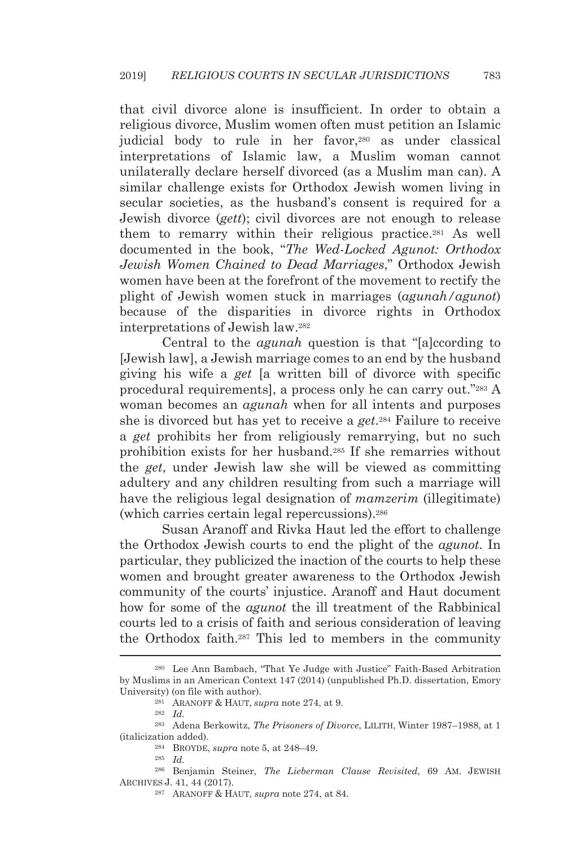that civil divorce alone is insufficient. In order to obtain a religious divorce, Muslim women often must petition an Islamic judicial body to rule in her favor,<sup>280</sup> as under classical interpretations of Islamic law, a Muslim woman cannot unilaterally declare herself divorced (as a Muslim man can). A similar challenge exists for Orthodox Jewish women living in secular societies, as the husband's consent is required for a Jewish divorce (*gett*); civil divorces are not enough to release them to remarry within their religious practice.281 As well documented in the book, "*The Wed-Locked Agunot: Orthodox Jewish Women Chained to Dead Marriages*," Orthodox Jewish women have been at the forefront of the movement to rectify the plight of Jewish women stuck in marriages (*agunah/agunot*) because of the disparities in divorce rights in Orthodox interpretations of Jewish law.282

Central to the *agunah* question is that "[a]ccording to [Jewish law], a Jewish marriage comes to an end by the husband giving his wife a *get* [a written bill of divorce with specific procedural requirements], a process only he can carry out."283 A woman becomes an *agunah* when for all intents and purposes she is divorced but has yet to receive a *get*.284 Failure to receive a *get* prohibits her from religiously remarrying, but no such prohibition exists for her husband.285 If she remarries without the *get*, under Jewish law she will be viewed as committing adultery and any children resulting from such a marriage will have the religious legal designation of *mamzerim* (illegitimate) (which carries certain legal repercussions).286

Susan Aranoff and Rivka Haut led the effort to challenge the Orthodox Jewish courts to end the plight of the *agunot*. In particular, they publicized the inaction of the courts to help these women and brought greater awareness to the Orthodox Jewish community of the courts' injustice. Aranoff and Haut document how for some of the *agunot* the ill treatment of the Rabbinical courts led to a crisis of faith and serious consideration of leaving the Orthodox faith.287 This led to members in the community

<sup>280</sup> Lee Ann Bambach, "That Ye Judge with Justice" Faith-Based Arbitration by Muslims in an American Context 147 (2014) (unpublished Ph.D. dissertation, Emory University) (on file with author).<br><sup>281</sup> ARANOFF & HAUT, *supra* note 274, at 9.<br><sup>282</sup> *Id.* 

<sup>283</sup> Adena Berkowitz, *The Prisoners of Divorce*, LILITH, Winter 1987–1988, at 1 (italicization added). 284 BROYDE, *supra* note 5, at 248–49. 285 *Id.*

<sup>286</sup> Benjamin Steiner, *The Lieberman Clause Revisited*, 69 AM. JEWISH ARCHIVES J. 41, 44 (2017). 287 ARANOFF & HAUT, *supra* note 274, at 84.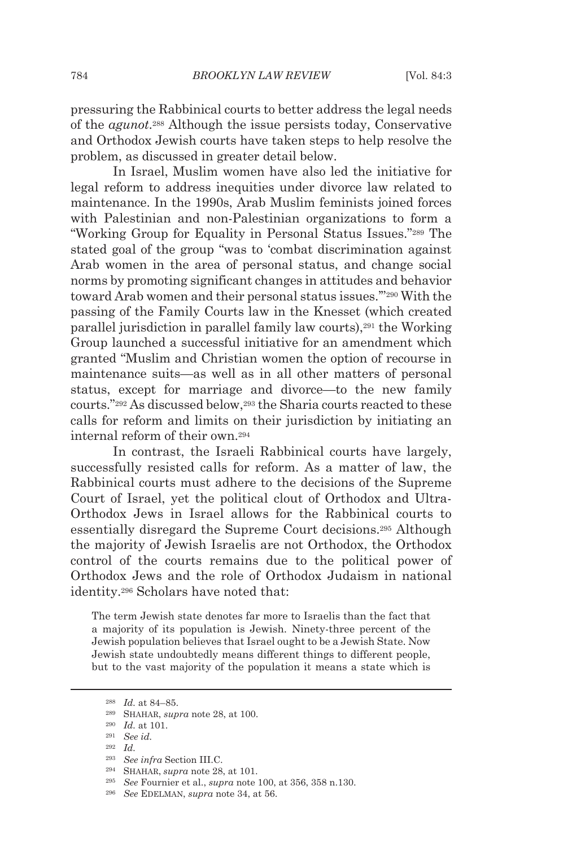pressuring the Rabbinical courts to better address the legal needs of the *agunot*.288 Although the issue persists today, Conservative and Orthodox Jewish courts have taken steps to help resolve the problem, as discussed in greater detail below.

In Israel, Muslim women have also led the initiative for legal reform to address inequities under divorce law related to maintenance. In the 1990s, Arab Muslim feminists joined forces with Palestinian and non-Palestinian organizations to form a "Working Group for Equality in Personal Status Issues."289 The stated goal of the group "was to 'combat discrimination against Arab women in the area of personal status, and change social norms by promoting significant changes in attitudes and behavior toward Arab women and their personal status issues.'"290 With the passing of the Family Courts law in the Knesset (which created parallel jurisdiction in parallel family law courts),291 the Working Group launched a successful initiative for an amendment which granted "Muslim and Christian women the option of recourse in maintenance suits—as well as in all other matters of personal status, except for marriage and divorce—to the new family courts."292 As discussed below,293 the Sharia courts reacted to these calls for reform and limits on their jurisdiction by initiating an internal reform of their own.294

In contrast, the Israeli Rabbinical courts have largely, successfully resisted calls for reform. As a matter of law, the Rabbinical courts must adhere to the decisions of the Supreme Court of Israel, yet the political clout of Orthodox and Ultra-Orthodox Jews in Israel allows for the Rabbinical courts to essentially disregard the Supreme Court decisions.295 Although the majority of Jewish Israelis are not Orthodox, the Orthodox control of the courts remains due to the political power of Orthodox Jews and the role of Orthodox Judaism in national identity.296 Scholars have noted that:

The term Jewish state denotes far more to Israelis than the fact that a majority of its population is Jewish. Ninety-three percent of the Jewish population believes that Israel ought to be a Jewish State. Now Jewish state undoubtedly means different things to different people, but to the vast majority of the population it means a state which is

<sup>288</sup> *Id.* at 84–85. 289 SHAHAR, *supra* note 28, at 100. 290 *Id.* at 101. 291 *See id.*

<sup>292</sup> *Id.*

<sup>293</sup> *See infra* Section III.C. 294 SHAHAR, *supra* note 28, at 101. 295 *See* Fournier et al., *supra* note 100, at 356, 358 n.130. 296 *See* EDELMAN, *supra* note 34, at 56.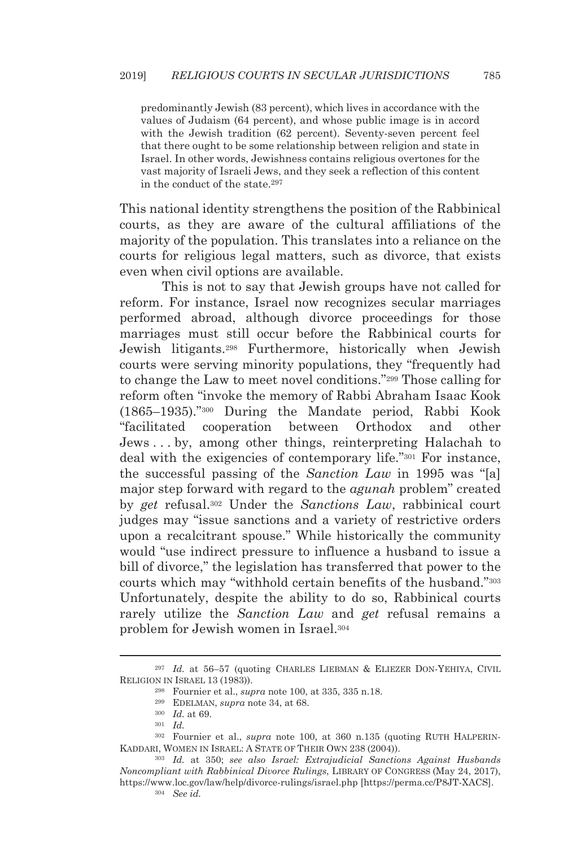predominantly Jewish (83 percent), which lives in accordance with the values of Judaism (64 percent), and whose public image is in accord with the Jewish tradition (62 percent). Seventy-seven percent feel that there ought to be some relationship between religion and state in Israel. In other words, Jewishness contains religious overtones for the vast majority of Israeli Jews, and they seek a reflection of this content in the conduct of the state.297

This national identity strengthens the position of the Rabbinical courts, as they are aware of the cultural affiliations of the majority of the population. This translates into a reliance on the courts for religious legal matters, such as divorce, that exists even when civil options are available.

This is not to say that Jewish groups have not called for reform. For instance, Israel now recognizes secular marriages performed abroad, although divorce proceedings for those marriages must still occur before the Rabbinical courts for Jewish litigants.298 Furthermore, historically when Jewish courts were serving minority populations, they "frequently had to change the Law to meet novel conditions."299 Those calling for reform often "invoke the memory of Rabbi Abraham Isaac Kook (1865–1935)."300 During the Mandate period, Rabbi Kook "facilitated cooperation between Orthodox and other Jews . . . by, among other things, reinterpreting Halachah to deal with the exigencies of contemporary life."301 For instance, the successful passing of the *Sanction Law* in 1995 was "[a] major step forward with regard to the *agunah* problem" created by *get* refusal.302 Under the *Sanctions Law*, rabbinical court judges may "issue sanctions and a variety of restrictive orders upon a recalcitrant spouse." While historically the community would "use indirect pressure to influence a husband to issue a bill of divorce," the legislation has transferred that power to the courts which may "withhold certain benefits of the husband."303 Unfortunately, despite the ability to do so, Rabbinical courts rarely utilize the *Sanction Law* and *get* refusal remains a problem for Jewish women in Israel.304

<sup>297</sup> *Id.* at 56–57 (quoting CHARLES LIEBMAN & ELIEZER DON-YEHIYA, CIVIL RELIGION IN ISRAEL 13 (1983)).<br><sup>298</sup> Fournier et al., *supra* note 100, at 335, 335 n.18.<br><sup>299</sup> EDELMAN, *supra* note 34, at 68.<br><sup>300</sup> *Id.* at 69.<br><sup>301</sup> *Id.* 

<sup>302</sup> Fournier et al., *supra* note 100, at 360 n.135 (quoting RUTH HALPERIN-KADDARI, WOMEN IN ISRAEL: <sup>A</sup> STATE OF THEIR OWN 238 (2004)). 303 *Id.* at 350; *see also Israel: Extrajudicial Sanctions Against Husbands* 

*Noncompliant with Rabbinical Divorce Rulings*, LIBRARY OF CONGRESS (May 24, 2017), https://www.loc.gov/law/help/divorce-rulings/israel.php [https://perma.cc/P8JT-XACS]. 304 *See id.*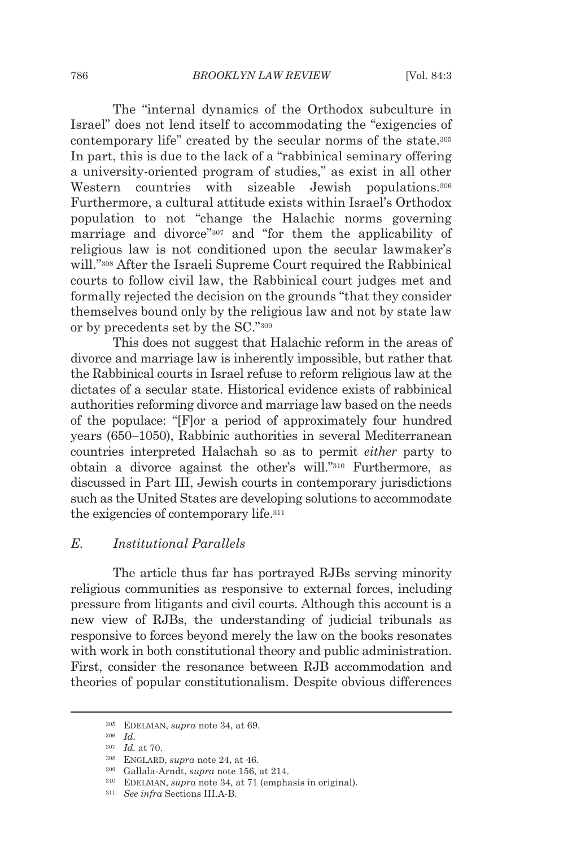The "internal dynamics of the Orthodox subculture in Israel" does not lend itself to accommodating the "exigencies of contemporary life" created by the secular norms of the state.305 In part, this is due to the lack of a "rabbinical seminary offering a university-oriented program of studies," as exist in all other Western countries with sizeable Jewish populations.<sup>306</sup> Furthermore, a cultural attitude exists within Israel's Orthodox population to not "change the Halachic norms governing marriage and divorce"307 and "for them the applicability of religious law is not conditioned upon the secular lawmaker's will."308 After the Israeli Supreme Court required the Rabbinical courts to follow civil law, the Rabbinical court judges met and formally rejected the decision on the grounds "that they consider themselves bound only by the religious law and not by state law or by precedents set by the SC."309

This does not suggest that Halachic reform in the areas of divorce and marriage law is inherently impossible, but rather that the Rabbinical courts in Israel refuse to reform religious law at the dictates of a secular state. Historical evidence exists of rabbinical authorities reforming divorce and marriage law based on the needs of the populace: "[F]or a period of approximately four hundred years (650–1050), Rabbinic authorities in several Mediterranean countries interpreted Halachah so as to permit *either* party to obtain a divorce against the other's will."310 Furthermore, as discussed in Part III, Jewish courts in contemporary jurisdictions such as the United States are developing solutions to accommodate the exigencies of contemporary life.311

#### *E. Institutional Parallels*

The article thus far has portrayed RJBs serving minority religious communities as responsive to external forces, including pressure from litigants and civil courts. Although this account is a new view of RJBs, the understanding of judicial tribunals as responsive to forces beyond merely the law on the books resonates with work in both constitutional theory and public administration. First, consider the resonance between RJB accommodation and theories of popular constitutionalism. Despite obvious differences

<sup>305</sup> EDELMAN, *supra* note 34, at 69. 306 *Id.*

<sup>307</sup> *Id.* at 70. 308 ENGLARD, *supra* note 24, at 46. 309 Gallala-Arndt, *supra* note 156, at 214. 310 EDELMAN, *supra* note 34, at 71 (emphasis in original). 311 *See infra* Sections III.A-B.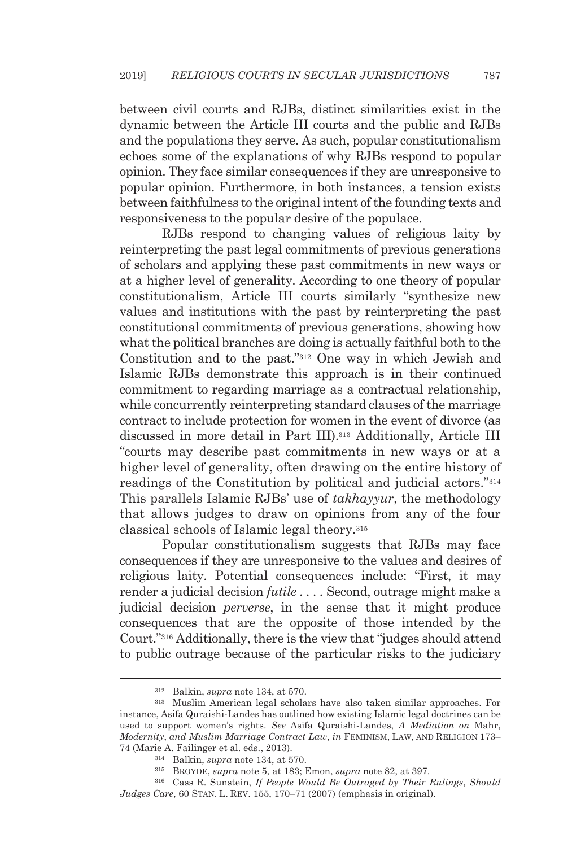between civil courts and RJBs, distinct similarities exist in the dynamic between the Article III courts and the public and RJBs and the populations they serve. As such, popular constitutionalism echoes some of the explanations of why RJBs respond to popular opinion. They face similar consequences if they are unresponsive to popular opinion. Furthermore, in both instances, a tension exists between faithfulness to the original intent of the founding texts and responsiveness to the popular desire of the populace.

RJBs respond to changing values of religious laity by reinterpreting the past legal commitments of previous generations of scholars and applying these past commitments in new ways or at a higher level of generality. According to one theory of popular constitutionalism, Article III courts similarly "synthesize new values and institutions with the past by reinterpreting the past constitutional commitments of previous generations, showing how what the political branches are doing is actually faithful both to the Constitution and to the past."312 One way in which Jewish and Islamic RJBs demonstrate this approach is in their continued commitment to regarding marriage as a contractual relationship, while concurrently reinterpreting standard clauses of the marriage contract to include protection for women in the event of divorce (as discussed in more detail in Part III).313 Additionally, Article III "courts may describe past commitments in new ways or at a higher level of generality, often drawing on the entire history of readings of the Constitution by political and judicial actors."314 This parallels Islamic RJBs' use of *takhayyur*, the methodology that allows judges to draw on opinions from any of the four classical schools of Islamic legal theory.315

Popular constitutionalism suggests that RJBs may face consequences if they are unresponsive to the values and desires of religious laity. Potential consequences include: "First, it may render a judicial decision *futile . . . .* Second, outrage might make a judicial decision *perverse*, in the sense that it might produce consequences that are the opposite of those intended by the Court."316 Additionally, there is the view that "judges should attend to public outrage because of the particular risks to the judiciary

<sup>312</sup> Balkin, *supra* note 134, at 570. 313 Muslim American legal scholars have also taken similar approaches. For instance, Asifa Quraishi-Landes has outlined how existing Islamic legal doctrines can be used to support women's rights. *See* Asifa Quraishi-Landes, *A Mediation on* Mahr, *Modernity*, *and Muslim Marriage Contract Law*, *in* FEMINISM, LAW, AND RELIGION 173– 74 (Marie A. Failinger et al. eds., 2013).<br><sup>314</sup> Balkin, *supra* note 134, at 570.<br><sup>315</sup> BROYDE, *supra* note 5, at 183; Emon, *supra* note 82, at 397.<br><sup>315</sup> Cass R. Sunstein, *If People Would Be Outraged by Their Rulings* 

*Judges Care*, 60 STAN. L. REV. 155, 170–71 (2007) (emphasis in original).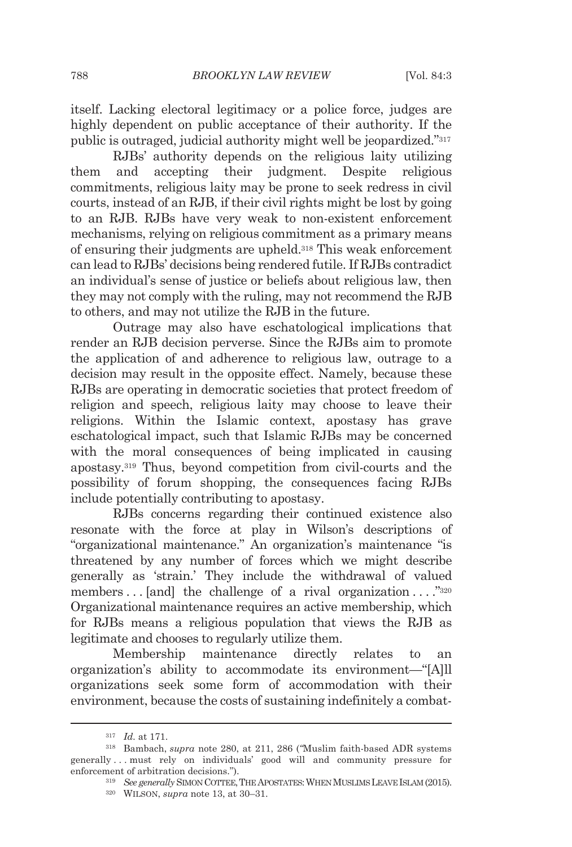itself. Lacking electoral legitimacy or a police force, judges are highly dependent on public acceptance of their authority. If the public is outraged, judicial authority might well be jeopardized."317

RJBs' authority depends on the religious laity utilizing them and accepting their judgment. Despite religious commitments, religious laity may be prone to seek redress in civil courts, instead of an RJB, if their civil rights might be lost by going to an RJB. RJBs have very weak to non-existent enforcement mechanisms, relying on religious commitment as a primary means of ensuring their judgments are upheld.318 This weak enforcement can lead to RJBs' decisions being rendered futile. If RJBs contradict an individual's sense of justice or beliefs about religious law, then they may not comply with the ruling, may not recommend the RJB to others, and may not utilize the RJB in the future.

Outrage may also have eschatological implications that render an RJB decision perverse. Since the RJBs aim to promote the application of and adherence to religious law, outrage to a decision may result in the opposite effect. Namely, because these RJBs are operating in democratic societies that protect freedom of religion and speech, religious laity may choose to leave their religions. Within the Islamic context, apostasy has grave eschatological impact, such that Islamic RJBs may be concerned with the moral consequences of being implicated in causing apostasy.319 Thus, beyond competition from civil-courts and the possibility of forum shopping, the consequences facing RJBs include potentially contributing to apostasy.

RJBs concerns regarding their continued existence also resonate with the force at play in Wilson's descriptions of "organizational maintenance." An organization's maintenance "is threatened by any number of forces which we might describe generally as 'strain.' They include the withdrawal of valued members  $\dots$  [and] the challenge of a rival organization  $\dots$ ."<sup>320</sup> Organizational maintenance requires an active membership, which for RJBs means a religious population that views the RJB as legitimate and chooses to regularly utilize them.

Membership maintenance directly relates to an organization's ability to accommodate its environment—"[A]ll organizations seek some form of accommodation with their environment, because the costs of sustaining indefinitely a combat-

<sup>317</sup> *Id.* at 171. 318 Bambach, *supra* note 280, at 211, 286 (*"*Muslim faith-based ADR systems generally . . . must rely on individuals' good will and community pressure for

enforcement of arbitration decisions.").<br><sup>319</sup> See *generally* SIMON COTTEE, THE APOSTATES: WHEN MUSLIMS LEAVE ISLAM (2015).<br><sup>320</sup> WILSON, *supra* note 13, at 30–31.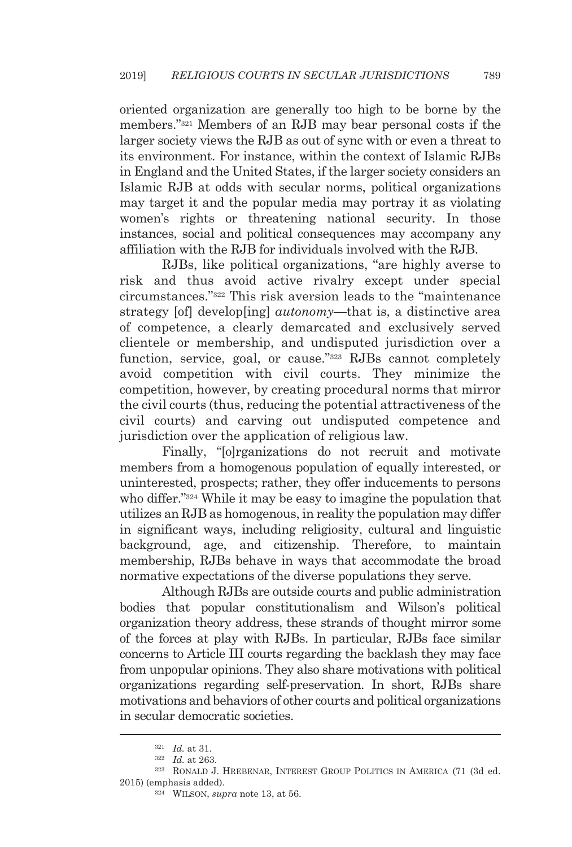oriented organization are generally too high to be borne by the members."321 Members of an RJB may bear personal costs if the larger society views the RJB as out of sync with or even a threat to its environment. For instance, within the context of Islamic RJBs in England and the United States, if the larger society considers an Islamic RJB at odds with secular norms, political organizations may target it and the popular media may portray it as violating women's rights or threatening national security. In those instances, social and political consequences may accompany any affiliation with the RJB for individuals involved with the RJB.

RJBs, like political organizations, "are highly averse to risk and thus avoid active rivalry except under special circumstances."322 This risk aversion leads to the "maintenance strategy [of] develop[ing] *autonomy*—that is, a distinctive area of competence, a clearly demarcated and exclusively served clientele or membership, and undisputed jurisdiction over a function, service, goal, or cause."323 RJBs cannot completely avoid competition with civil courts. They minimize the competition, however, by creating procedural norms that mirror the civil courts (thus, reducing the potential attractiveness of the civil courts) and carving out undisputed competence and jurisdiction over the application of religious law.

Finally, "[o]rganizations do not recruit and motivate members from a homogenous population of equally interested, or uninterested, prospects; rather, they offer inducements to persons who differ."324 While it may be easy to imagine the population that utilizes an RJB as homogenous, in reality the population may differ in significant ways, including religiosity, cultural and linguistic background, age, and citizenship. Therefore, to maintain membership, RJBs behave in ways that accommodate the broad normative expectations of the diverse populations they serve.

Although RJBs are outside courts and public administration bodies that popular constitutionalism and Wilson's political organization theory address, these strands of thought mirror some of the forces at play with RJBs. In particular, RJBs face similar concerns to Article III courts regarding the backlash they may face from unpopular opinions. They also share motivations with political organizations regarding self-preservation. In short, RJBs share motivations and behaviors of other courts and political organizations in secular democratic societies.

<sup>321</sup> *Id.* at 31. 322 *Id.* at 263. 323 RONALD J. HREBENAR, INTEREST GROUP POLITICS IN AMERICA (71 (3d ed. 2015) (emphasis added). 324 WILSON, *supra* note 13, at 56.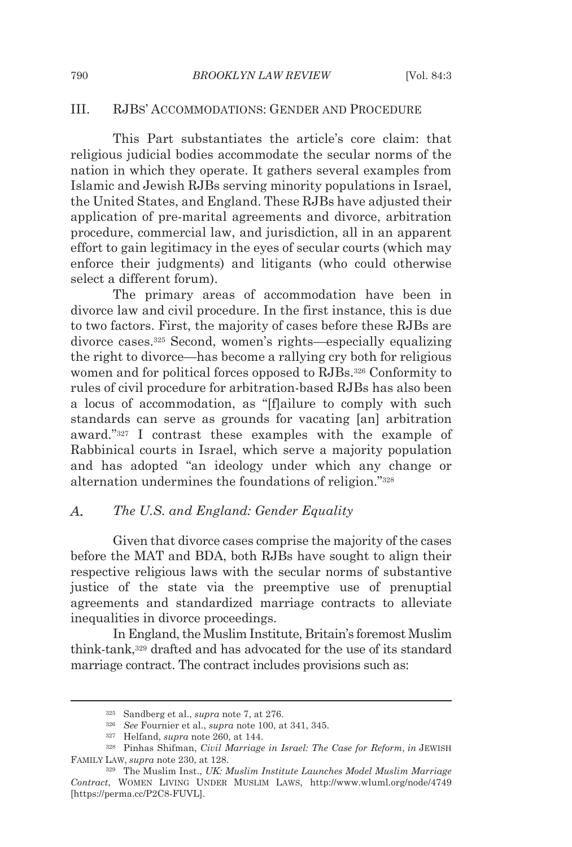### III. RJBS' ACCOMMODATIONS: GENDER AND PROCEDURE

This Part substantiates the article's core claim: that religious judicial bodies accommodate the secular norms of the nation in which they operate. It gathers several examples from Islamic and Jewish RJBs serving minority populations in Israel, the United States, and England. These RJBs have adjusted their application of pre-marital agreements and divorce, arbitration procedure, commercial law, and jurisdiction, all in an apparent effort to gain legitimacy in the eyes of secular courts (which may enforce their judgments) and litigants (who could otherwise select a different forum).

The primary areas of accommodation have been in divorce law and civil procedure. In the first instance, this is due to two factors. First, the majority of cases before these RJBs are divorce cases.325 Second, women's rights—especially equalizing the right to divorce—has become a rallying cry both for religious women and for political forces opposed to RJBs.326 Conformity to rules of civil procedure for arbitration-based RJBs has also been a locus of accommodation, as "[f]ailure to comply with such standards can serve as grounds for vacating [an] arbitration award."327 I contrast these examples with the example of Rabbinical courts in Israel, which serve a majority population and has adopted "an ideology under which any change or alternation undermines the foundations of religion."328

#### A. *The U.S. and England: Gender Equality*

Given that divorce cases comprise the majority of the cases before the MAT and BDA, both RJBs have sought to align their respective religious laws with the secular norms of substantive justice of the state via the preemptive use of prenuptial agreements and standardized marriage contracts to alleviate inequalities in divorce proceedings.

In England, the Muslim Institute, Britain's foremost Muslim think-tank,329 drafted and has advocated for the use of its standard marriage contract. The contract includes provisions such as:

<sup>&</sup>lt;sup>325</sup> Sandberg et al., *supra* note 7, at 276.<br><sup>326</sup> See Fournier et al., *supra* note 100, at 341, 345.<br><sup>327</sup> Helfand, *supra* note 260, at 144.<br><sup>328</sup> Pinhas Shifman, *Civil Marriage in Israel: The Case for Reform*, *in* FAMILY LAW, *supra* note 230, at 128.<br><sup>329</sup> The Muslim Inst., *UK: Muslim Institute Launches Model Muslim Marriage* 

*Contract*, WOMEN LIVING UNDER MUSLIM LAWS, http://www.wluml.org/node/4749 [https://perma.cc/P2C8-FUVL].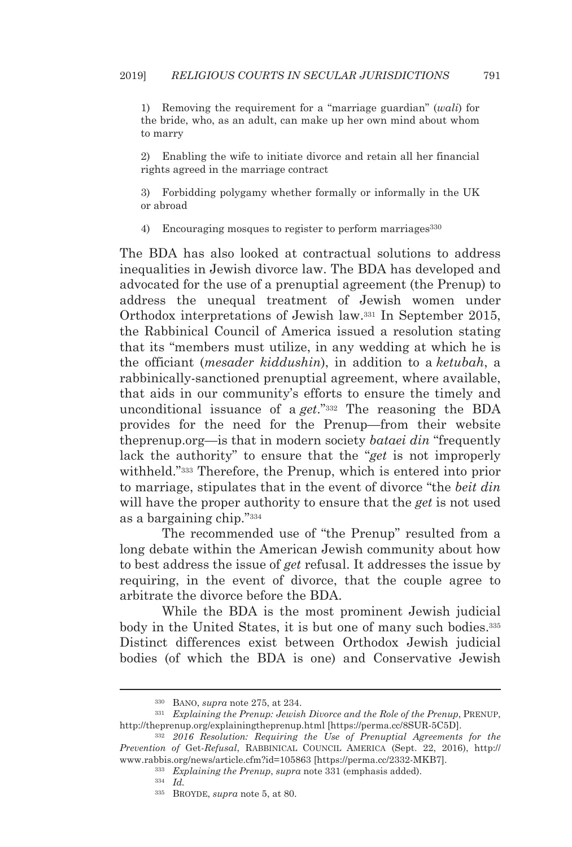1) Removing the requirement for a "marriage guardian" (*wali*) for the bride, who, as an adult, can make up her own mind about whom to marry

2) Enabling the wife to initiate divorce and retain all her financial rights agreed in the marriage contract

3) Forbidding polygamy whether formally or informally in the UK or abroad

4) Encouraging mosques to register to perform marriages<sup>330</sup>

The BDA has also looked at contractual solutions to address inequalities in Jewish divorce law. The BDA has developed and advocated for the use of a prenuptial agreement (the Prenup) to address the unequal treatment of Jewish women under Orthodox interpretations of Jewish law.331 In September 2015, the Rabbinical Council of America issued a resolution stating that its "members must utilize, in any wedding at which he is the officiant (*mesader kiddushin*), in addition to a *ketubah*, a rabbinically-sanctioned prenuptial agreement, where available, that aids in our community's efforts to ensure the timely and unconditional issuance of a *get*."332 The reasoning the BDA provides for the need for the Prenup—from their website theprenup.org—is that in modern society *bataei din* "frequently lack the authority" to ensure that the "*get* is not improperly withheld."333 Therefore, the Prenup, which is entered into prior to marriage, stipulates that in the event of divorce "the *beit din* will have the proper authority to ensure that the *get* is not used as a bargaining chip."334

The recommended use of "the Prenup" resulted from a long debate within the American Jewish community about how to best address the issue of *get* refusal. It addresses the issue by requiring, in the event of divorce, that the couple agree to arbitrate the divorce before the BDA.

While the BDA is the most prominent Jewish judicial body in the United States, it is but one of many such bodies.<sup>335</sup> Distinct differences exist between Orthodox Jewish judicial bodies (of which the BDA is one) and Conservative Jewish

<sup>&</sup>lt;sup>330</sup> BANO, *supra* note 275, at 234.<br><sup>331</sup> Explaining the Prenup: Jewish Divorce and the Role of the Prenup, PRENUP, http://theprenup.org/explainingtheprenup.html [https://perma.cc/8SUR-5C5D]. 332 *2016 Resolution: Requiring the Use of Prenuptial Agreements for the* 

*Prevention of* Get*-Refusal*, RABBINICAL COUNCIL AMERICA (Sept. 22, 2016), http:// www.rabbis.org/news/article.cfm?id=105863 [https://perma.cc/2332-MKB7]. 333 *Explaining the Prenup*, *supra* note 331 (emphasis added). 334 *Id.*

<sup>335</sup> BROYDE, *supra* note 5, at 80.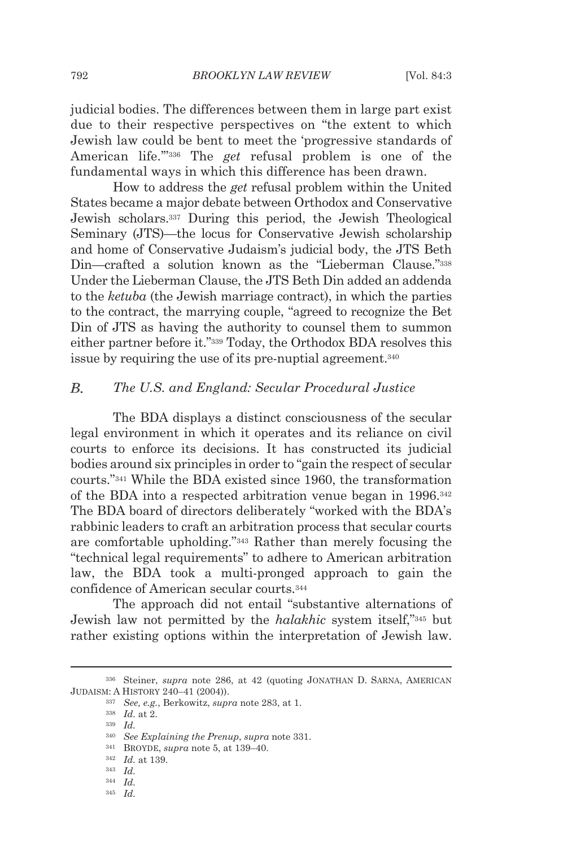judicial bodies. The differences between them in large part exist due to their respective perspectives on "the extent to which Jewish law could be bent to meet the 'progressive standards of American life.'"336 The *get* refusal problem is one of the fundamental ways in which this difference has been drawn.

How to address the *get* refusal problem within the United States became a major debate between Orthodox and Conservative Jewish scholars.337 During this period, the Jewish Theological Seminary (JTS)—the locus for Conservative Jewish scholarship and home of Conservative Judaism's judicial body, the JTS Beth Din—crafted a solution known as the "Lieberman Clause."338 Under the Lieberman Clause, the JTS Beth Din added an addenda to the *ketuba* (the Jewish marriage contract), in which the parties to the contract, the marrying couple, "agreed to recognize the Bet Din of JTS as having the authority to counsel them to summon either partner before it."339 Today, the Orthodox BDA resolves this issue by requiring the use of its pre-nuptial agreement.<sup>340</sup>

#### В. *The U.S. and England: Secular Procedural Justice*

The BDA displays a distinct consciousness of the secular legal environment in which it operates and its reliance on civil courts to enforce its decisions. It has constructed its judicial bodies around six principles in order to "gain the respect of secular courts."341 While the BDA existed since 1960, the transformation of the BDA into a respected arbitration venue began in 1996.342 The BDA board of directors deliberately "worked with the BDA's rabbinic leaders to craft an arbitration process that secular courts are comfortable upholding."343 Rather than merely focusing the "technical legal requirements" to adhere to American arbitration law, the BDA took a multi-pronged approach to gain the confidence of American secular courts.344

The approach did not entail "substantive alternations of Jewish law not permitted by the *halakhic* system itself,"345 but rather existing options within the interpretation of Jewish law.

345 *Id.*

<sup>336</sup> Steiner, *supra* note 286, at 42 (quoting JONATHAN D. SARNA, AMERICAN JUDAISM: <sup>A</sup> HISTORY 240–41 (2004)). 337 *See, e.g.*, Berkowitz, *supra* note 283, at 1. 338 *Id.* at 2. 339 *Id.*

<sup>340</sup> *See Explaining the Prenup*, *supra* note 331. 341 BROYDE, *supra* note 5, at 139–40. 342 *Id.* at 139. 343 *Id.*

<sup>344</sup> *Id.*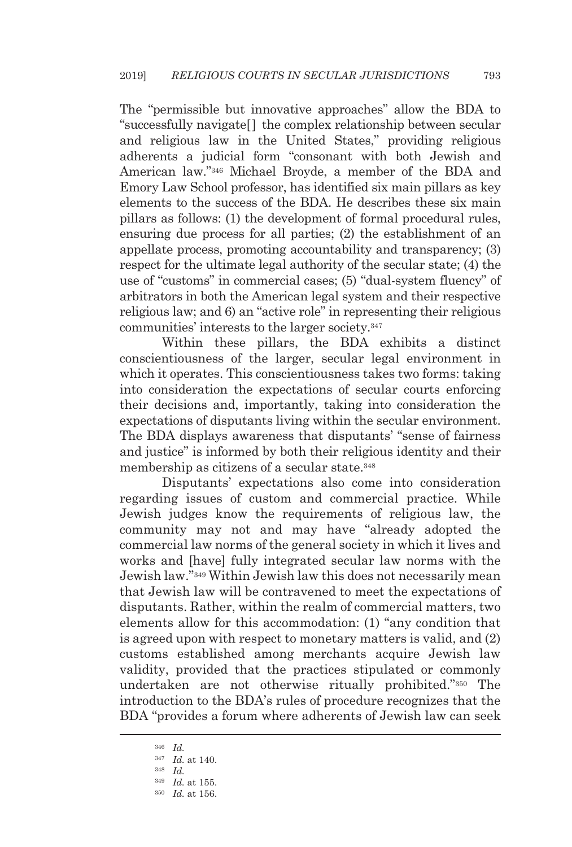The "permissible but innovative approaches" allow the BDA to "successfully navigate[] the complex relationship between secular and religious law in the United States," providing religious adherents a judicial form "consonant with both Jewish and American law."346 Michael Broyde, a member of the BDA and Emory Law School professor, has identified six main pillars as key elements to the success of the BDA. He describes these six main pillars as follows: (1) the development of formal procedural rules, ensuring due process for all parties; (2) the establishment of an appellate process, promoting accountability and transparency; (3) respect for the ultimate legal authority of the secular state; (4) the use of "customs" in commercial cases; (5) "dual-system fluency" of arbitrators in both the American legal system and their respective religious law; and 6) an "active role" in representing their religious communities' interests to the larger society.347

Within these pillars, the BDA exhibits a distinct conscientiousness of the larger, secular legal environment in which it operates. This conscientiousness takes two forms: taking into consideration the expectations of secular courts enforcing their decisions and, importantly, taking into consideration the expectations of disputants living within the secular environment. The BDA displays awareness that disputants' "sense of fairness and justice" is informed by both their religious identity and their membership as citizens of a secular state.<sup>348</sup>

Disputants' expectations also come into consideration regarding issues of custom and commercial practice. While Jewish judges know the requirements of religious law, the community may not and may have "already adopted the commercial law norms of the general society in which it lives and works and [have] fully integrated secular law norms with the Jewish law."349 Within Jewish law this does not necessarily mean that Jewish law will be contravened to meet the expectations of disputants. Rather, within the realm of commercial matters, two elements allow for this accommodation: (1) "any condition that is agreed upon with respect to monetary matters is valid, and (2) customs established among merchants acquire Jewish law validity, provided that the practices stipulated or commonly undertaken are not otherwise ritually prohibited."350 The introduction to the BDA's rules of procedure recognizes that the BDA "provides a forum where adherents of Jewish law can seek

<sup>346</sup> *Id.*

<sup>347</sup> *Id.* at 140. 348 *Id.*

<sup>349</sup> *Id.* at 155. 350 *Id.* at 156.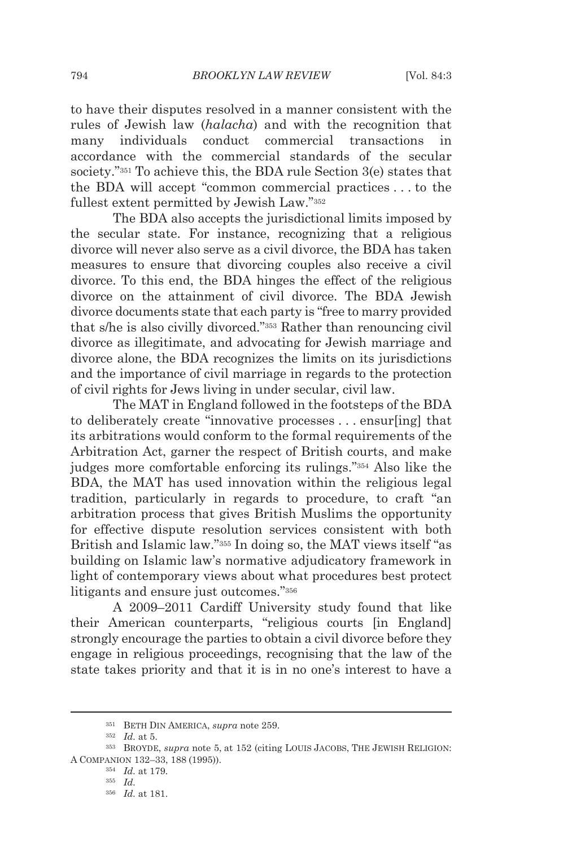to have their disputes resolved in a manner consistent with the rules of Jewish law (*halacha*) and with the recognition that many individuals conduct commercial transactions in accordance with the commercial standards of the secular society."351 To achieve this, the BDA rule Section 3(e) states that the BDA will accept "common commercial practices . . . to the fullest extent permitted by Jewish Law."352

The BDA also accepts the jurisdictional limits imposed by the secular state. For instance, recognizing that a religious divorce will never also serve as a civil divorce, the BDA has taken measures to ensure that divorcing couples also receive a civil divorce. To this end, the BDA hinges the effect of the religious divorce on the attainment of civil divorce. The BDA Jewish divorce documents state that each party is "free to marry provided that s/he is also civilly divorced."353 Rather than renouncing civil divorce as illegitimate, and advocating for Jewish marriage and divorce alone, the BDA recognizes the limits on its jurisdictions and the importance of civil marriage in regards to the protection of civil rights for Jews living in under secular, civil law.

The MAT in England followed in the footsteps of the BDA to deliberately create "innovative processes . . . ensur[ing] that its arbitrations would conform to the formal requirements of the Arbitration Act, garner the respect of British courts, and make judges more comfortable enforcing its rulings."354 Also like the BDA, the MAT has used innovation within the religious legal tradition, particularly in regards to procedure, to craft "an arbitration process that gives British Muslims the opportunity for effective dispute resolution services consistent with both British and Islamic law."355 In doing so, the MAT views itself "as building on Islamic law's normative adjudicatory framework in light of contemporary views about what procedures best protect litigants and ensure just outcomes."356

A 2009–2011 Cardiff University study found that like their American counterparts, "religious courts [in England] strongly encourage the parties to obtain a civil divorce before they engage in religious proceedings, recognising that the law of the state takes priority and that it is in no one's interest to have a

<sup>&</sup>lt;sup>351</sup> BETH DIN AMERICA, *supra* note 259.<br><sup>352</sup> Id. at 5.<br><sup>353</sup> BROYDE, *supra* note 5, at 152 (citing LOUIS JACOBS, THE JEWISH RELIGION: <sup>A</sup> COMPANION 132–33, 188 (1995)). 354 *Id.* at 179. 355 *Id.* 

<sup>356</sup> *Id.* at 181.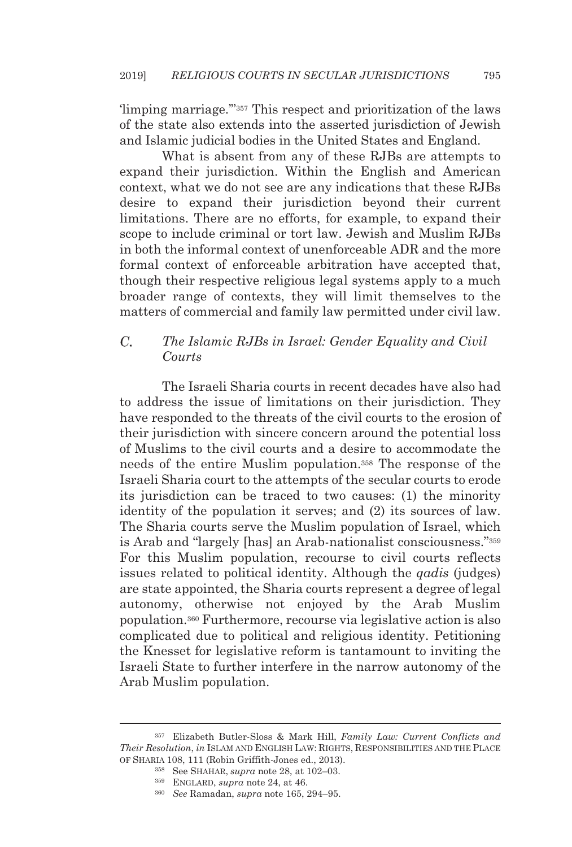'limping marriage.'"357 This respect and prioritization of the laws of the state also extends into the asserted jurisdiction of Jewish and Islamic judicial bodies in the United States and England.

What is absent from any of these RJBs are attempts to expand their jurisdiction. Within the English and American context, what we do not see are any indications that these RJBs desire to expand their jurisdiction beyond their current limitations. There are no efforts, for example, to expand their scope to include criminal or tort law. Jewish and Muslim RJBs in both the informal context of unenforceable ADR and the more formal context of enforceable arbitration have accepted that, though their respective religious legal systems apply to a much broader range of contexts, they will limit themselves to the matters of commercial and family law permitted under civil law.

#### С. *The Islamic RJBs in Israel: Gender Equality and Civil Courts*

The Israeli Sharia courts in recent decades have also had to address the issue of limitations on their jurisdiction. They have responded to the threats of the civil courts to the erosion of their jurisdiction with sincere concern around the potential loss of Muslims to the civil courts and a desire to accommodate the needs of the entire Muslim population.358 The response of the Israeli Sharia court to the attempts of the secular courts to erode its jurisdiction can be traced to two causes: (1) the minority identity of the population it serves; and (2) its sources of law. The Sharia courts serve the Muslim population of Israel, which is Arab and "largely [has] an Arab-nationalist consciousness."359 For this Muslim population, recourse to civil courts reflects issues related to political identity. Although the *qadis* (judges) are state appointed, the Sharia courts represent a degree of legal autonomy, otherwise not enjoyed by the Arab Muslim population.360 Furthermore, recourse via legislative action is also complicated due to political and religious identity. Petitioning the Knesset for legislative reform is tantamount to inviting the Israeli State to further interfere in the narrow autonomy of the Arab Muslim population.

<sup>357</sup> Elizabeth Butler-Sloss & Mark Hill, *Family Law: Current Conflicts and Their Resolution*, *in* ISLAM AND ENGLISH LAW: RIGHTS, RESPONSIBILITIES AND THE PLACE

OF SHARIA 108, 111 (Robin Griffith-Jones ed., 2013). 358 See SHAHAR, *supra* note 28, at 102–03. 359 ENGLARD, *supra* note 24, at 46. 360 *See* Ramadan, *supra* note 165, 294–95.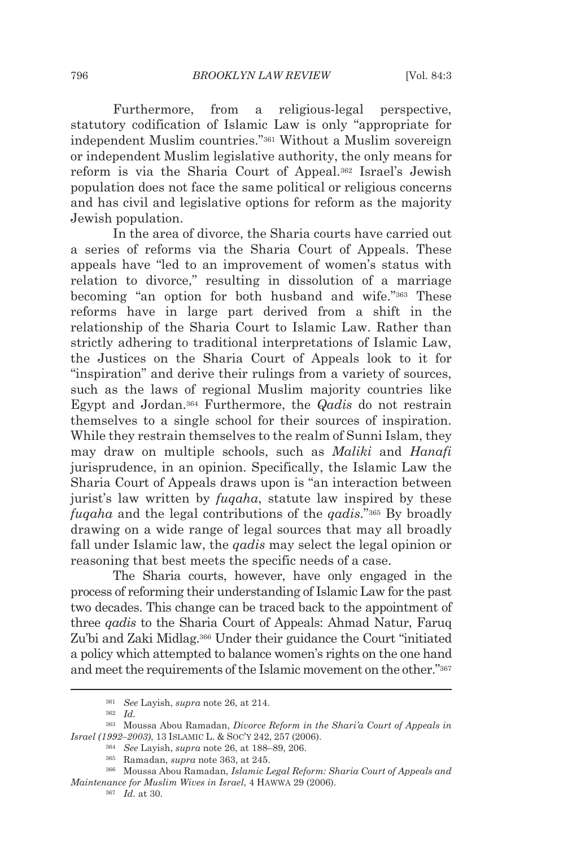Furthermore, from a religious-legal perspective, statutory codification of Islamic Law is only "appropriate for independent Muslim countries."361 Without a Muslim sovereign or independent Muslim legislative authority, the only means for reform is via the Sharia Court of Appeal.362 Israel's Jewish population does not face the same political or religious concerns and has civil and legislative options for reform as the majority Jewish population.

In the area of divorce, the Sharia courts have carried out a series of reforms via the Sharia Court of Appeals. These appeals have "led to an improvement of women's status with relation to divorce," resulting in dissolution of a marriage becoming "an option for both husband and wife."363 These reforms have in large part derived from a shift in the relationship of the Sharia Court to Islamic Law. Rather than strictly adhering to traditional interpretations of Islamic Law, the Justices on the Sharia Court of Appeals look to it for "inspiration" and derive their rulings from a variety of sources, such as the laws of regional Muslim majority countries like Egypt and Jordan.364 Furthermore, the *Qadis* do not restrain themselves to a single school for their sources of inspiration. While they restrain themselves to the realm of Sunni Islam, they may draw on multiple schools, such as *Maliki* and *Hanafi* jurisprudence, in an opinion. Specifically, the Islamic Law the Sharia Court of Appeals draws upon is "an interaction between jurist's law written by *fuqaha*, statute law inspired by these *fuqaha* and the legal contributions of the *qadis*."365 By broadly drawing on a wide range of legal sources that may all broadly fall under Islamic law, the *qadis* may select the legal opinion or reasoning that best meets the specific needs of a case.

The Sharia courts, however, have only engaged in the process of reforming their understanding of Islamic Law for the past two decades. This change can be traced back to the appointment of three *qadis* to the Sharia Court of Appeals: Ahmad Natur, Faruq Zu'bi and Zaki Midlag.366 Under their guidance the Court "initiated a policy which attempted to balance women's rights on the one hand and meet the requirements of the Islamic movement on the other."367

<sup>361</sup> *See* Layish, *supra* note 26, at 214. 362 *Id.*

<sup>363</sup> Moussa Abou Ramadan, *Divorce Reform in the Shari'a Court of Appeals in*  Israel (1992–2003), 13 ISLAMIC L. & Soc'y 242, 257 (2006).<br><sup>364</sup> See Layish, *supra* note 26, at 188–89, 206.<br><sup>365</sup> Ramadan, *supra* note 363, at 245.<br><sup>366</sup> Moussa Abou Ramadan, *Islamic Legal Reform: Sharia Court of Appea* 

*Maintenance for Muslim Wives in Israel*, 4 HAWWA 29 (2006). 367 *Id.* at 30.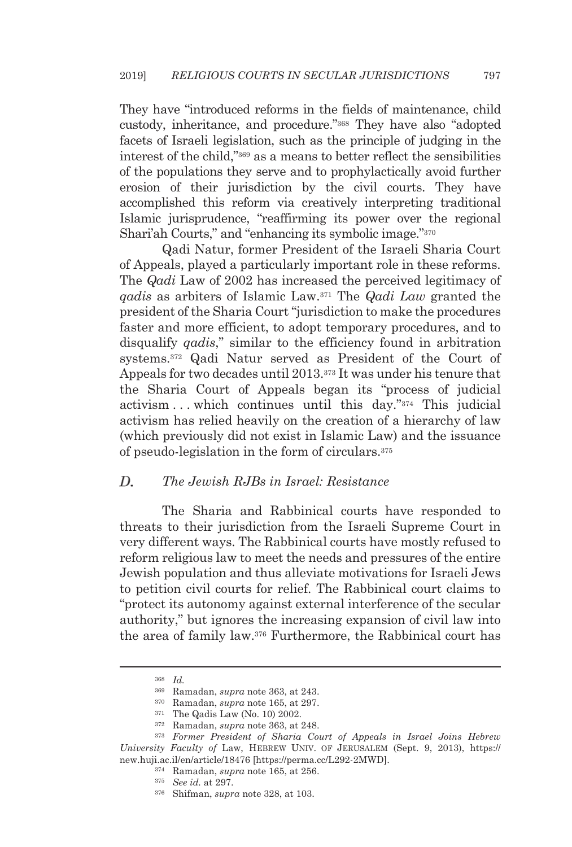They have "introduced reforms in the fields of maintenance, child custody, inheritance, and procedure."368 They have also "adopted facets of Israeli legislation, such as the principle of judging in the interest of the child,"369 as a means to better reflect the sensibilities of the populations they serve and to prophylactically avoid further erosion of their jurisdiction by the civil courts. They have accomplished this reform via creatively interpreting traditional Islamic jurisprudence, "reaffirming its power over the regional Shari'ah Courts," and "enhancing its symbolic image."370

Qadi Natur, former President of the Israeli Sharia Court of Appeals, played a particularly important role in these reforms. The *Qadi* Law of 2002 has increased the perceived legitimacy of *qadis* as arbiters of Islamic Law.371 The *Qadi Law* granted the president of the Sharia Court "jurisdiction to make the procedures faster and more efficient, to adopt temporary procedures, and to disqualify *qadis*," similar to the efficiency found in arbitration systems.372 Qadi Natur served as President of the Court of Appeals for two decades until 2013.373 It was under his tenure that the Sharia Court of Appeals began its "process of judicial activism . . . which continues until this day."374 This judicial activism has relied heavily on the creation of a hierarchy of law (which previously did not exist in Islamic Law) and the issuance of pseudo-legislation in the form of circulars.375

#### *The Jewish RJBs in Israel: Resistance*  D.

The Sharia and Rabbinical courts have responded to threats to their jurisdiction from the Israeli Supreme Court in very different ways. The Rabbinical courts have mostly refused to reform religious law to meet the needs and pressures of the entire Jewish population and thus alleviate motivations for Israeli Jews to petition civil courts for relief. The Rabbinical court claims to "protect its autonomy against external interference of the secular authority," but ignores the increasing expansion of civil law into the area of family law.376 Furthermore, the Rabbinical court has

<sup>368</sup> *Id.*

<sup>&</sup>lt;sup>369</sup> Ramadan, *supra* note 363, at 243.<br><sup>370</sup> Ramadan, *supra* note 165, at 297.<br><sup>371</sup> The Qadis Law (No. 10) 2002.<br><sup>372</sup> Ramadan, *supra* note 363, at 248.<br><sup>373</sup> Former President of Sharia Court of Appeals in Israel Joi *University Faculty of* Law, HEBREW UNIV. OF JERUSALEM (Sept. 9, 2013), https:// new.huji.ac.il/en/article/18476 [https://perma.cc/L292-2MWD]. 374 Ramadan, *supra* note 165, at 256. 375 *See id.* at 297. 376 Shifman, *supra* note 328, at 103.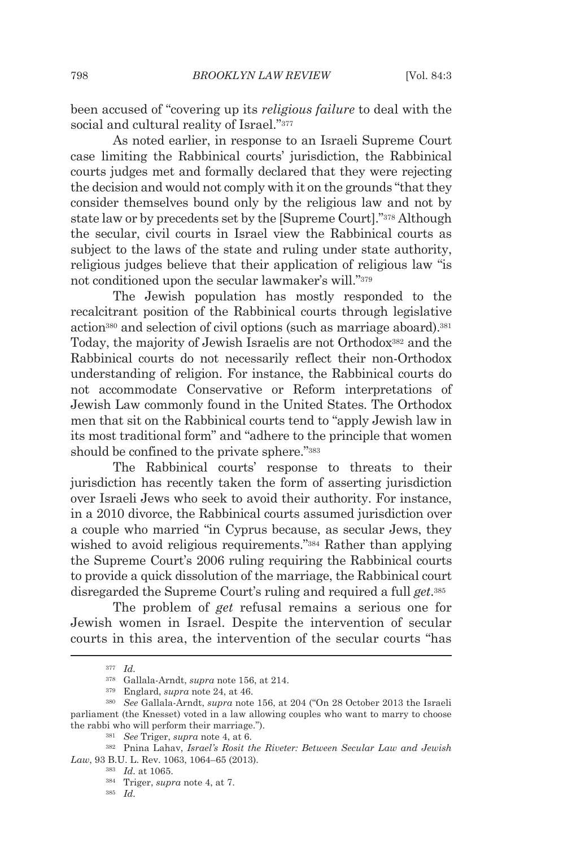been accused of "covering up its *religious failure* to deal with the social and cultural reality of Israel."<sup>377</sup>

As noted earlier, in response to an Israeli Supreme Court case limiting the Rabbinical courts' jurisdiction, the Rabbinical courts judges met and formally declared that they were rejecting the decision and would not comply with it on the grounds "that they consider themselves bound only by the religious law and not by state law or by precedents set by the [Supreme Court]."378 Although the secular, civil courts in Israel view the Rabbinical courts as subject to the laws of the state and ruling under state authority, religious judges believe that their application of religious law "is not conditioned upon the secular lawmaker's will."379

The Jewish population has mostly responded to the recalcitrant position of the Rabbinical courts through legislative action380 and selection of civil options (such as marriage aboard).381 Today, the majority of Jewish Israelis are not Orthodox<sup>382</sup> and the Rabbinical courts do not necessarily reflect their non-Orthodox understanding of religion. For instance, the Rabbinical courts do not accommodate Conservative or Reform interpretations of Jewish Law commonly found in the United States. The Orthodox men that sit on the Rabbinical courts tend to "apply Jewish law in its most traditional form" and "adhere to the principle that women should be confined to the private sphere."383

The Rabbinical courts' response to threats to their jurisdiction has recently taken the form of asserting jurisdiction over Israeli Jews who seek to avoid their authority. For instance, in a 2010 divorce, the Rabbinical courts assumed jurisdiction over a couple who married "in Cyprus because, as secular Jews, they wished to avoid religious requirements."384 Rather than applying the Supreme Court's 2006 ruling requiring the Rabbinical courts to provide a quick dissolution of the marriage, the Rabbinical court disregarded the Supreme Court's ruling and required a full *get*.385

The problem of *get* refusal remains a serious one for Jewish women in Israel. Despite the intervention of secular courts in this area, the intervention of the secular courts "has

<sup>377</sup> *Id.*

<sup>378</sup> Gallala-Arndt, *supra* note 156, at 214. 379 Englard, *supra* note 24, at 46. 380 *See* Gallala-Arndt, *supra* note 156, at 204 ("On 28 October 2013 the Israeli parliament (the Knesset) voted in a law allowing couples who want to marry to choose the rabbi who will perform their marriage.").<br><sup>381</sup> See Triger, *supra* note 4, at 6.<br><sup>382</sup> Pnina Lahav, *Israel's Rosit the Riveter: Between Secular Law and Jewish* 

*Law*, 93 B.U. L. Rev. 1063, 1064–65 (2013).<br><sup>383</sup> *Id.* at 1065.<br><sup>384</sup> Triger, *supra* note 4, at 7.<br><sup>385</sup> *Id.*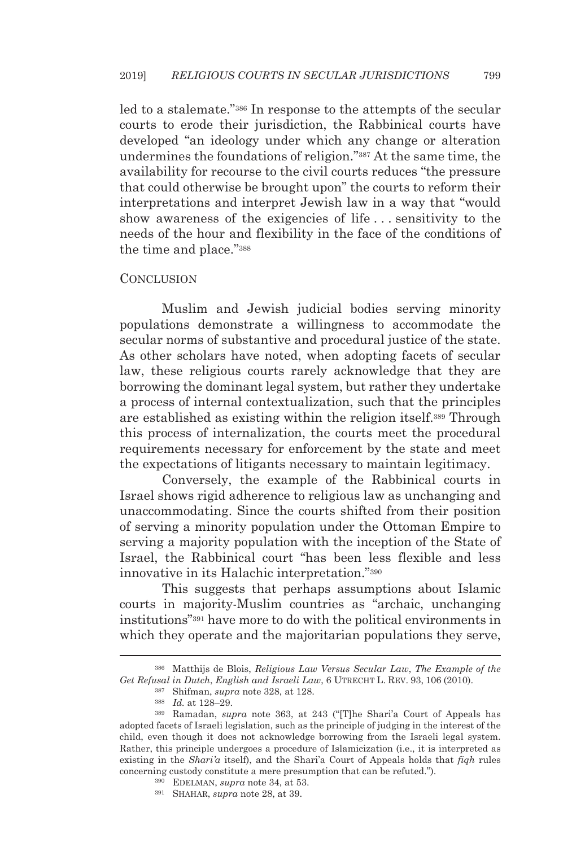led to a stalemate."386 In response to the attempts of the secular courts to erode their jurisdiction, the Rabbinical courts have developed "an ideology under which any change or alteration undermines the foundations of religion."387 At the same time, the availability for recourse to the civil courts reduces "the pressure that could otherwise be brought upon" the courts to reform their interpretations and interpret Jewish law in a way that "would show awareness of the exigencies of life . . . sensitivity to the needs of the hour and flexibility in the face of the conditions of the time and place."388

#### **CONCLUSION**

Muslim and Jewish judicial bodies serving minority populations demonstrate a willingness to accommodate the secular norms of substantive and procedural justice of the state. As other scholars have noted, when adopting facets of secular law, these religious courts rarely acknowledge that they are borrowing the dominant legal system, but rather they undertake a process of internal contextualization, such that the principles are established as existing within the religion itself.389 Through this process of internalization, the courts meet the procedural requirements necessary for enforcement by the state and meet the expectations of litigants necessary to maintain legitimacy.

Conversely, the example of the Rabbinical courts in Israel shows rigid adherence to religious law as unchanging and unaccommodating. Since the courts shifted from their position of serving a minority population under the Ottoman Empire to serving a majority population with the inception of the State of Israel, the Rabbinical court "has been less flexible and less innovative in its Halachic interpretation."390

This suggests that perhaps assumptions about Islamic courts in majority-Muslim countries as "archaic, unchanging institutions"391 have more to do with the political environments in which they operate and the majoritarian populations they serve,

<sup>386</sup> Matthijs de Blois, *Religious Law Versus Secular Law*, *The Example of the*  Get Refusal in Dutch, English and Israeli Law, 6 UTRECHT L. REV. 93, 106 (2010).<br><sup>387</sup> Shifman, *supra* note 328, at 128.<br><sup>388</sup> Id. at 128–29.<br><sup>389</sup> Ramadan, *supra* note 363, at 243 ("IT|he Shari'a Court of Appeals has

adopted facets of Israeli legislation, such as the principle of judging in the interest of the child, even though it does not acknowledge borrowing from the Israeli legal system. Rather, this principle undergoes a procedure of Islamicization (i.e., it is interpreted as existing in the *Shari'a* itself), and the Shari'a Court of Appeals holds that *fiqh* rules concerning custody constitute a mere presumption that can be refuted."). 390 EDELMAN, *supra* note 34, at 53. 391 SHAHAR, *supra* note 28, at 39.